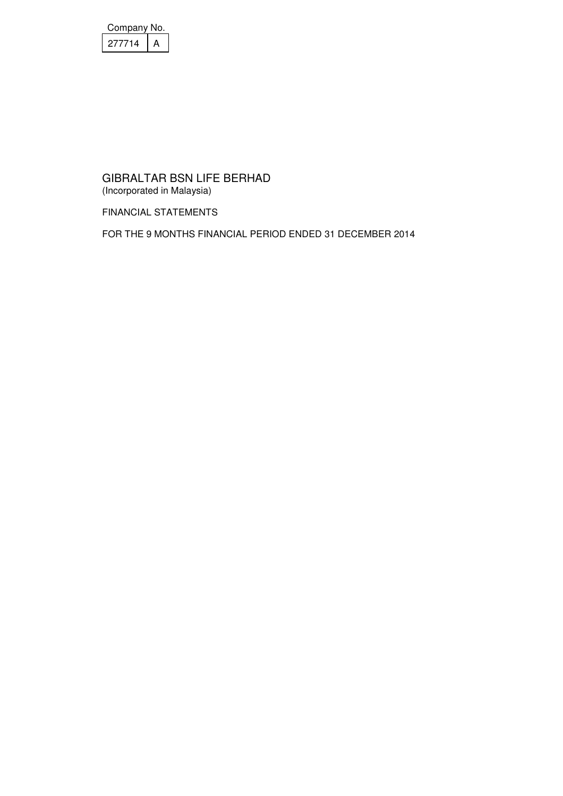| Company No. |  |
|-------------|--|
| 277714      |  |

FINANCIAL STATEMENTS

FOR THE 9 MONTHS FINANCIAL PERIOD ENDED 31 DECEMBER 2014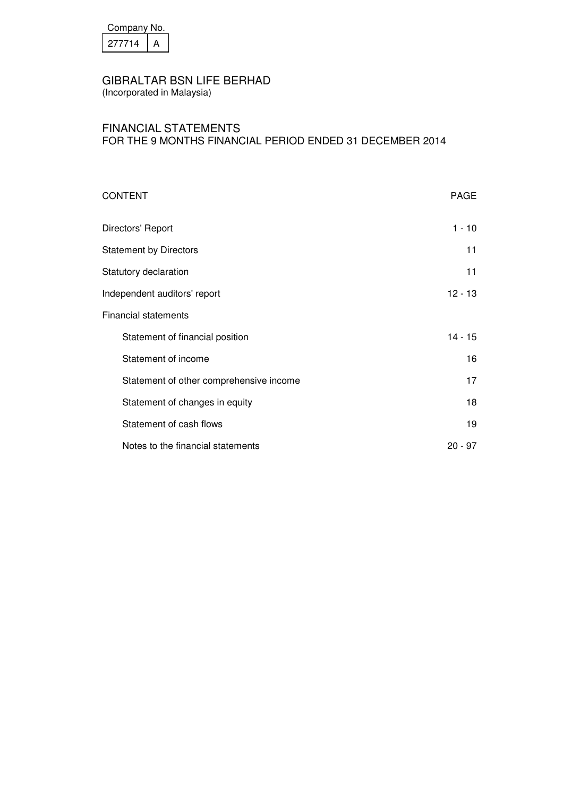| Company No. |  |
|-------------|--|
| 27714       |  |

(Incorporated in Malaysia)

## FINANCIAL STATEMENTS FOR THE 9 MONTHS FINANCIAL PERIOD ENDED 31 DECEMBER 2014

| <b>CONTENT</b>                          | PAGE      |
|-----------------------------------------|-----------|
| Directors' Report                       | $1 - 10$  |
| <b>Statement by Directors</b>           | 11        |
| Statutory declaration                   | 11        |
| Independent auditors' report            | $12 - 13$ |
| <b>Financial statements</b>             |           |
| Statement of financial position         | $14 - 15$ |
| Statement of income                     | 16        |
| Statement of other comprehensive income | 17        |
| Statement of changes in equity          | 18        |
| Statement of cash flows                 | 19        |
| Notes to the financial statements       | $20 - 97$ |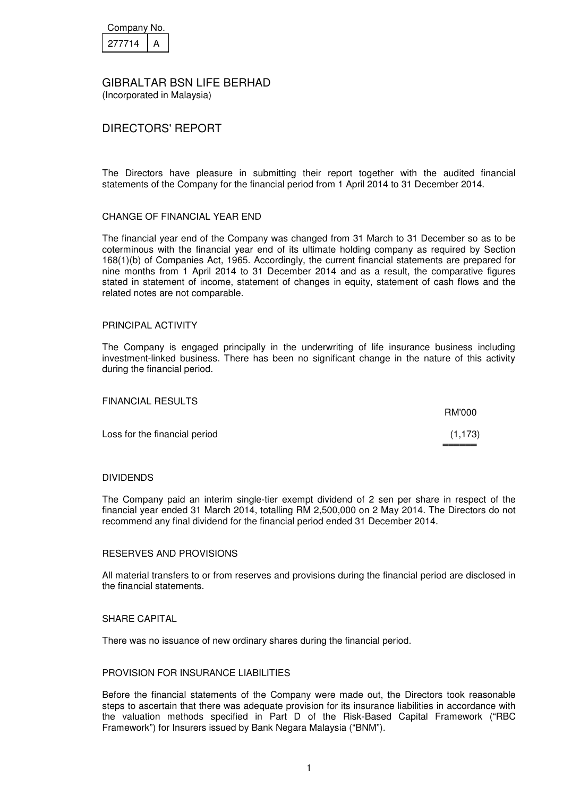| Company No. |  |
|-------------|--|
| 277714      |  |

## DIRECTORS' REPORT

The Directors have pleasure in submitting their report together with the audited financial statements of the Company for the financial period from 1 April 2014 to 31 December 2014.

## CHANGE OF FINANCIAL YEAR END

The financial year end of the Company was changed from 31 March to 31 December so as to be coterminous with the financial year end of its ultimate holding company as required by Section 168(1)(b) of Companies Act, 1965. Accordingly, the current financial statements are prepared for nine months from 1 April 2014 to 31 December 2014 and as a result, the comparative figures stated in statement of income, statement of changes in equity, statement of cash flows and the related notes are not comparable.

#### PRINCIPAL ACTIVITY

The Company is engaged principally in the underwriting of life insurance business including investment-linked business. There has been no significant change in the nature of this activity during the financial period.

| <b>FINANCIAL RESULTS</b>      | RM'000   |
|-------------------------------|----------|
| Loss for the financial period | (1, 173) |

## DIVIDENDS

The Company paid an interim single-tier exempt dividend of 2 sen per share in respect of the financial year ended 31 March 2014, totalling RM 2,500,000 on 2 May 2014. The Directors do not recommend any final dividend for the financial period ended 31 December 2014.

## RESERVES AND PROVISIONS

All material transfers to or from reserves and provisions during the financial period are disclosed in the financial statements.

## SHARE CAPITAL

There was no issuance of new ordinary shares during the financial period.

## PROVISION FOR INSURANCE LIABILITIES

Before the financial statements of the Company were made out, the Directors took reasonable steps to ascertain that there was adequate provision for its insurance liabilities in accordance with the valuation methods specified in Part D of the Risk-Based Capital Framework ("RBC Framework") for Insurers issued by Bank Negara Malaysia ("BNM").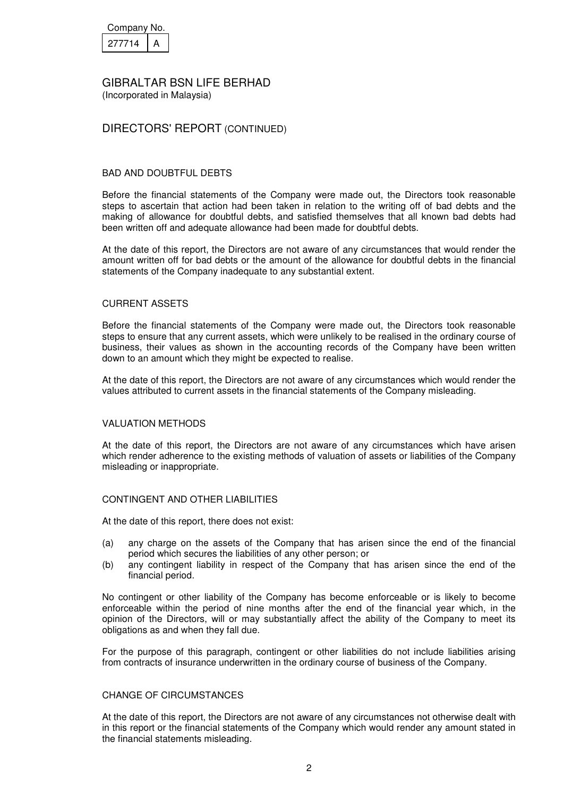| Company No. |  |
|-------------|--|
| 27714       |  |

## DIRECTORS' REPORT (CONTINUED)

## BAD AND DOUBTFUL DEBTS

Before the financial statements of the Company were made out, the Directors took reasonable steps to ascertain that action had been taken in relation to the writing off of bad debts and the making of allowance for doubtful debts, and satisfied themselves that all known bad debts had been written off and adequate allowance had been made for doubtful debts.

At the date of this report, the Directors are not aware of any circumstances that would render the amount written off for bad debts or the amount of the allowance for doubtful debts in the financial statements of the Company inadequate to any substantial extent.

## CURRENT ASSETS

Before the financial statements of the Company were made out, the Directors took reasonable steps to ensure that any current assets, which were unlikely to be realised in the ordinary course of business, their values as shown in the accounting records of the Company have been written down to an amount which they might be expected to realise.

At the date of this report, the Directors are not aware of any circumstances which would render the values attributed to current assets in the financial statements of the Company misleading.

## VALUATION METHODS

At the date of this report, the Directors are not aware of any circumstances which have arisen which render adherence to the existing methods of valuation of assets or liabilities of the Company misleading or inappropriate.

## CONTINGENT AND OTHER LIABILITIES

At the date of this report, there does not exist:

- (a) any charge on the assets of the Company that has arisen since the end of the financial period which secures the liabilities of any other person; or
- (b) any contingent liability in respect of the Company that has arisen since the end of the financial period.

No contingent or other liability of the Company has become enforceable or is likely to become enforceable within the period of nine months after the end of the financial year which, in the opinion of the Directors, will or may substantially affect the ability of the Company to meet its obligations as and when they fall due.

For the purpose of this paragraph, contingent or other liabilities do not include liabilities arising from contracts of insurance underwritten in the ordinary course of business of the Company.

## CHANGE OF CIRCUMSTANCES

At the date of this report, the Directors are not aware of any circumstances not otherwise dealt with in this report or the financial statements of the Company which would render any amount stated in the financial statements misleading.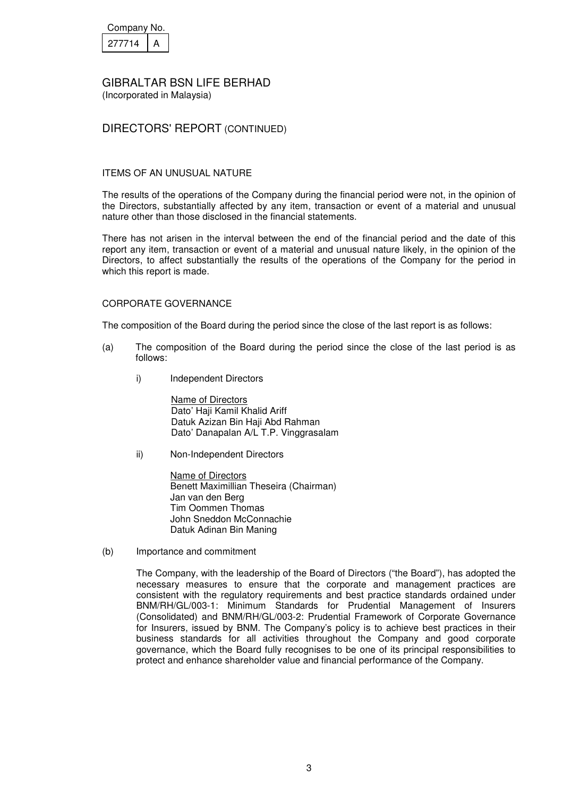| Company No. |  |
|-------------|--|
| 27714       |  |

## DIRECTORS' REPORT (CONTINUED)

## ITEMS OF AN UNUSUAL NATURE

The results of the operations of the Company during the financial period were not, in the opinion of the Directors, substantially affected by any item, transaction or event of a material and unusual nature other than those disclosed in the financial statements.

There has not arisen in the interval between the end of the financial period and the date of this report any item, transaction or event of a material and unusual nature likely, in the opinion of the Directors, to affect substantially the results of the operations of the Company for the period in which this report is made.

## CORPORATE GOVERNANCE

The composition of the Board during the period since the close of the last report is as follows:

- (a) The composition of the Board during the period since the close of the last period is as follows:
	- i) Independent Directors

Name of Directors Dato' Haii Kamil Khalid Ariff Datuk Azizan Bin Haji Abd Rahman Dato' Danapalan A/L T.P. Vinggrasalam

ii) Non-Independent Directors

Name of Directors Benett Maximillian Theseira (Chairman) Jan van den Berg Tim Oommen Thomas John Sneddon McConnachie Datuk Adinan Bin Maning

(b) Importance and commitment

 The Company, with the leadership of the Board of Directors ("the Board"), has adopted the necessary measures to ensure that the corporate and management practices are consistent with the regulatory requirements and best practice standards ordained under BNM/RH/GL/003-1: Minimum Standards for Prudential Management of Insurers (Consolidated) and BNM/RH/GL/003-2: Prudential Framework of Corporate Governance for Insurers, issued by BNM. The Company's policy is to achieve best practices in their business standards for all activities throughout the Company and good corporate governance, which the Board fully recognises to be one of its principal responsibilities to protect and enhance shareholder value and financial performance of the Company.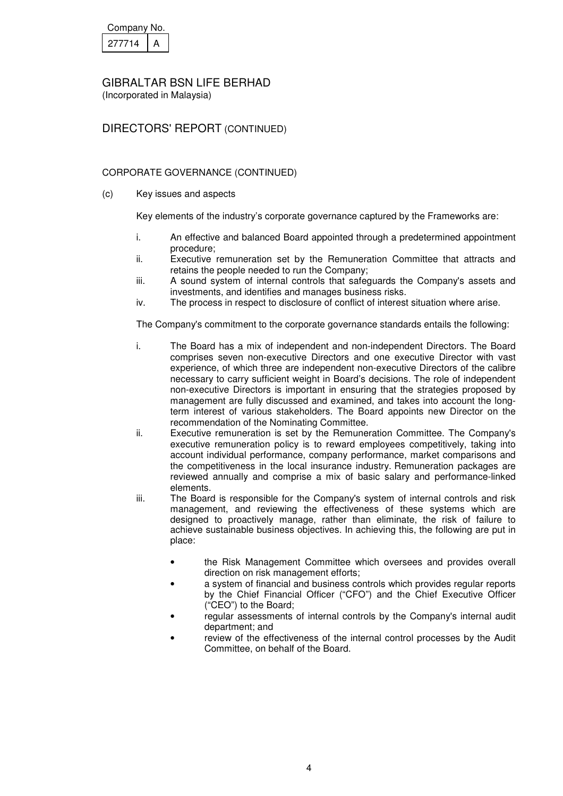| Company No. |  |
|-------------|--|
| 277714      |  |

DIRECTORS' REPORT (CONTINUED)

## CORPORATE GOVERNANCE (CONTINUED)

(c) Key issues and aspects

Key elements of the industry's corporate governance captured by the Frameworks are:

- i. An effective and balanced Board appointed through a predetermined appointment procedure;
- ii. Executive remuneration set by the Remuneration Committee that attracts and retains the people needed to run the Company;
- iii. A sound system of internal controls that safeguards the Company's assets and investments, and identifies and manages business risks.
- iv. The process in respect to disclosure of conflict of interest situation where arise.

The Company's commitment to the corporate governance standards entails the following:

- i. The Board has a mix of independent and non-independent Directors. The Board comprises seven non-executive Directors and one executive Director with vast experience, of which three are independent non-executive Directors of the calibre necessary to carry sufficient weight in Board's decisions. The role of independent non-executive Directors is important in ensuring that the strategies proposed by management are fully discussed and examined, and takes into account the longterm interest of various stakeholders. The Board appoints new Director on the recommendation of the Nominating Committee.
- ii. Executive remuneration is set by the Remuneration Committee. The Company's executive remuneration policy is to reward employees competitively, taking into account individual performance, company performance, market comparisons and the competitiveness in the local insurance industry. Remuneration packages are reviewed annually and comprise a mix of basic salary and performance-linked elements.
- iii. The Board is responsible for the Company's system of internal controls and risk management, and reviewing the effectiveness of these systems which are designed to proactively manage, rather than eliminate, the risk of failure to achieve sustainable business objectives. In achieving this, the following are put in place:
	- the Risk Management Committee which oversees and provides overall direction on risk management efforts;
	- a system of financial and business controls which provides regular reports by the Chief Financial Officer ("CFO") and the Chief Executive Officer ("CEO") to the Board;
	- regular assessments of internal controls by the Company's internal audit department; and
	- review of the effectiveness of the internal control processes by the Audit Committee, on behalf of the Board.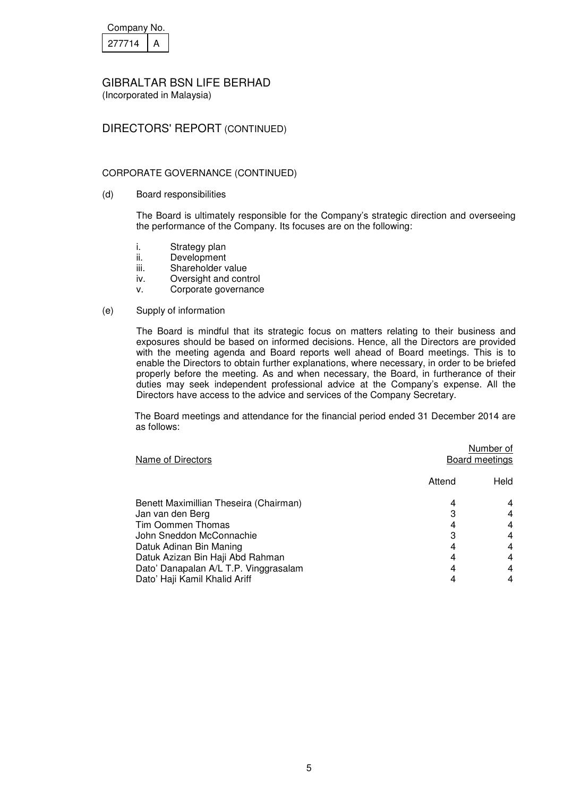| Company No. |  |
|-------------|--|
| 277714      |  |

DIRECTORS' REPORT (CONTINUED)

## CORPORATE GOVERNANCE (CONTINUED)

(d) Board responsibilities

 The Board is ultimately responsible for the Company's strategic direction and overseeing the performance of the Company. Its focuses are on the following:

- i. Strategy plan<br>ii. Development
- ii. Development<br>iii. Shareholder v
- Shareholder value
- iv. Oversight and control
- v. Corporate governance
- (e) Supply of information

 The Board is mindful that its strategic focus on matters relating to their business and exposures should be based on informed decisions. Hence, all the Directors are provided with the meeting agenda and Board reports well ahead of Board meetings. This is to enable the Directors to obtain further explanations, where necessary, in order to be briefed properly before the meeting. As and when necessary, the Board, in furtherance of their duties may seek independent professional advice at the Company's expense. All the Directors have access to the advice and services of the Company Secretary.

The Board meetings and attendance for the financial period ended 31 December 2014 are as follows:

| Attend                                      | Number of<br>Board meetings |  |
|---------------------------------------------|-----------------------------|--|
|                                             | Held                        |  |
| Benett Maximillian Theseira (Chairman)<br>4 |                             |  |
| 3<br>Jan van den Berg                       | 4                           |  |
| Tim Oommen Thomas<br>4                      | 4                           |  |
| John Sneddon McConnachie<br>3               | 4                           |  |
| Datuk Adinan Bin Maning<br>4                | 4                           |  |
| Datuk Azizan Bin Haji Abd Rahman<br>4       | 4                           |  |
| Dato' Danapalan A/L T.P. Vinggrasalam<br>4  | 4                           |  |
| Dato' Haji Kamil Khalid Ariff               | 4                           |  |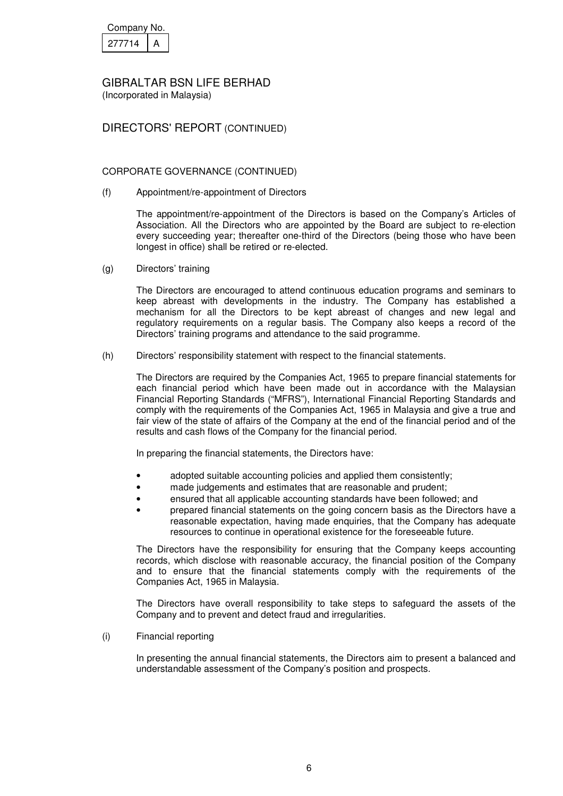| Company No. |  |
|-------------|--|
| 277714      |  |

DIRECTORS' REPORT (CONTINUED)

## CORPORATE GOVERNANCE (CONTINUED)

(f) Appointment/re-appointment of Directors

 The appointment/re-appointment of the Directors is based on the Company's Articles of Association. All the Directors who are appointed by the Board are subject to re-election every succeeding year; thereafter one-third of the Directors (being those who have been longest in office) shall be retired or re-elected.

(g) Directors' training

 The Directors are encouraged to attend continuous education programs and seminars to keep abreast with developments in the industry. The Company has established a mechanism for all the Directors to be kept abreast of changes and new legal and regulatory requirements on a regular basis. The Company also keeps a record of the Directors' training programs and attendance to the said programme.

(h) Directors' responsibility statement with respect to the financial statements.

 The Directors are required by the Companies Act, 1965 to prepare financial statements for each financial period which have been made out in accordance with the Malaysian Financial Reporting Standards ("MFRS"), International Financial Reporting Standards and comply with the requirements of the Companies Act, 1965 in Malaysia and give a true and fair view of the state of affairs of the Company at the end of the financial period and of the results and cash flows of the Company for the financial period.

In preparing the financial statements, the Directors have:

- adopted suitable accounting policies and applied them consistently;
- made judgements and estimates that are reasonable and prudent;
- ensured that all applicable accounting standards have been followed; and
- prepared financial statements on the going concern basis as the Directors have a reasonable expectation, having made enquiries, that the Company has adequate resources to continue in operational existence for the foreseeable future.

The Directors have the responsibility for ensuring that the Company keeps accounting records, which disclose with reasonable accuracy, the financial position of the Company and to ensure that the financial statements comply with the requirements of the Companies Act, 1965 in Malaysia.

The Directors have overall responsibility to take steps to safeguard the assets of the Company and to prevent and detect fraud and irregularities.

(i) Financial reporting

 In presenting the annual financial statements, the Directors aim to present a balanced and understandable assessment of the Company's position and prospects.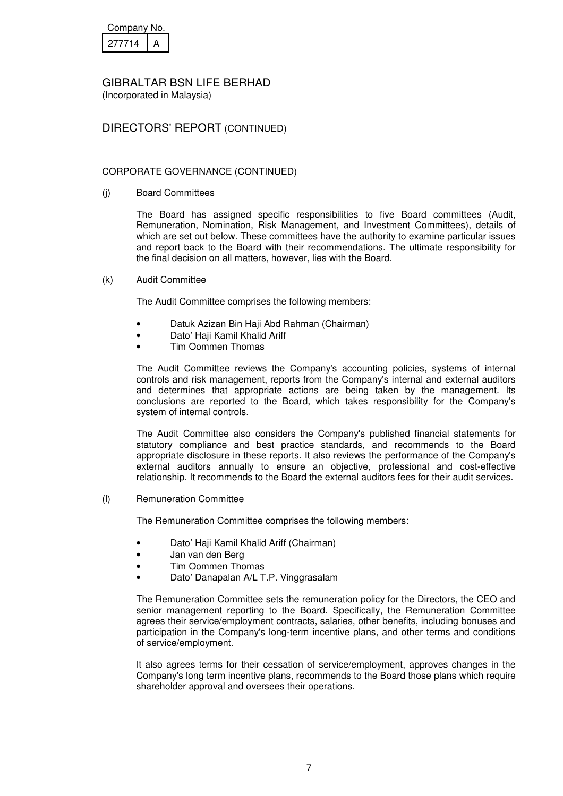| Company No. |  |
|-------------|--|
| 277714      |  |

DIRECTORS' REPORT (CONTINUED)

CORPORATE GOVERNANCE (CONTINUED)

(j) Board Committees

 The Board has assigned specific responsibilities to five Board committees (Audit, Remuneration, Nomination, Risk Management, and Investment Committees), details of which are set out below. These committees have the authority to examine particular issues and report back to the Board with their recommendations. The ultimate responsibility for the final decision on all matters, however, lies with the Board.

(k) Audit Committee

The Audit Committee comprises the following members:

- Datuk Azizan Bin Haji Abd Rahman (Chairman)
- Dato' Haji Kamil Khalid Ariff
- Tim Oommen Thomas

 The Audit Committee reviews the Company's accounting policies, systems of internal controls and risk management, reports from the Company's internal and external auditors and determines that appropriate actions are being taken by the management. Its conclusions are reported to the Board, which takes responsibility for the Company's system of internal controls.

 The Audit Committee also considers the Company's published financial statements for statutory compliance and best practice standards, and recommends to the Board appropriate disclosure in these reports. It also reviews the performance of the Company's external auditors annually to ensure an objective, professional and cost-effective relationship. It recommends to the Board the external auditors fees for their audit services.

(l) Remuneration Committee

The Remuneration Committee comprises the following members:

- Dato' Haji Kamil Khalid Ariff (Chairman)
- Jan van den Berg
- Tim Oommen Thomas
- Dato' Danapalan A/L T.P. Vinggrasalam

The Remuneration Committee sets the remuneration policy for the Directors, the CEO and senior management reporting to the Board. Specifically, the Remuneration Committee agrees their service/employment contracts, salaries, other benefits, including bonuses and participation in the Company's long-term incentive plans, and other terms and conditions of service/employment.

It also agrees terms for their cessation of service/employment, approves changes in the Company's long term incentive plans, recommends to the Board those plans which require shareholder approval and oversees their operations.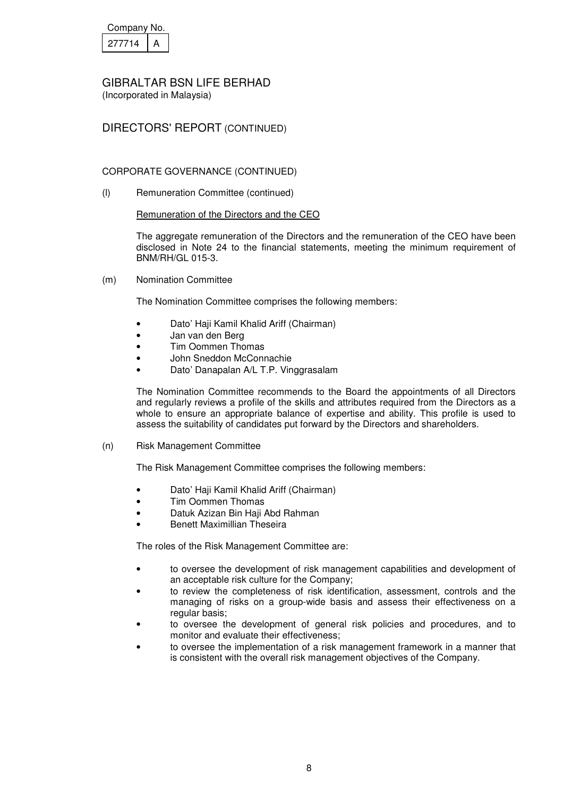| Company No. |  |  |
|-------------|--|--|
| 27714       |  |  |

DIRECTORS' REPORT (CONTINUED)

CORPORATE GOVERNANCE (CONTINUED)

(l) Remuneration Committee (continued)

## Remuneration of the Directors and the CEO

The aggregate remuneration of the Directors and the remuneration of the CEO have been disclosed in Note 24 to the financial statements, meeting the minimum requirement of BNM/RH/GL 015-3.

(m) Nomination Committee

The Nomination Committee comprises the following members:

- Dato' Haji Kamil Khalid Ariff (Chairman)
- Jan van den Berg
- Tim Oommen Thomas
- John Sneddon McConnachie
- Dato' Danapalan A/L T.P. Vinggrasalam

 The Nomination Committee recommends to the Board the appointments of all Directors and regularly reviews a profile of the skills and attributes required from the Directors as a whole to ensure an appropriate balance of expertise and ability. This profile is used to assess the suitability of candidates put forward by the Directors and shareholders.

(n) Risk Management Committee

The Risk Management Committee comprises the following members:

- Dato' Haji Kamil Khalid Ariff (Chairman)
- Tim Oommen Thomas
- Datuk Azizan Bin Haji Abd Rahman
- Benett Maximillian Theseira

The roles of the Risk Management Committee are:

- to oversee the development of risk management capabilities and development of an acceptable risk culture for the Company;
- to review the completeness of risk identification, assessment, controls and the managing of risks on a group-wide basis and assess their effectiveness on a regular basis:
- to oversee the development of general risk policies and procedures, and to monitor and evaluate their effectiveness;
- to oversee the implementation of a risk management framework in a manner that is consistent with the overall risk management objectives of the Company.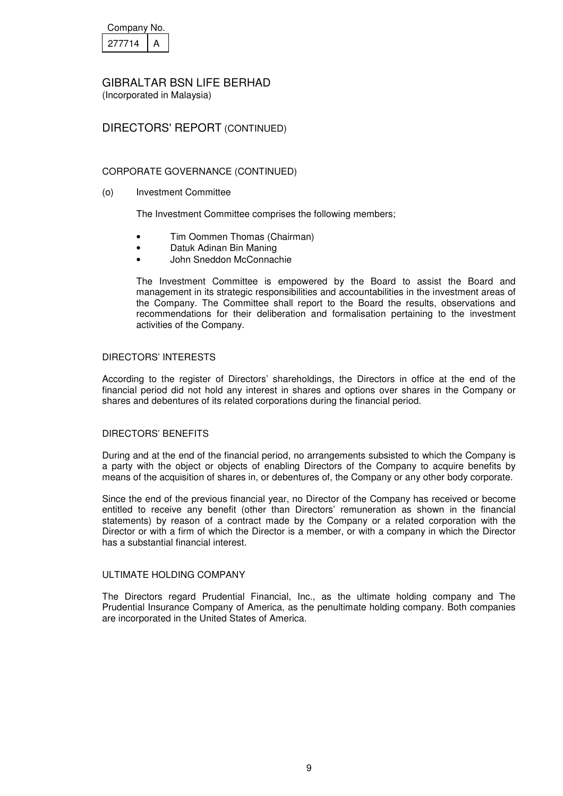| Company No. |  |  |
|-------------|--|--|
| 277714      |  |  |

DIRECTORS' REPORT (CONTINUED)

## CORPORATE GOVERNANCE (CONTINUED)

(o) Investment Committee

The Investment Committee comprises the following members;

- Tim Oommen Thomas (Chairman)
- Datuk Adinan Bin Maning
- John Sneddon McConnachie

 The Investment Committee is empowered by the Board to assist the Board and management in its strategic responsibilities and accountabilities in the investment areas of the Company. The Committee shall report to the Board the results, observations and recommendations for their deliberation and formalisation pertaining to the investment activities of the Company.

## DIRECTORS' INTERESTS

According to the register of Directors' shareholdings, the Directors in office at the end of the financial period did not hold any interest in shares and options over shares in the Company or shares and debentures of its related corporations during the financial period.

## DIRECTORS' BENEFITS

During and at the end of the financial period, no arrangements subsisted to which the Company is a party with the object or objects of enabling Directors of the Company to acquire benefits by means of the acquisition of shares in, or debentures of, the Company or any other body corporate.

Since the end of the previous financial year, no Director of the Company has received or become entitled to receive any benefit (other than Directors' remuneration as shown in the financial statements) by reason of a contract made by the Company or a related corporation with the Director or with a firm of which the Director is a member, or with a company in which the Director has a substantial financial interest.

## ULTIMATE HOLDING COMPANY

The Directors regard Prudential Financial, Inc., as the ultimate holding company and The Prudential Insurance Company of America, as the penultimate holding company. Both companies are incorporated in the United States of America.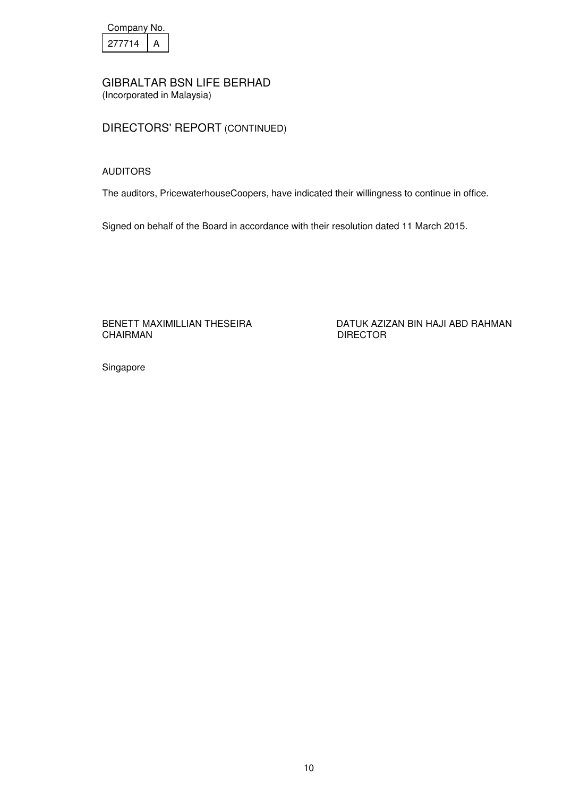| Company No. |  |  |
|-------------|--|--|
| 27714       |  |  |

DIRECTORS' REPORT (CONTINUED)

## AUDITORS

The auditors, PricewaterhouseCoopers, have indicated their willingness to continue in office.

Signed on behalf of the Board in accordance with their resolution dated 11 March 2015.

BENETT MAXIMILLIAN THESEIRA DATUK AZIZAN BIN HAJI ABD RAHMAN<br>CHAIRMAN DIRECTOR **DIRECTOR** 

Singapore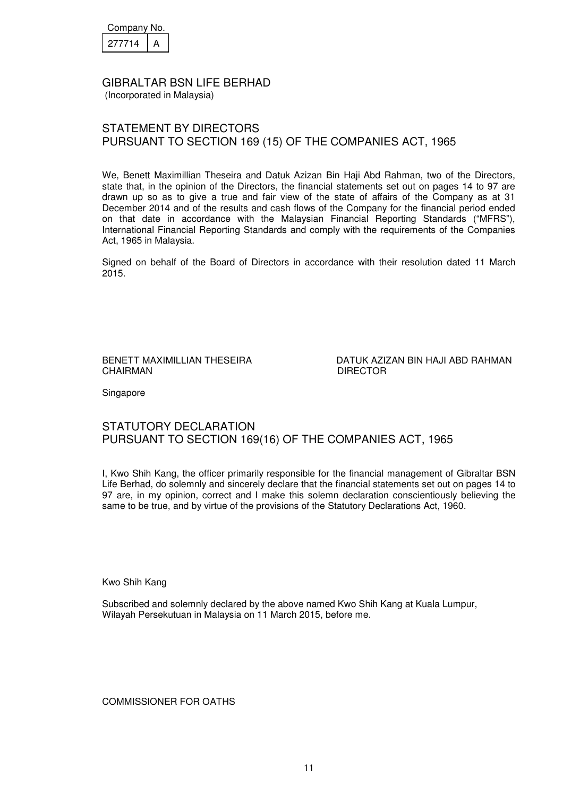| Company No. |  |  |
|-------------|--|--|
| 277714      |  |  |

## STATEMENT BY DIRECTORS PURSUANT TO SECTION 169 (15) OF THE COMPANIES ACT, 1965

We, Benett Maximillian Theseira and Datuk Azizan Bin Haji Abd Rahman, two of the Directors, state that, in the opinion of the Directors, the financial statements set out on pages 14 to 97 are drawn up so as to give a true and fair view of the state of affairs of the Company as at 31 December 2014 and of the results and cash flows of the Company for the financial period ended on that date in accordance with the Malaysian Financial Reporting Standards ("MFRS"), International Financial Reporting Standards and comply with the requirements of the Companies Act, 1965 in Malaysia.

Signed on behalf of the Board of Directors in accordance with their resolution dated 11 March 2015.

BENETT MAXIMILLIAN THESEIRA<br>CHAIRMAN CHAIRMAN DIRECTOR **DIRECTOR** 

Singapore

## STATUTORY DECLARATION PURSUANT TO SECTION 169(16) OF THE COMPANIES ACT, 1965

I, Kwo Shih Kang, the officer primarily responsible for the financial management of Gibraltar BSN Life Berhad, do solemnly and sincerely declare that the financial statements set out on pages 14 to 97 are, in my opinion, correct and I make this solemn declaration conscientiously believing the same to be true, and by virtue of the provisions of the Statutory Declarations Act, 1960.

Kwo Shih Kang

Subscribed and solemnly declared by the above named Kwo Shih Kang at Kuala Lumpur, Wilayah Persekutuan in Malaysia on 11 March 2015, before me.

## COMMISSIONER FOR OATHS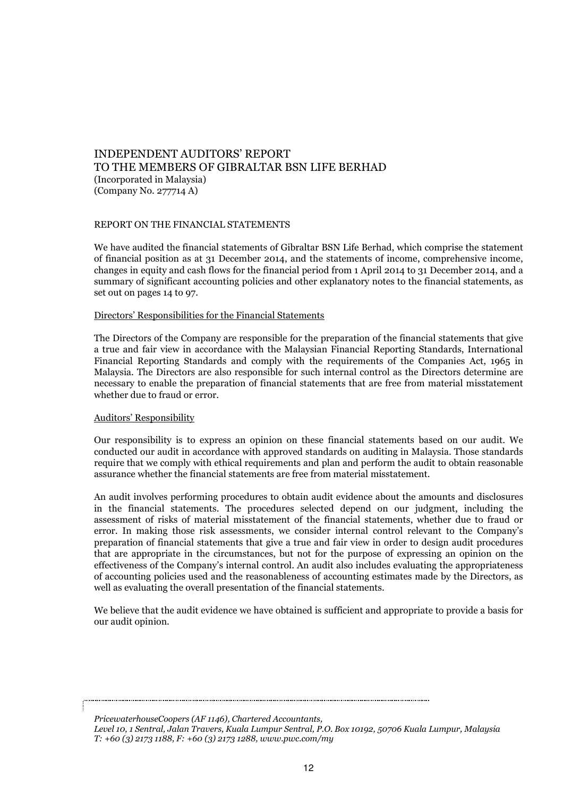## INDEPENDENT AUDITORS' REPORT TO THE MEMBERS OF GIBRALTAR BSN LIFE BERHAD (Incorporated in Malaysia)

(Company No. 277714 A)

## REPORT ON THE FINANCIAL STATEMENTS

We have audited the financial statements of Gibraltar BSN Life Berhad, which comprise the statement of financial position as at 31 December 2014, and the statements of income, comprehensive income, changes in equity and cash flows for the financial period from 1 April 2014 to 31 December 2014, and a summary of significant accounting policies and other explanatory notes to the financial statements, as set out on pages 14 to 97.

## Directors' Responsibilities for the Financial Statements

The Directors of the Company are responsible for the preparation of the financial statements that give a true and fair view in accordance with the Malaysian Financial Reporting Standards, International Financial Reporting Standards and comply with the requirements of the Companies Act, 1965 in Malaysia. The Directors are also responsible for such internal control as the Directors determine are necessary to enable the preparation of financial statements that are free from material misstatement whether due to fraud or error.

## Auditors' Responsibility

Our responsibility is to express an opinion on these financial statements based on our audit. We conducted our audit in accordance with approved standards on auditing in Malaysia. Those standards require that we comply with ethical requirements and plan and perform the audit to obtain reasonable assurance whether the financial statements are free from material misstatement.

An audit involves performing procedures to obtain audit evidence about the amounts and disclosures in the financial statements. The procedures selected depend on our judgment, including the assessment of risks of material misstatement of the financial statements, whether due to fraud or error. In making those risk assessments, we consider internal control relevant to the Company's preparation of financial statements that give a true and fair view in order to design audit procedures that are appropriate in the circumstances, but not for the purpose of expressing an opinion on the effectiveness of the Company's internal control. An audit also includes evaluating the appropriateness of accounting policies used and the reasonableness of accounting estimates made by the Directors, as well as evaluating the overall presentation of the financial statements.

We believe that the audit evidence we have obtained is sufficient and appropriate to provide a basis for our audit opinion.

PricewaterhouseCoopers (AF 1146), Chartered Accountants,

Level 10, 1 Sentral, Jalan Travers, Kuala Lumpur Sentral, P.O. Box 10192, 50706 Kuala Lumpur, Malaysia T: +60 (3) 2173 1188, F: +60 (3) 2173 1288, www.pwc.com/my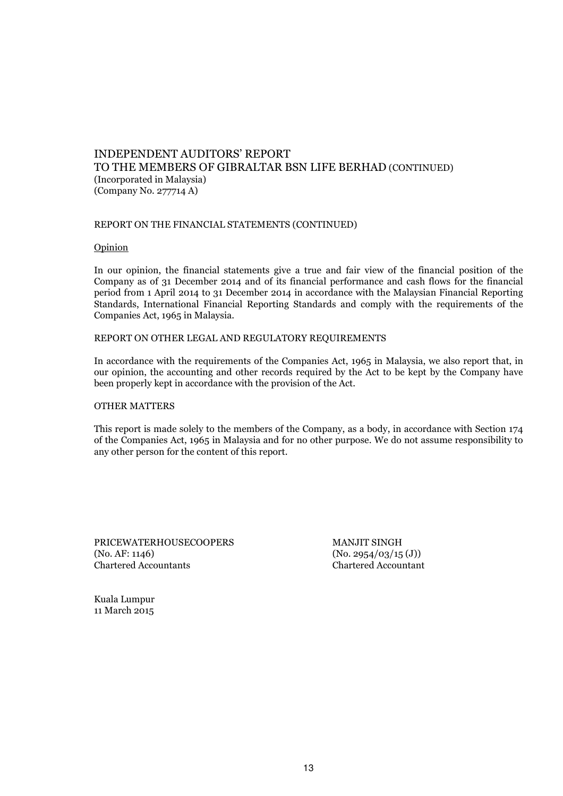## INDEPENDENT AUDITORS' REPORT TO THE MEMBERS OF GIBRALTAR BSN LIFE BERHAD (CONTINUED) (Incorporated in Malaysia)

(Company No. 277714 A)

## REPORT ON THE FINANCIAL STATEMENTS (CONTINUED)

## Opinion

In our opinion, the financial statements give a true and fair view of the financial position of the Company as of 31 December 2014 and of its financial performance and cash flows for the financial period from 1 April 2014 to 31 December 2014 in accordance with the Malaysian Financial Reporting Standards, International Financial Reporting Standards and comply with the requirements of the Companies Act, 1965 in Malaysia.

## REPORT ON OTHER LEGAL AND REGULATORY REQUIREMENTS

In accordance with the requirements of the Companies Act, 1965 in Malaysia, we also report that, in our opinion, the accounting and other records required by the Act to be kept by the Company have been properly kept in accordance with the provision of the Act.

## OTHER MATTERS

This report is made solely to the members of the Company, as a body, in accordance with Section 174 of the Companies Act, 1965 in Malaysia and for no other purpose. We do not assume responsibility to any other person for the content of this report.

PRICEWATERHOUSECOOPERS MANJIT SINGH  $(No, AF: 1146)$   $(No, 2954/03/15 (J))$ Chartered Accountants Chartered Accountant

Kuala Lumpur 11 March 2015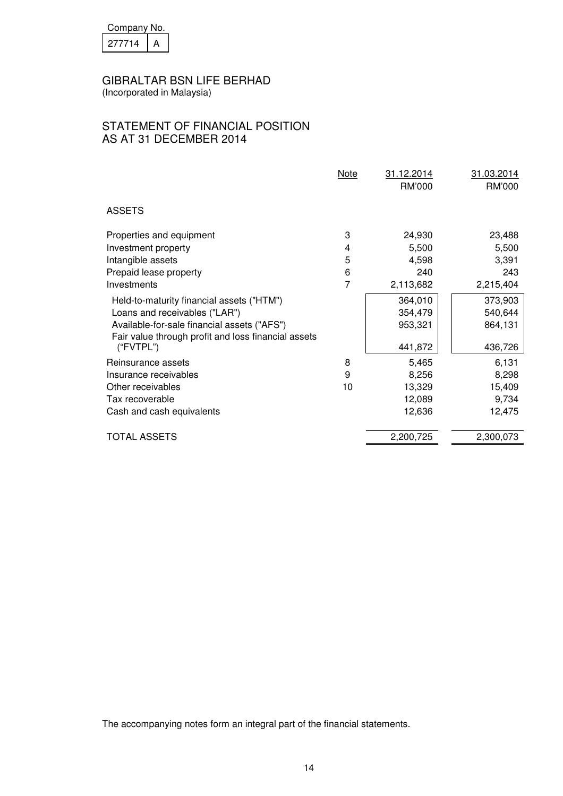| Company No. |  |  |
|-------------|--|--|
| 277714      |  |  |

(Incorporated in Malaysia)

## STATEMENT OF FINANCIAL POSITION AS AT 31 DECEMBER 2014

|                                                                                                    | Note | 31.12.2014<br>RM'000 | 31.03.2014<br>RM'000 |
|----------------------------------------------------------------------------------------------------|------|----------------------|----------------------|
| <b>ASSETS</b>                                                                                      |      |                      |                      |
| Properties and equipment                                                                           | 3    | 24,930               | 23,488               |
| Investment property                                                                                | 4    | 5,500                | 5,500                |
| Intangible assets                                                                                  | 5    | 4,598                | 3,391                |
| Prepaid lease property                                                                             | 6    | 240                  | 243                  |
| Investments                                                                                        | 7    | 2,113,682            | 2,215,404            |
| Held-to-maturity financial assets ("HTM")                                                          |      | 364,010              | 373,903              |
| Loans and receivables ("LAR")                                                                      |      | 354,479              | 540,644              |
| Available-for-sale financial assets ("AFS")<br>Fair value through profit and loss financial assets |      | 953,321              | 864,131              |
| ("FVTPL")                                                                                          |      | 441,872              | 436,726              |
| Reinsurance assets                                                                                 | 8    | 5,465                | 6,131                |
| Insurance receivables                                                                              | 9    | 8,256                | 8,298                |
| Other receivables                                                                                  | 10   | 13,329               | 15,409               |
| Tax recoverable                                                                                    |      | 12,089               | 9,734                |
| Cash and cash equivalents                                                                          |      | 12,636               | 12,475               |
| <b>TOTAL ASSETS</b>                                                                                |      | 2,200,725            | 2,300,073            |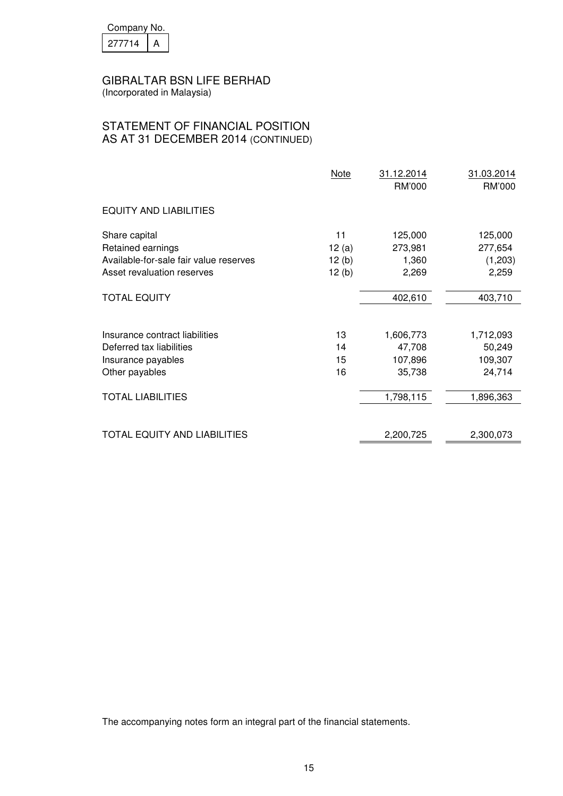| Company No. |  |  |
|-------------|--|--|
| 27714       |  |  |

## STATEMENT OF FINANCIAL POSITION AS AT 31 DECEMBER 2014 (CONTINUED)

|                                        | Note     | 31.12.2014<br>RM'000 | 31.03.2014<br>RM'000 |
|----------------------------------------|----------|----------------------|----------------------|
| <b>EQUITY AND LIABILITIES</b>          |          |                      |                      |
| Share capital                          | 11       | 125,000              | 125,000              |
| Retained earnings                      | 12 $(a)$ | 273,981              | 277,654              |
| Available-for-sale fair value reserves | 12(b)    | 1,360                | (1,203)              |
| Asset revaluation reserves             | 12(b)    | 2,269                | 2,259                |
| <b>TOTAL EQUITY</b>                    |          | 402,610              | 403,710              |
| Insurance contract liabilities         | 13       | 1,606,773            | 1,712,093            |
| Deferred tax liabilities               | 14       | 47,708               | 50,249               |
| Insurance payables                     | 15       | 107,896              | 109,307              |
| Other payables                         | 16       | 35,738               | 24,714               |
| <b>TOTAL LIABILITIES</b>               |          | 1,798,115            | 1,896,363            |
|                                        |          |                      |                      |
| TOTAL EQUITY AND LIABILITIES           |          | 2,200,725            | 2,300,073            |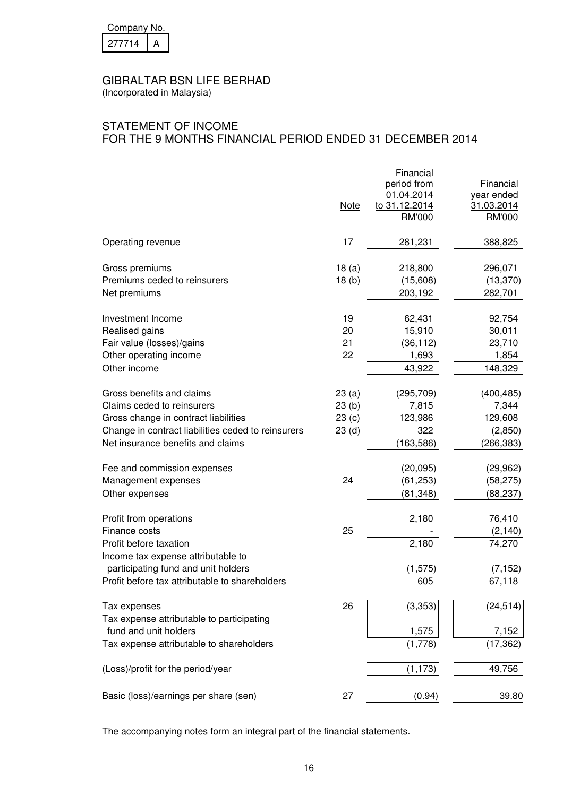| Company No. |  |  |
|-------------|--|--|
| 27714       |  |  |

(Incorporated in Malaysia)

## STATEMENT OF INCOME FOR THE 9 MONTHS FINANCIAL PERIOD ENDED 31 DECEMBER 2014

|                                                                    | <b>Note</b>       | Financial<br>period from<br>01.04.2014<br>to 31.12.2014<br><b>RM'000</b> | Financial<br>year ended<br>31.03.2014<br><b>RM'000</b> |
|--------------------------------------------------------------------|-------------------|--------------------------------------------------------------------------|--------------------------------------------------------|
| Operating revenue                                                  | 17                | 281,231                                                                  | 388,825                                                |
| Gross premiums                                                     | 18(a)             | 218,800                                                                  | 296,071                                                |
| Premiums ceded to reinsurers<br>Net premiums                       | 18 <sub>(b)</sub> | (15,608)<br>203,192                                                      | (13, 370)<br>282,701                                   |
| Investment Income                                                  | 19                | 62,431                                                                   | 92,754                                                 |
| Realised gains<br>Fair value (losses)/gains                        | 20<br>21          | 15,910<br>(36, 112)                                                      | 30,011<br>23,710                                       |
| Other operating income                                             | 22                | 1,693                                                                    | 1,854                                                  |
| Other income                                                       |                   | 43,922                                                                   | 148,329                                                |
| Gross benefits and claims                                          | 23(a)             | (295, 709)                                                               | (400, 485)                                             |
| Claims ceded to reinsurers                                         | 23(b)             | 7,815                                                                    | 7,344                                                  |
| Gross change in contract liabilities                               | 23 <sub>(c)</sub> | 123,986                                                                  | 129,608                                                |
| Change in contract liabilities ceded to reinsurers                 | 23(d)             | 322                                                                      | (2,850)                                                |
| Net insurance benefits and claims                                  |                   | (163, 586)                                                               | (266, 383)                                             |
| Fee and commission expenses                                        |                   | (20, 095)                                                                | (29, 962)                                              |
| Management expenses                                                | 24                | (61, 253)                                                                | (58,275)                                               |
| Other expenses                                                     |                   | (81, 348)                                                                | (88, 237)                                              |
| Profit from operations                                             |                   | 2,180                                                                    | 76,410                                                 |
| Finance costs                                                      | 25                |                                                                          | (2, 140)                                               |
| Profit before taxation<br>Income tax expense attributable to       |                   | 2,180                                                                    | 74,270                                                 |
| participating fund and unit holders                                |                   | (1, 575)                                                                 | (7, 152)                                               |
| Profit before tax attributable to shareholders                     |                   | 605                                                                      | 67,118                                                 |
| Tax expenses                                                       | 26                | (3, 353)                                                                 | (24, 514)                                              |
| Tax expense attributable to participating<br>fund and unit holders |                   | 1,575                                                                    | 7,152                                                  |
| Tax expense attributable to shareholders                           |                   | (1,778)                                                                  | (17, 362)                                              |
| (Loss)/profit for the period/year                                  |                   | (1, 173)                                                                 | 49,756                                                 |
| Basic (loss)/earnings per share (sen)                              | 27                | (0.94)                                                                   | 39.80                                                  |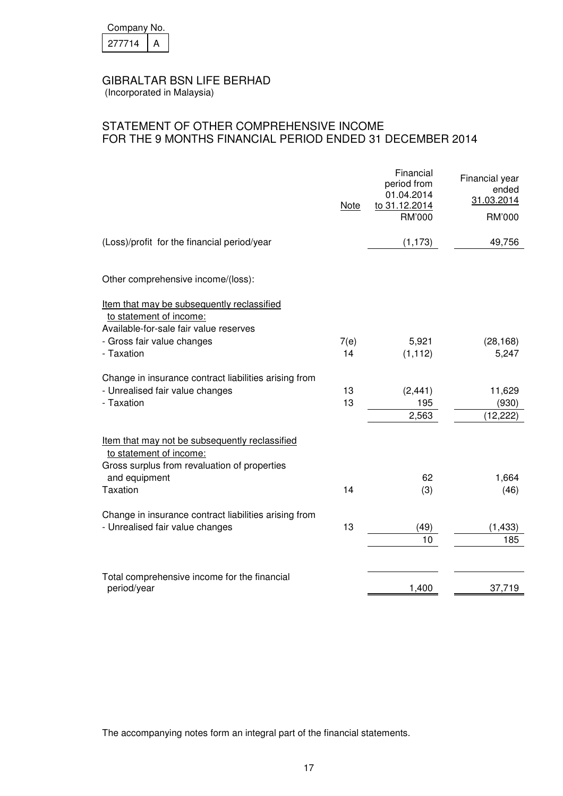| Company No. |  |  |
|-------------|--|--|
| 27714       |  |  |

(Incorporated in Malaysia)

## STATEMENT OF OTHER COMPREHENSIVE INCOME FOR THE 9 MONTHS FINANCIAL PERIOD ENDED 31 DECEMBER 2014

|                                                                                                                           | <b>Note</b> | Financial<br>period from<br>01.04.2014<br>to 31.12.2014<br>RM'000 | Financial year<br>ended<br>31.03.2014<br>RM'000 |
|---------------------------------------------------------------------------------------------------------------------------|-------------|-------------------------------------------------------------------|-------------------------------------------------|
| (Loss)/profit for the financial period/year                                                                               |             | (1, 173)                                                          | 49,756                                          |
| Other comprehensive income/(loss):<br>Item that may be subsequently reclassified                                          |             |                                                                   |                                                 |
| to statement of income:<br>Available-for-sale fair value reserves                                                         |             |                                                                   |                                                 |
| - Gross fair value changes                                                                                                | 7(e)        | 5,921                                                             | (28, 168)                                       |
| - Taxation                                                                                                                | 14          | (1, 112)                                                          | 5,247                                           |
| Change in insurance contract liabilities arising from                                                                     |             |                                                                   |                                                 |
| - Unrealised fair value changes                                                                                           | 13          | (2, 441)                                                          | 11,629                                          |
| - Taxation                                                                                                                | 13          | 195                                                               | (930)                                           |
|                                                                                                                           |             | 2,563                                                             | (12, 222)                                       |
| Item that may not be subsequently reclassified<br>to statement of income:<br>Gross surplus from revaluation of properties |             |                                                                   |                                                 |
| and equipment                                                                                                             |             | 62                                                                | 1,664                                           |
| Taxation                                                                                                                  | 14          | (3)                                                               | (46)                                            |
| Change in insurance contract liabilities arising from                                                                     |             |                                                                   |                                                 |
| - Unrealised fair value changes                                                                                           | 13          | (49)                                                              | (1, 433)                                        |
|                                                                                                                           |             | 10                                                                | 185                                             |
|                                                                                                                           |             |                                                                   |                                                 |
| Total comprehensive income for the financial<br>period/year                                                               |             | 1,400                                                             | 37,719                                          |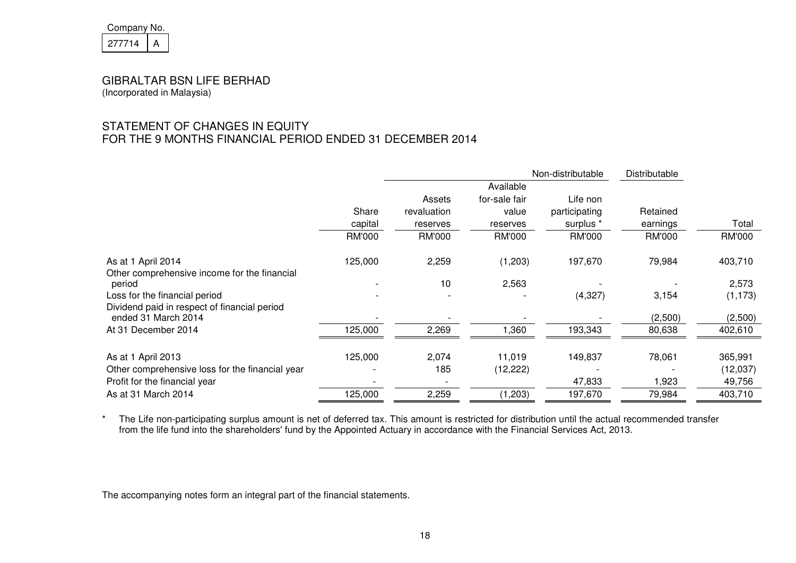| Company No. |  |
|-------------|--|
| 27714       |  |

## STATEMENT OF CHANGES IN EQUITY FOR THE 9 MONTHS FINANCIAL PERIOD ENDED 31 DECEMBER 2014

|                                                                               |               | Non-distributable |               |               | Distributable |          |
|-------------------------------------------------------------------------------|---------------|-------------------|---------------|---------------|---------------|----------|
|                                                                               |               |                   | Available     |               |               |          |
|                                                                               |               | Assets            | for-sale fair | Life non      |               |          |
|                                                                               | Share         | revaluation       | value         | participating | Retained      |          |
|                                                                               | capital       | reserves          | reserves      | surplus *     | earnings      | Total    |
|                                                                               | <b>RM'000</b> | <b>RM'000</b>     | <b>RM'000</b> | <b>RM'000</b> | <b>RM'000</b> | RM'000   |
| As at 1 April 2014<br>Other comprehensive income for the financial            | 125,000       | 2,259             | (1,203)       | 197,670       | 79,984        | 403,710  |
| period                                                                        |               | 10                | 2,563         |               |               | 2,573    |
| Loss for the financial period<br>Dividend paid in respect of financial period |               |                   |               | (4,327)       | 3,154         | (1, 173) |
| ended 31 March 2014                                                           |               |                   |               |               | (2,500)       | (2,500)  |
| At 31 December 2014                                                           | 125,000       | 2,269             | 1,360         | 193,343       | 80,638        | 402,610  |
| As at 1 April 2013                                                            | 125,000       | 2,074             | 11,019        | 149,837       | 78,061        | 365,991  |
| Other comprehensive loss for the financial year                               |               | 185               | (12, 222)     |               |               | (12,037) |
| Profit for the financial year                                                 |               |                   |               | 47,833        | 1,923         | 49,756   |
| As at 31 March 2014                                                           | 125,000       | 2,259             | (1,203)       | 197,670       | 79,984        | 403,710  |

\* The Life non-participating surplus amount is net of deferred tax. This amount is restricted for distribution until the actual recommended transfer<br>from the life fund into the shareholders' fund by the Appointed Actuary i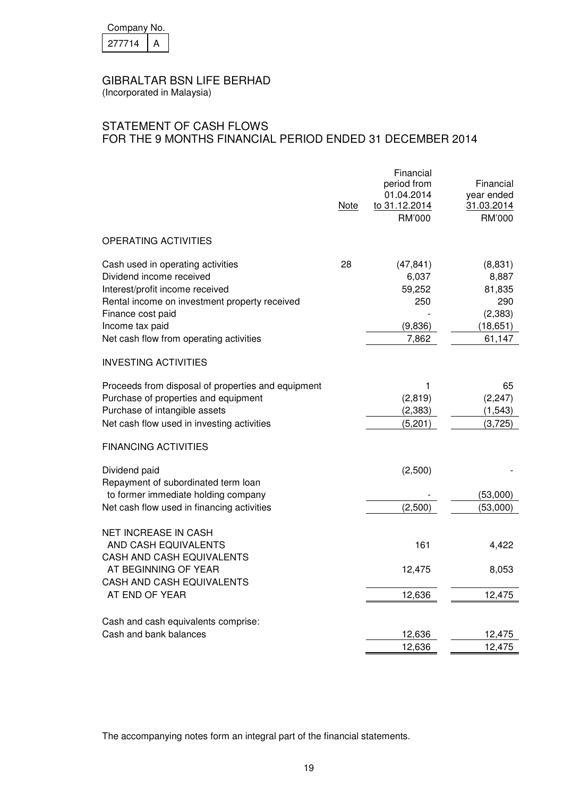| Company No. |  |  |
|-------------|--|--|
| 277714      |  |  |

(Incorporated in Malaysia)

## STATEMENT OF CASH FLOWS FOR THE 9 MONTHS FINANCIAL PERIOD ENDED 31 DECEMBER 2014

|                                                                                                                                                                                                                                      | <b>Note</b> | Financial<br>period from<br>01.04.2014<br>to 31.12.2014<br>RM'000 | Financial<br>year ended<br>31.03.2014<br>RM'000                      |
|--------------------------------------------------------------------------------------------------------------------------------------------------------------------------------------------------------------------------------------|-------------|-------------------------------------------------------------------|----------------------------------------------------------------------|
| OPERATING ACTIVITIES                                                                                                                                                                                                                 |             |                                                                   |                                                                      |
| Cash used in operating activities<br>Dividend income received<br>Interest/profit income received<br>Rental income on investment property received<br>Finance cost paid<br>Income tax paid<br>Net cash flow from operating activities | 28          | (47, 841)<br>6,037<br>59,252<br>250<br>(9,836)<br>7,862           | (8,831)<br>8,887<br>81,835<br>290<br>(2, 383)<br>(18, 651)<br>61,147 |
| <b>INVESTING ACTIVITIES</b>                                                                                                                                                                                                          |             |                                                                   |                                                                      |
| Proceeds from disposal of properties and equipment<br>Purchase of properties and equipment<br>Purchase of intangible assets<br>Net cash flow used in investing activities                                                            |             | 1<br>(2,819)<br>(2, 383)<br>(5,201)                               | 65<br>(2, 247)<br>(1, 543)<br>(3,725)                                |
| <b>FINANCING ACTIVITIES</b>                                                                                                                                                                                                          |             |                                                                   |                                                                      |
| Dividend paid<br>Repayment of subordinated term loan<br>to former immediate holding company<br>Net cash flow used in financing activities                                                                                            |             | (2,500)<br>(2,500)                                                | (53,000)<br>(53,000)                                                 |
| <b>NET INCREASE IN CASH</b><br>AND CASH EQUIVALENTS<br>CASH AND CASH EQUIVALENTS                                                                                                                                                     |             | 161                                                               | 4,422                                                                |
| AT BEGINNING OF YEAR<br>CASH AND CASH EQUIVALENTS<br>AT END OF YEAR                                                                                                                                                                  |             | 12,475<br>12,636                                                  | 8,053<br>12,475                                                      |
| Cash and cash equivalents comprise:                                                                                                                                                                                                  |             |                                                                   |                                                                      |
| Cash and bank balances                                                                                                                                                                                                               |             | 12,636<br>12,636                                                  | 12,475<br>12,475                                                     |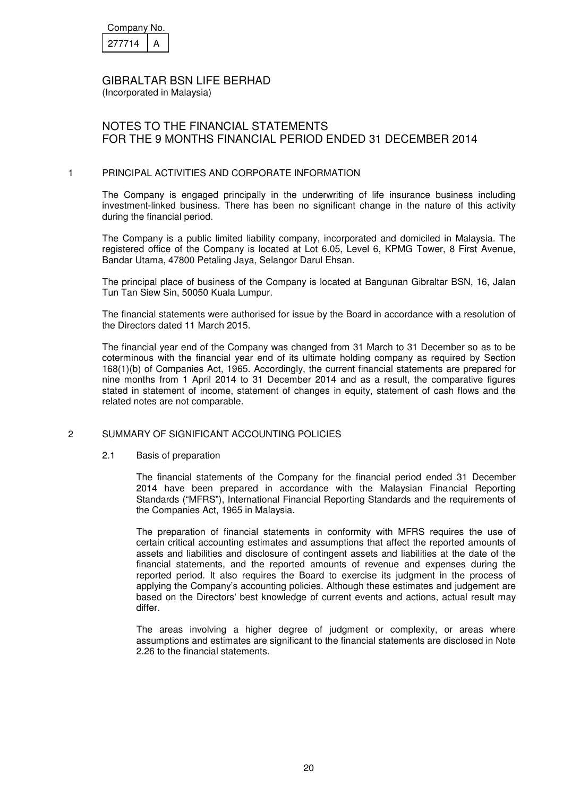| Company No. |  |  |
|-------------|--|--|
| 277714      |  |  |

(Incorporated in Malaysia)

## NOTES TO THE FINANCIAL STATEMENTS FOR THE 9 MONTHS FINANCIAL PERIOD ENDED 31 DECEMBER 2014

## 1 PRINCIPAL ACTIVITIES AND CORPORATE INFORMATION

The Company is engaged principally in the underwriting of life insurance business including investment-linked business. There has been no significant change in the nature of this activity during the financial period.

The Company is a public limited liability company, incorporated and domiciled in Malaysia. The registered office of the Company is located at Lot 6.05, Level 6, KPMG Tower, 8 First Avenue, Bandar Utama, 47800 Petaling Jaya, Selangor Darul Ehsan.

The principal place of business of the Company is located at Bangunan Gibraltar BSN, 16, Jalan Tun Tan Siew Sin, 50050 Kuala Lumpur.

The financial statements were authorised for issue by the Board in accordance with a resolution of the Directors dated 11 March 2015.

The financial year end of the Company was changed from 31 March to 31 December so as to be coterminous with the financial year end of its ultimate holding company as required by Section 168(1)(b) of Companies Act, 1965. Accordingly, the current financial statements are prepared for nine months from 1 April 2014 to 31 December 2014 and as a result, the comparative figures stated in statement of income, statement of changes in equity, statement of cash flows and the related notes are not comparable.

## 2 SUMMARY OF SIGNIFICANT ACCOUNTING POLICIES

## 2.1 Basis of preparation

The financial statements of the Company for the financial period ended 31 December 2014 have been prepared in accordance with the Malaysian Financial Reporting Standards ("MFRS"), International Financial Reporting Standards and the requirements of the Companies Act, 1965 in Malaysia.

The preparation of financial statements in conformity with MFRS requires the use of certain critical accounting estimates and assumptions that affect the reported amounts of assets and liabilities and disclosure of contingent assets and liabilities at the date of the financial statements, and the reported amounts of revenue and expenses during the reported period. It also requires the Board to exercise its judgment in the process of applying the Company's accounting policies. Although these estimates and judgement are based on the Directors' best knowledge of current events and actions, actual result may differ.

The areas involving a higher degree of judgment or complexity, or areas where assumptions and estimates are significant to the financial statements are disclosed in Note 2.26 to the financial statements.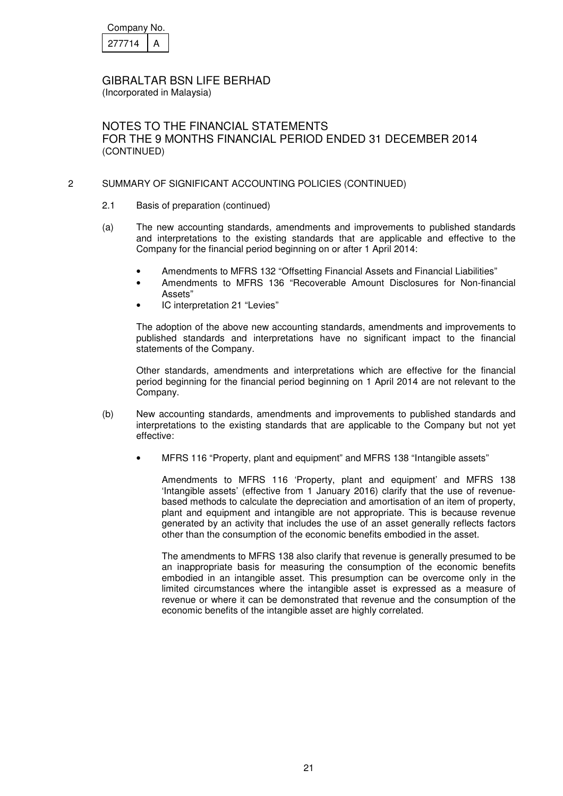| Company No. |  |  |
|-------------|--|--|
| 277714      |  |  |

(Incorporated in Malaysia)

NOTES TO THE FINANCIAL STATEMENTS FOR THE 9 MONTHS FINANCIAL PERIOD ENDED 31 DECEMBER 2014 (CONTINUED)

## 2 SUMMARY OF SIGNIFICANT ACCOUNTING POLICIES (CONTINUED)

- 2.1 Basis of preparation (continued)
- (a) The new accounting standards, amendments and improvements to published standards and interpretations to the existing standards that are applicable and effective to the Company for the financial period beginning on or after 1 April 2014:
	- Amendments to MFRS 132 "Offsetting Financial Assets and Financial Liabilities"
	- Amendments to MFRS 136 "Recoverable Amount Disclosures for Non-financial Assets"
	- IC interpretation 21 "Levies"

The adoption of the above new accounting standards, amendments and improvements to published standards and interpretations have no significant impact to the financial statements of the Company.

Other standards, amendments and interpretations which are effective for the financial period beginning for the financial period beginning on 1 April 2014 are not relevant to the Company.

- (b) New accounting standards, amendments and improvements to published standards and interpretations to the existing standards that are applicable to the Company but not yet effective:
	- MFRS 116 "Property, plant and equipment" and MFRS 138 "Intangible assets"

Amendments to MFRS 116 'Property, plant and equipment' and MFRS 138 'Intangible assets' (effective from 1 January 2016) clarify that the use of revenuebased methods to calculate the depreciation and amortisation of an item of property, plant and equipment and intangible are not appropriate. This is because revenue generated by an activity that includes the use of an asset generally reflects factors other than the consumption of the economic benefits embodied in the asset.

The amendments to MFRS 138 also clarify that revenue is generally presumed to be an inappropriate basis for measuring the consumption of the economic benefits embodied in an intangible asset. This presumption can be overcome only in the limited circumstances where the intangible asset is expressed as a measure of revenue or where it can be demonstrated that revenue and the consumption of the economic benefits of the intangible asset are highly correlated.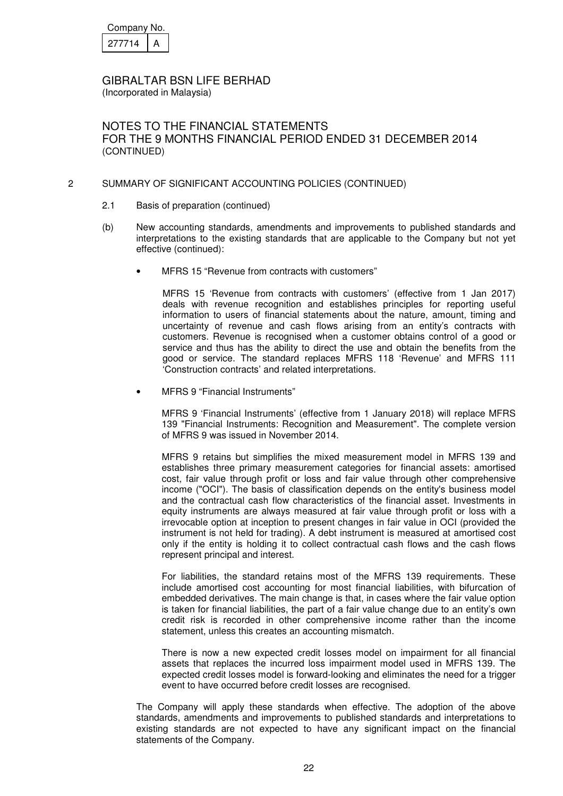| Company No. |  |  |
|-------------|--|--|
| 277714      |  |  |

(Incorporated in Malaysia)

NOTES TO THE FINANCIAL STATEMENTS FOR THE 9 MONTHS FINANCIAL PERIOD ENDED 31 DECEMBER 2014 (CONTINUED)

## 2 SUMMARY OF SIGNIFICANT ACCOUNTING POLICIES (CONTINUED)

- 2.1 Basis of preparation (continued)
- (b) New accounting standards, amendments and improvements to published standards and interpretations to the existing standards that are applicable to the Company but not yet effective (continued):
	- MFRS 15 "Revenue from contracts with customers"

MFRS 15 'Revenue from contracts with customers' (effective from 1 Jan 2017) deals with revenue recognition and establishes principles for reporting useful information to users of financial statements about the nature, amount, timing and uncertainty of revenue and cash flows arising from an entity's contracts with customers. Revenue is recognised when a customer obtains control of a good or service and thus has the ability to direct the use and obtain the benefits from the good or service. The standard replaces MFRS 118 'Revenue' and MFRS 111 'Construction contracts' and related interpretations.

• MFRS 9 "Financial Instruments"

MFRS 9 'Financial Instruments' (effective from 1 January 2018) will replace MFRS 139 "Financial Instruments: Recognition and Measurement". The complete version of MFRS 9 was issued in November 2014.

MFRS 9 retains but simplifies the mixed measurement model in MFRS 139 and establishes three primary measurement categories for financial assets: amortised cost, fair value through profit or loss and fair value through other comprehensive income ("OCI"). The basis of classification depends on the entity's business model and the contractual cash flow characteristics of the financial asset. Investments in equity instruments are always measured at fair value through profit or loss with a irrevocable option at inception to present changes in fair value in OCI (provided the instrument is not held for trading). A debt instrument is measured at amortised cost only if the entity is holding it to collect contractual cash flows and the cash flows represent principal and interest.

For liabilities, the standard retains most of the MFRS 139 requirements. These include amortised cost accounting for most financial liabilities, with bifurcation of embedded derivatives. The main change is that, in cases where the fair value option is taken for financial liabilities, the part of a fair value change due to an entity's own credit risk is recorded in other comprehensive income rather than the income statement, unless this creates an accounting mismatch.

There is now a new expected credit losses model on impairment for all financial assets that replaces the incurred loss impairment model used in MFRS 139. The expected credit losses model is forward-looking and eliminates the need for a trigger event to have occurred before credit losses are recognised.

The Company will apply these standards when effective. The adoption of the above standards, amendments and improvements to published standards and interpretations to existing standards are not expected to have any significant impact on the financial statements of the Company.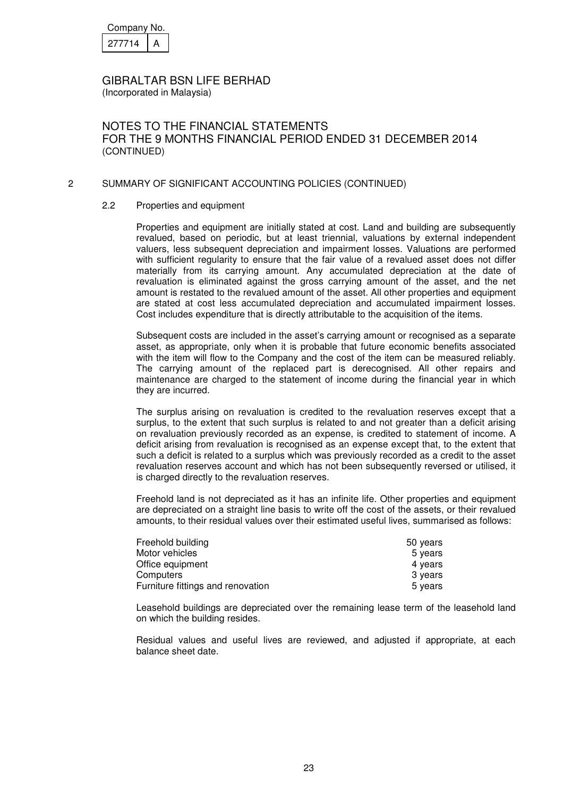| Company No. |  |  |
|-------------|--|--|
| 27714       |  |  |

NOTES TO THE FINANCIAL STATEMENTS FOR THE 9 MONTHS FINANCIAL PERIOD ENDED 31 DECEMBER 2014 (CONTINUED)

## 2 SUMMARY OF SIGNIFICANT ACCOUNTING POLICIES (CONTINUED)

## 2.2 Properties and equipment

Properties and equipment are initially stated at cost. Land and building are subsequently revalued, based on periodic, but at least triennial, valuations by external independent valuers, less subsequent depreciation and impairment losses. Valuations are performed with sufficient regularity to ensure that the fair value of a revalued asset does not differ materially from its carrying amount. Any accumulated depreciation at the date of revaluation is eliminated against the gross carrying amount of the asset, and the net amount is restated to the revalued amount of the asset. All other properties and equipment are stated at cost less accumulated depreciation and accumulated impairment losses. Cost includes expenditure that is directly attributable to the acquisition of the items.

Subsequent costs are included in the asset's carrying amount or recognised as a separate asset, as appropriate, only when it is probable that future economic benefits associated with the item will flow to the Company and the cost of the item can be measured reliably. The carrying amount of the replaced part is derecognised. All other repairs and maintenance are charged to the statement of income during the financial year in which they are incurred.

The surplus arising on revaluation is credited to the revaluation reserves except that a surplus, to the extent that such surplus is related to and not greater than a deficit arising on revaluation previously recorded as an expense, is credited to statement of income. A deficit arising from revaluation is recognised as an expense except that, to the extent that such a deficit is related to a surplus which was previously recorded as a credit to the asset revaluation reserves account and which has not been subsequently reversed or utilised, it is charged directly to the revaluation reserves.

Freehold land is not depreciated as it has an infinite life. Other properties and equipment are depreciated on a straight line basis to write off the cost of the assets, or their revalued amounts, to their residual values over their estimated useful lives, summarised as follows:

| Freehold building                 | 50 years |
|-----------------------------------|----------|
| Motor vehicles                    | 5 years  |
| Office equipment                  | 4 years  |
| Computers                         | 3 years  |
| Furniture fittings and renovation | 5 years  |

Leasehold buildings are depreciated over the remaining lease term of the leasehold land on which the building resides.

Residual values and useful lives are reviewed, and adjusted if appropriate, at each balance sheet date.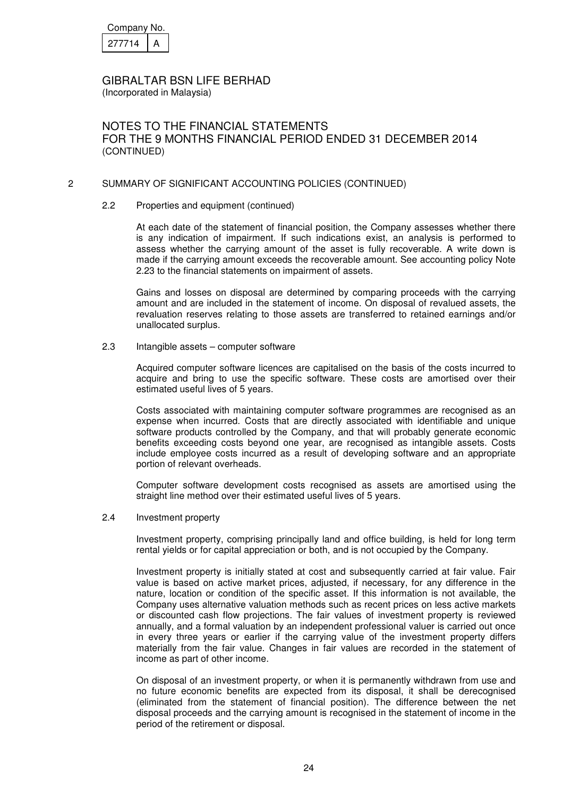| Company No. |  |  |
|-------------|--|--|
| 277714      |  |  |

(Incorporated in Malaysia)

NOTES TO THE FINANCIAL STATEMENTS FOR THE 9 MONTHS FINANCIAL PERIOD ENDED 31 DECEMBER 2014 (CONTINUED)

## 2 SUMMARY OF SIGNIFICANT ACCOUNTING POLICIES (CONTINUED)

## 2.2 Properties and equipment (continued)

At each date of the statement of financial position, the Company assesses whether there is any indication of impairment. If such indications exist, an analysis is performed to assess whether the carrying amount of the asset is fully recoverable. A write down is made if the carrying amount exceeds the recoverable amount. See accounting policy Note 2.23 to the financial statements on impairment of assets.

Gains and losses on disposal are determined by comparing proceeds with the carrying amount and are included in the statement of income. On disposal of revalued assets, the revaluation reserves relating to those assets are transferred to retained earnings and/or unallocated surplus.

## 2.3 Intangible assets – computer software

Acquired computer software licences are capitalised on the basis of the costs incurred to acquire and bring to use the specific software. These costs are amortised over their estimated useful lives of 5 years.

Costs associated with maintaining computer software programmes are recognised as an expense when incurred. Costs that are directly associated with identifiable and unique software products controlled by the Company, and that will probably generate economic benefits exceeding costs beyond one year, are recognised as intangible assets. Costs include employee costs incurred as a result of developing software and an appropriate portion of relevant overheads.

Computer software development costs recognised as assets are amortised using the straight line method over their estimated useful lives of 5 years.

## 2.4 Investment property

Investment property, comprising principally land and office building, is held for long term rental yields or for capital appreciation or both, and is not occupied by the Company.

Investment property is initially stated at cost and subsequently carried at fair value. Fair value is based on active market prices, adjusted, if necessary, for any difference in the nature, location or condition of the specific asset. If this information is not available, the Company uses alternative valuation methods such as recent prices on less active markets or discounted cash flow projections. The fair values of investment property is reviewed annually, and a formal valuation by an independent professional valuer is carried out once in every three years or earlier if the carrying value of the investment property differs materially from the fair value. Changes in fair values are recorded in the statement of income as part of other income.

On disposal of an investment property, or when it is permanently withdrawn from use and no future economic benefits are expected from its disposal, it shall be derecognised (eliminated from the statement of financial position). The difference between the net disposal proceeds and the carrying amount is recognised in the statement of income in the period of the retirement or disposal.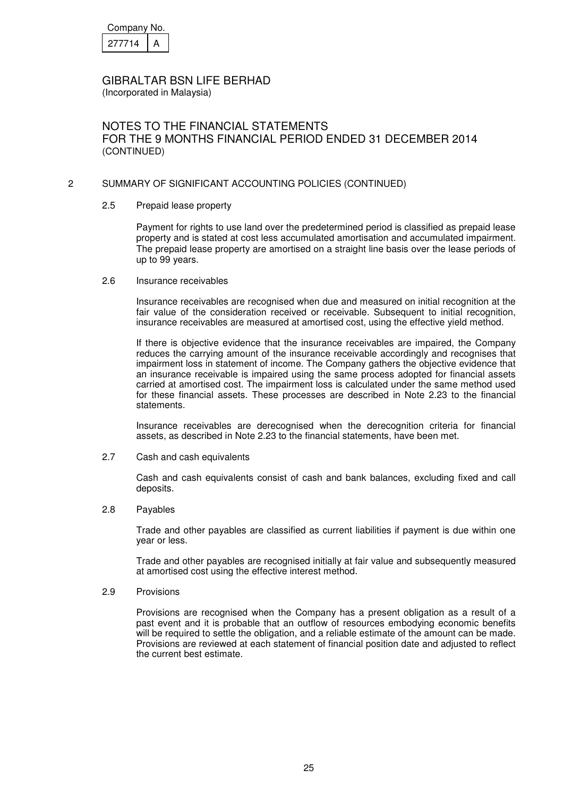| Company No. |  |  |
|-------------|--|--|
| 277714      |  |  |

(Incorporated in Malaysia)

NOTES TO THE FINANCIAL STATEMENTS FOR THE 9 MONTHS FINANCIAL PERIOD ENDED 31 DECEMBER 2014 (CONTINUED)

## 2 SUMMARY OF SIGNIFICANT ACCOUNTING POLICIES (CONTINUED)

2.5 Prepaid lease property

Payment for rights to use land over the predetermined period is classified as prepaid lease property and is stated at cost less accumulated amortisation and accumulated impairment. The prepaid lease property are amortised on a straight line basis over the lease periods of up to 99 years.

2.6 Insurance receivables

Insurance receivables are recognised when due and measured on initial recognition at the fair value of the consideration received or receivable. Subsequent to initial recognition, insurance receivables are measured at amortised cost, using the effective yield method.

If there is objective evidence that the insurance receivables are impaired, the Company reduces the carrying amount of the insurance receivable accordingly and recognises that impairment loss in statement of income. The Company gathers the objective evidence that an insurance receivable is impaired using the same process adopted for financial assets carried at amortised cost. The impairment loss is calculated under the same method used for these financial assets. These processes are described in Note 2.23 to the financial statements.

Insurance receivables are derecognised when the derecognition criteria for financial assets, as described in Note 2.23 to the financial statements, have been met.

2.7 Cash and cash equivalents

Cash and cash equivalents consist of cash and bank balances, excluding fixed and call deposits.

2.8 Payables

Trade and other payables are classified as current liabilities if payment is due within one year or less.

Trade and other payables are recognised initially at fair value and subsequently measured at amortised cost using the effective interest method.

2.9 Provisions

 Provisions are recognised when the Company has a present obligation as a result of a past event and it is probable that an outflow of resources embodying economic benefits will be required to settle the obligation, and a reliable estimate of the amount can be made. Provisions are reviewed at each statement of financial position date and adjusted to reflect the current best estimate.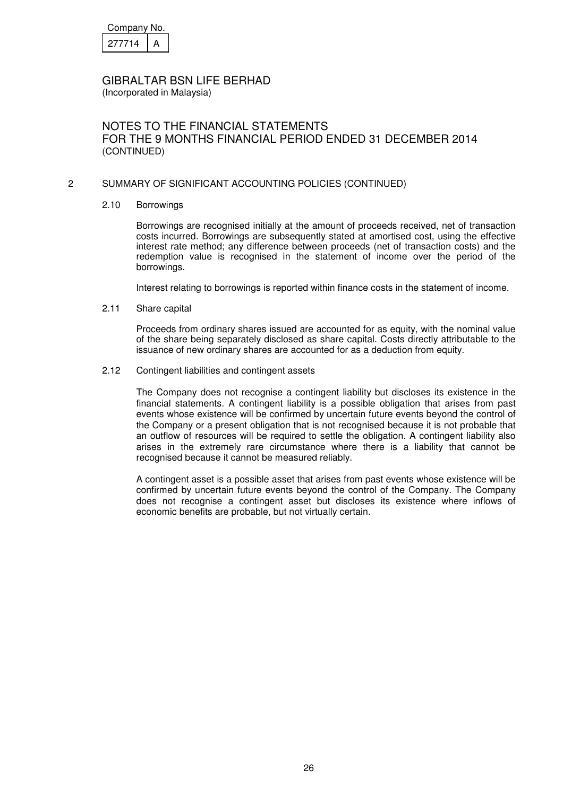| Company No. |  |  |
|-------------|--|--|
| 277714      |  |  |

(Incorporated in Malaysia)

NOTES TO THE FINANCIAL STATEMENTS FOR THE 9 MONTHS FINANCIAL PERIOD ENDED 31 DECEMBER 2014 (CONTINUED)

## 2 SUMMARY OF SIGNIFICANT ACCOUNTING POLICIES (CONTINUED)

2.10 Borrowings

Borrowings are recognised initially at the amount of proceeds received, net of transaction costs incurred. Borrowings are subsequently stated at amortised cost, using the effective interest rate method; any difference between proceeds (net of transaction costs) and the redemption value is recognised in the statement of income over the period of the borrowings.

Interest relating to borrowings is reported within finance costs in the statement of income.

2.11 Share capital

Proceeds from ordinary shares issued are accounted for as equity, with the nominal value of the share being separately disclosed as share capital. Costs directly attributable to the issuance of new ordinary shares are accounted for as a deduction from equity.

2.12 Contingent liabilities and contingent assets

The Company does not recognise a contingent liability but discloses its existence in the financial statements. A contingent liability is a possible obligation that arises from past events whose existence will be confirmed by uncertain future events beyond the control of the Company or a present obligation that is not recognised because it is not probable that an outflow of resources will be required to settle the obligation. A contingent liability also arises in the extremely rare circumstance where there is a liability that cannot be recognised because it cannot be measured reliably.

A contingent asset is a possible asset that arises from past events whose existence will be confirmed by uncertain future events beyond the control of the Company. The Company does not recognise a contingent asset but discloses its existence where inflows of economic benefits are probable, but not virtually certain.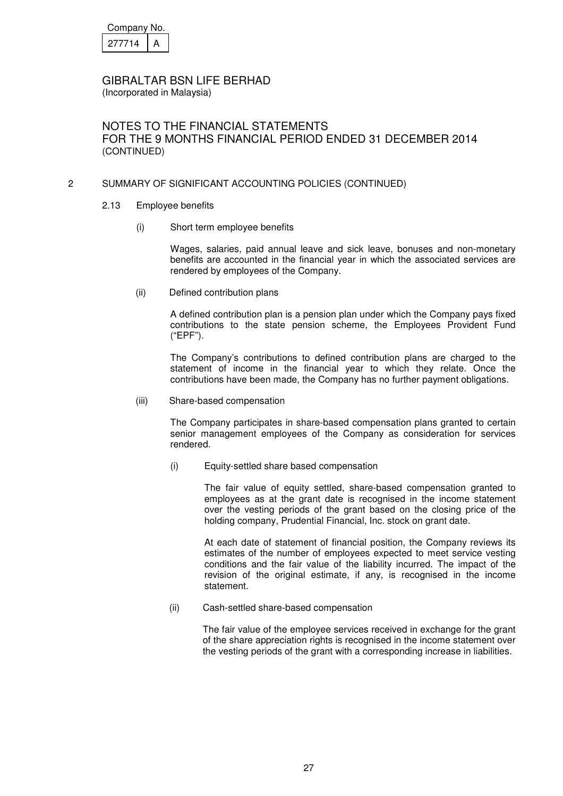| Company No. |  |
|-------------|--|
| 277714      |  |

(Incorporated in Malaysia)

NOTES TO THE FINANCIAL STATEMENTS FOR THE 9 MONTHS FINANCIAL PERIOD ENDED 31 DECEMBER 2014 (CONTINUED)

## 2 SUMMARY OF SIGNIFICANT ACCOUNTING POLICIES (CONTINUED)

- 2.13 Employee benefits
	- (i) Short term employee benefits

Wages, salaries, paid annual leave and sick leave, bonuses and non-monetary benefits are accounted in the financial year in which the associated services are rendered by employees of the Company.

(ii) Defined contribution plans

A defined contribution plan is a pension plan under which the Company pays fixed contributions to the state pension scheme, the Employees Provident Fund ("EPF").

The Company's contributions to defined contribution plans are charged to the statement of income in the financial year to which they relate. Once the contributions have been made, the Company has no further payment obligations.

(iii) Share-based compensation

The Company participates in share-based compensation plans granted to certain senior management employees of the Company as consideration for services rendered.

(i) Equity-settled share based compensation

The fair value of equity settled, share-based compensation granted to employees as at the grant date is recognised in the income statement over the vesting periods of the grant based on the closing price of the holding company, Prudential Financial, Inc. stock on grant date.

At each date of statement of financial position, the Company reviews its estimates of the number of employees expected to meet service vesting conditions and the fair value of the liability incurred. The impact of the revision of the original estimate, if any, is recognised in the income statement.

(ii) Cash-settled share-based compensation

The fair value of the employee services received in exchange for the grant of the share appreciation rights is recognised in the income statement over the vesting periods of the grant with a corresponding increase in liabilities.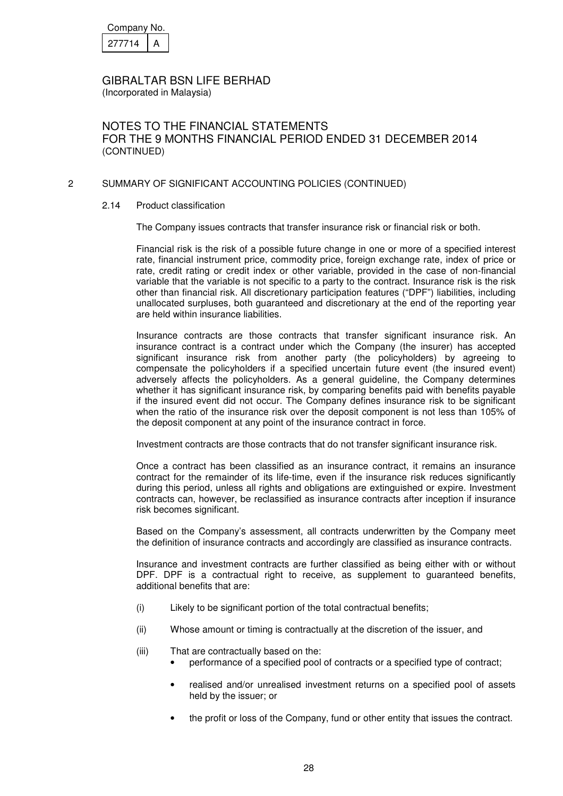| Company No. |  |
|-------------|--|
| 277714      |  |

NOTES TO THE FINANCIAL STATEMENTS FOR THE 9 MONTHS FINANCIAL PERIOD ENDED 31 DECEMBER 2014 (CONTINUED)

## 2 SUMMARY OF SIGNIFICANT ACCOUNTING POLICIES (CONTINUED)

## 2.14 Product classification

The Company issues contracts that transfer insurance risk or financial risk or both.

Financial risk is the risk of a possible future change in one or more of a specified interest rate, financial instrument price, commodity price, foreign exchange rate, index of price or rate, credit rating or credit index or other variable, provided in the case of non-financial variable that the variable is not specific to a party to the contract. Insurance risk is the risk other than financial risk. All discretionary participation features ("DPF") liabilities, including unallocated surpluses, both guaranteed and discretionary at the end of the reporting year are held within insurance liabilities.

Insurance contracts are those contracts that transfer significant insurance risk. An insurance contract is a contract under which the Company (the insurer) has accepted significant insurance risk from another party (the policyholders) by agreeing to compensate the policyholders if a specified uncertain future event (the insured event) adversely affects the policyholders. As a general guideline, the Company determines whether it has significant insurance risk, by comparing benefits paid with benefits payable if the insured event did not occur. The Company defines insurance risk to be significant when the ratio of the insurance risk over the deposit component is not less than 105% of the deposit component at any point of the insurance contract in force.

Investment contracts are those contracts that do not transfer significant insurance risk.

Once a contract has been classified as an insurance contract, it remains an insurance contract for the remainder of its life-time, even if the insurance risk reduces significantly during this period, unless all rights and obligations are extinguished or expire. Investment contracts can, however, be reclassified as insurance contracts after inception if insurance risk becomes significant.

Based on the Company's assessment, all contracts underwritten by the Company meet the definition of insurance contracts and accordingly are classified as insurance contracts.

Insurance and investment contracts are further classified as being either with or without DPF. DPF is a contractual right to receive, as supplement to guaranteed benefits, additional benefits that are:

- (i) Likely to be significant portion of the total contractual benefits;
- (ii) Whose amount or timing is contractually at the discretion of the issuer, and
- (iii) That are contractually based on the:
	- performance of a specified pool of contracts or a specified type of contract;
	- realised and/or unrealised investment returns on a specified pool of assets held by the issuer; or
	- the profit or loss of the Company, fund or other entity that issues the contract.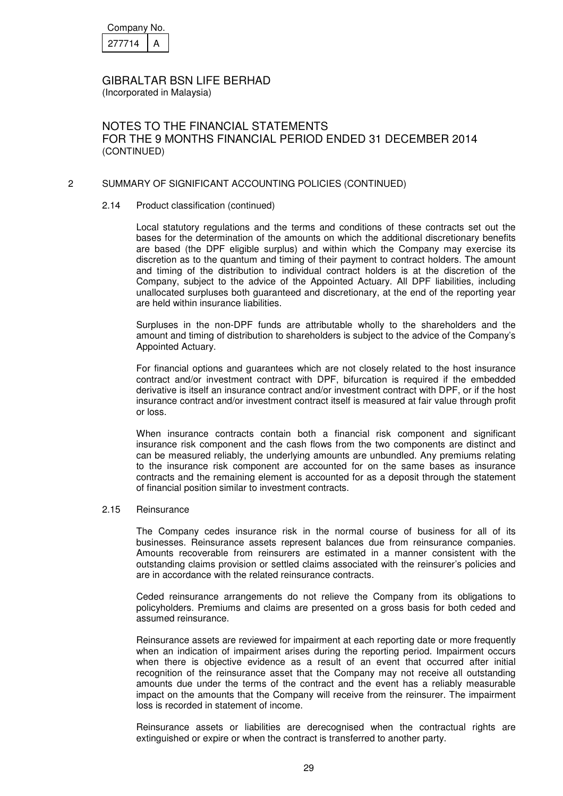| Company No. |  |
|-------------|--|
| 277714      |  |

NOTES TO THE FINANCIAL STATEMENTS FOR THE 9 MONTHS FINANCIAL PERIOD ENDED 31 DECEMBER 2014 (CONTINUED)

## 2 SUMMARY OF SIGNIFICANT ACCOUNTING POLICIES (CONTINUED)

## 2.14 Product classification (continued)

Local statutory regulations and the terms and conditions of these contracts set out the bases for the determination of the amounts on which the additional discretionary benefits are based (the DPF eligible surplus) and within which the Company may exercise its discretion as to the quantum and timing of their payment to contract holders. The amount and timing of the distribution to individual contract holders is at the discretion of the Company, subject to the advice of the Appointed Actuary. All DPF liabilities, including unallocated surpluses both guaranteed and discretionary, at the end of the reporting year are held within insurance liabilities.

Surpluses in the non-DPF funds are attributable wholly to the shareholders and the amount and timing of distribution to shareholders is subject to the advice of the Company's Appointed Actuary.

For financial options and guarantees which are not closely related to the host insurance contract and/or investment contract with DPF, bifurcation is required if the embedded derivative is itself an insurance contract and/or investment contract with DPF, or if the host insurance contract and/or investment contract itself is measured at fair value through profit or loss.

When insurance contracts contain both a financial risk component and significant insurance risk component and the cash flows from the two components are distinct and can be measured reliably, the underlying amounts are unbundled. Any premiums relating to the insurance risk component are accounted for on the same bases as insurance contracts and the remaining element is accounted for as a deposit through the statement of financial position similar to investment contracts.

#### 2.15 Reinsurance

The Company cedes insurance risk in the normal course of business for all of its businesses. Reinsurance assets represent balances due from reinsurance companies. Amounts recoverable from reinsurers are estimated in a manner consistent with the outstanding claims provision or settled claims associated with the reinsurer's policies and are in accordance with the related reinsurance contracts.

Ceded reinsurance arrangements do not relieve the Company from its obligations to policyholders. Premiums and claims are presented on a gross basis for both ceded and assumed reinsurance.

Reinsurance assets are reviewed for impairment at each reporting date or more frequently when an indication of impairment arises during the reporting period. Impairment occurs when there is objective evidence as a result of an event that occurred after initial recognition of the reinsurance asset that the Company may not receive all outstanding amounts due under the terms of the contract and the event has a reliably measurable impact on the amounts that the Company will receive from the reinsurer. The impairment loss is recorded in statement of income.

Reinsurance assets or liabilities are derecognised when the contractual rights are extinguished or expire or when the contract is transferred to another party.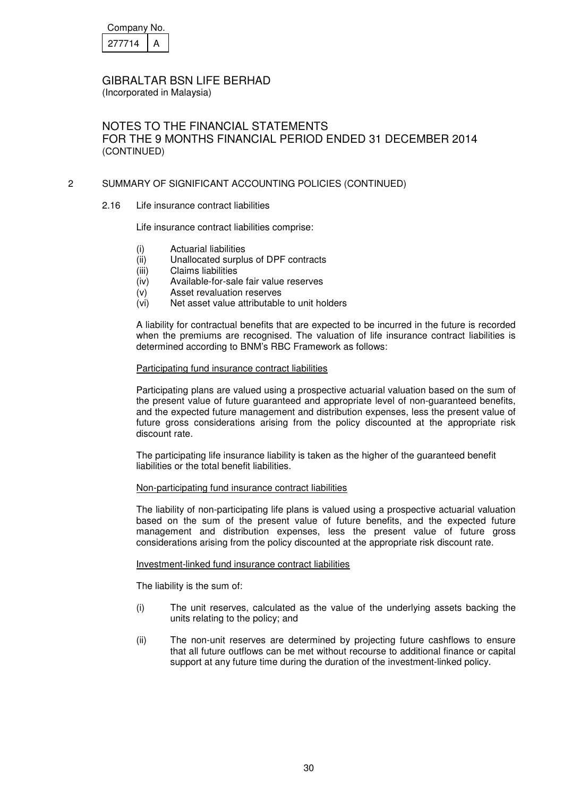| Company No. |  |
|-------------|--|
| 277714      |  |

(Incorporated in Malaysia)

## NOTES TO THE FINANCIAL STATEMENTS FOR THE 9 MONTHS FINANCIAL PERIOD ENDED 31 DECEMBER 2014 (CONTINUED)

## 2 SUMMARY OF SIGNIFICANT ACCOUNTING POLICIES (CONTINUED)

2.16 Life insurance contract liabilities

Life insurance contract liabilities comprise:

- (i) Actuarial liabilities
- (ii) Unallocated surplus of DPF contracts
- (iii) Claims liabilities
- (iv) Available-for-sale fair value reserves
- (v) Asset revaluation reserves
- (vi) Net asset value attributable to unit holders

A liability for contractual benefits that are expected to be incurred in the future is recorded when the premiums are recognised. The valuation of life insurance contract liabilities is determined according to BNM's RBC Framework as follows:

## Participating fund insurance contract liabilities

Participating plans are valued using a prospective actuarial valuation based on the sum of the present value of future guaranteed and appropriate level of non-guaranteed benefits, and the expected future management and distribution expenses, less the present value of future gross considerations arising from the policy discounted at the appropriate risk discount rate.

The participating life insurance liability is taken as the higher of the guaranteed benefit liabilities or the total benefit liabilities.

## Non-participating fund insurance contract liabilities

The liability of non-participating life plans is valued using a prospective actuarial valuation based on the sum of the present value of future benefits, and the expected future management and distribution expenses, less the present value of future gross considerations arising from the policy discounted at the appropriate risk discount rate.

## Investment-linked fund insurance contract liabilities

The liability is the sum of:

- (i) The unit reserves, calculated as the value of the underlying assets backing the units relating to the policy; and
- (ii) The non-unit reserves are determined by projecting future cashflows to ensure that all future outflows can be met without recourse to additional finance or capital support at any future time during the duration of the investment-linked policy.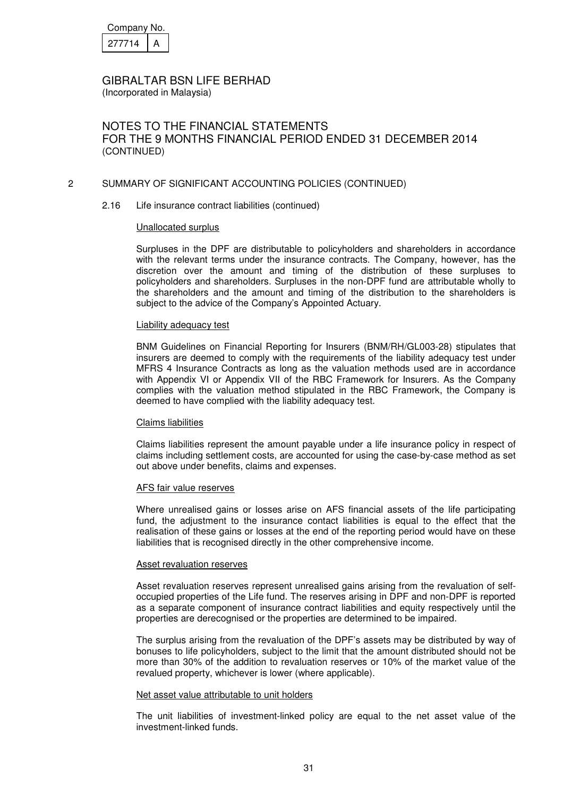| Company No. |  |
|-------------|--|
| 277714      |  |

NOTES TO THE FINANCIAL STATEMENTS FOR THE 9 MONTHS FINANCIAL PERIOD ENDED 31 DECEMBER 2014 (CONTINUED)

## 2 SUMMARY OF SIGNIFICANT ACCOUNTING POLICIES (CONTINUED)

## 2.16 Life insurance contract liabilities (continued)

## Unallocated surplus

Surpluses in the DPF are distributable to policyholders and shareholders in accordance with the relevant terms under the insurance contracts. The Company, however, has the discretion over the amount and timing of the distribution of these surpluses to policyholders and shareholders. Surpluses in the non-DPF fund are attributable wholly to the shareholders and the amount and timing of the distribution to the shareholders is subject to the advice of the Company's Appointed Actuary.

## Liability adequacy test

BNM Guidelines on Financial Reporting for Insurers (BNM/RH/GL003-28) stipulates that insurers are deemed to comply with the requirements of the liability adequacy test under MFRS 4 Insurance Contracts as long as the valuation methods used are in accordance with Appendix VI or Appendix VII of the RBC Framework for Insurers. As the Company complies with the valuation method stipulated in the RBC Framework, the Company is deemed to have complied with the liability adequacy test.

## Claims liabilities

Claims liabilities represent the amount payable under a life insurance policy in respect of claims including settlement costs, are accounted for using the case-by-case method as set out above under benefits, claims and expenses.

## AFS fair value reserves

Where unrealised gains or losses arise on AFS financial assets of the life participating fund, the adjustment to the insurance contact liabilities is equal to the effect that the realisation of these gains or losses at the end of the reporting period would have on these liabilities that is recognised directly in the other comprehensive income.

## Asset revaluation reserves

Asset revaluation reserves represent unrealised gains arising from the revaluation of selfoccupied properties of the Life fund. The reserves arising in DPF and non-DPF is reported as a separate component of insurance contract liabilities and equity respectively until the properties are derecognised or the properties are determined to be impaired.

The surplus arising from the revaluation of the DPF's assets may be distributed by way of bonuses to life policyholders, subject to the limit that the amount distributed should not be more than 30% of the addition to revaluation reserves or 10% of the market value of the revalued property, whichever is lower (where applicable).

## Net asset value attributable to unit holders

The unit liabilities of investment-linked policy are equal to the net asset value of the investment-linked funds.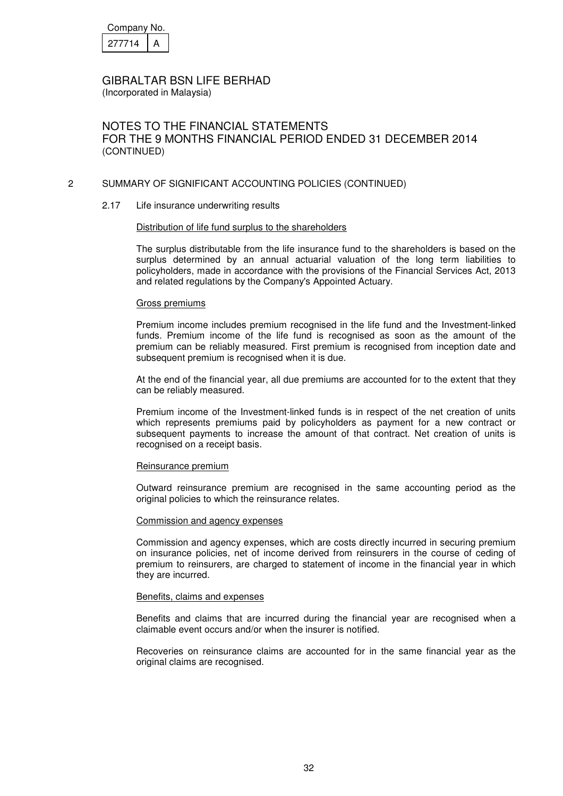| Company No. |  |
|-------------|--|
| 277714      |  |

## NOTES TO THE FINANCIAL STATEMENTS FOR THE 9 MONTHS FINANCIAL PERIOD ENDED 31 DECEMBER 2014 (CONTINUED)

## 2 SUMMARY OF SIGNIFICANT ACCOUNTING POLICIES (CONTINUED)

## 2.17 Life insurance underwriting results

## Distribution of life fund surplus to the shareholders

The surplus distributable from the life insurance fund to the shareholders is based on the surplus determined by an annual actuarial valuation of the long term liabilities to policyholders, made in accordance with the provisions of the Financial Services Act, 2013 and related regulations by the Company's Appointed Actuary.

## Gross premiums

Premium income includes premium recognised in the life fund and the Investment-linked funds. Premium income of the life fund is recognised as soon as the amount of the premium can be reliably measured. First premium is recognised from inception date and subsequent premium is recognised when it is due.

At the end of the financial year, all due premiums are accounted for to the extent that they can be reliably measured.

Premium income of the Investment-linked funds is in respect of the net creation of units which represents premiums paid by policyholders as payment for a new contract or subsequent payments to increase the amount of that contract. Net creation of units is recognised on a receipt basis.

## Reinsurance premium

Outward reinsurance premium are recognised in the same accounting period as the original policies to which the reinsurance relates.

## Commission and agency expenses

Commission and agency expenses, which are costs directly incurred in securing premium on insurance policies, net of income derived from reinsurers in the course of ceding of premium to reinsurers, are charged to statement of income in the financial year in which they are incurred.

## Benefits, claims and expenses

Benefits and claims that are incurred during the financial year are recognised when a claimable event occurs and/or when the insurer is notified.

Recoveries on reinsurance claims are accounted for in the same financial year as the original claims are recognised.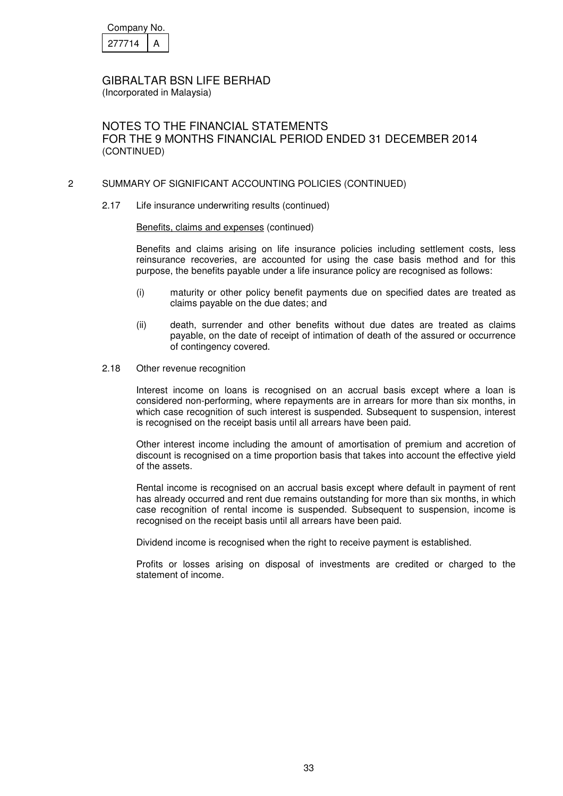| Company No. |  |
|-------------|--|
| 277714      |  |

NOTES TO THE FINANCIAL STATEMENTS FOR THE 9 MONTHS FINANCIAL PERIOD ENDED 31 DECEMBER 2014 (CONTINUED)

## 2 SUMMARY OF SIGNIFICANT ACCOUNTING POLICIES (CONTINUED)

2.17 Life insurance underwriting results (continued)

Benefits, claims and expenses (continued)

Benefits and claims arising on life insurance policies including settlement costs, less reinsurance recoveries, are accounted for using the case basis method and for this purpose, the benefits payable under a life insurance policy are recognised as follows:

- (i) maturity or other policy benefit payments due on specified dates are treated as claims payable on the due dates; and
- (ii) death, surrender and other benefits without due dates are treated as claims payable, on the date of receipt of intimation of death of the assured or occurrence of contingency covered.
- 2.18 Other revenue recognition

Interest income on loans is recognised on an accrual basis except where a loan is considered non-performing, where repayments are in arrears for more than six months, in which case recognition of such interest is suspended. Subsequent to suspension, interest is recognised on the receipt basis until all arrears have been paid.

Other interest income including the amount of amortisation of premium and accretion of discount is recognised on a time proportion basis that takes into account the effective yield of the assets.

 Rental income is recognised on an accrual basis except where default in payment of rent has already occurred and rent due remains outstanding for more than six months, in which case recognition of rental income is suspended. Subsequent to suspension, income is recognised on the receipt basis until all arrears have been paid.

Dividend income is recognised when the right to receive payment is established.

Profits or losses arising on disposal of investments are credited or charged to the statement of income.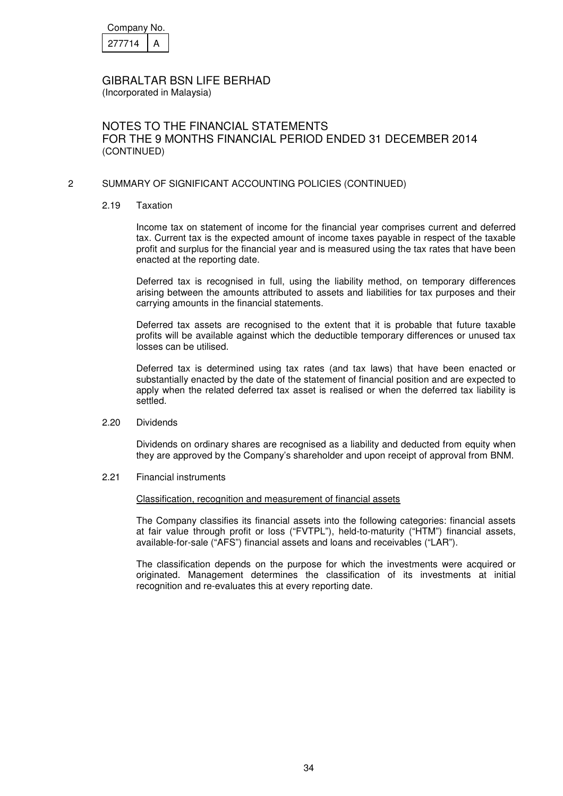| Company No. |  |
|-------------|--|
| 277714      |  |

(Incorporated in Malaysia)

## NOTES TO THE FINANCIAL STATEMENTS FOR THE 9 MONTHS FINANCIAL PERIOD ENDED 31 DECEMBER 2014 (CONTINUED)

## 2 SUMMARY OF SIGNIFICANT ACCOUNTING POLICIES (CONTINUED)

## 2.19 Taxation

Income tax on statement of income for the financial year comprises current and deferred tax. Current tax is the expected amount of income taxes payable in respect of the taxable profit and surplus for the financial year and is measured using the tax rates that have been enacted at the reporting date.

Deferred tax is recognised in full, using the liability method, on temporary differences arising between the amounts attributed to assets and liabilities for tax purposes and their carrying amounts in the financial statements.

Deferred tax assets are recognised to the extent that it is probable that future taxable profits will be available against which the deductible temporary differences or unused tax losses can be utilised.

Deferred tax is determined using tax rates (and tax laws) that have been enacted or substantially enacted by the date of the statement of financial position and are expected to apply when the related deferred tax asset is realised or when the deferred tax liability is settled.

## 2.20 Dividends

 Dividends on ordinary shares are recognised as a liability and deducted from equity when they are approved by the Company's shareholder and upon receipt of approval from BNM.

## 2.21 Financial instruments

Classification, recognition and measurement of financial assets

 The Company classifies its financial assets into the following categories: financial assets at fair value through profit or loss ("FVTPL"), held-to-maturity ("HTM") financial assets, available-for-sale ("AFS") financial assets and loans and receivables ("LAR").

 The classification depends on the purpose for which the investments were acquired or originated. Management determines the classification of its investments at initial recognition and re-evaluates this at every reporting date.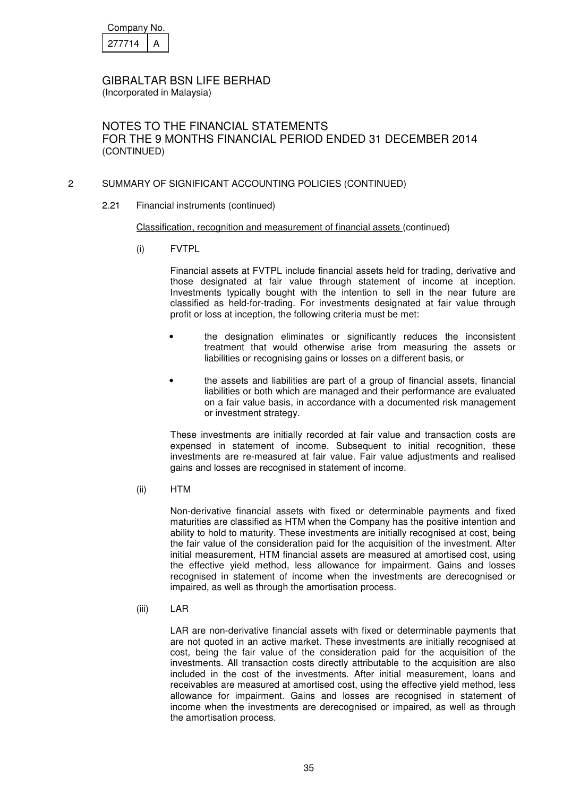| Company No. |  |  |  |  |
|-------------|--|--|--|--|
| 277714      |  |  |  |  |

NOTES TO THE FINANCIAL STATEMENTS FOR THE 9 MONTHS FINANCIAL PERIOD ENDED 31 DECEMBER 2014 (CONTINUED)

- 2 SUMMARY OF SIGNIFICANT ACCOUNTING POLICIES (CONTINUED)
	- 2.21 Financial instruments (continued)

Classification, recognition and measurement of financial assets (continued)

(i) FVTPL

 Financial assets at FVTPL include financial assets held for trading, derivative and those designated at fair value through statement of income at inception. Investments typically bought with the intention to sell in the near future are classified as held-for-trading. For investments designated at fair value through profit or loss at inception, the following criteria must be met:

- the designation eliminates or significantly reduces the inconsistent treatment that would otherwise arise from measuring the assets or liabilities or recognising gains or losses on a different basis, or
- the assets and liabilities are part of a group of financial assets, financial liabilities or both which are managed and their performance are evaluated on a fair value basis, in accordance with a documented risk management or investment strategy.

These investments are initially recorded at fair value and transaction costs are expensed in statement of income. Subsequent to initial recognition, these investments are re-measured at fair value. Fair value adjustments and realised gains and losses are recognised in statement of income.

(ii) HTM

 Non-derivative financial assets with fixed or determinable payments and fixed maturities are classified as HTM when the Company has the positive intention and ability to hold to maturity. These investments are initially recognised at cost, being the fair value of the consideration paid for the acquisition of the investment. After initial measurement, HTM financial assets are measured at amortised cost, using the effective yield method, less allowance for impairment. Gains and losses recognised in statement of income when the investments are derecognised or impaired, as well as through the amortisation process.

(iii) LAR

 LAR are non-derivative financial assets with fixed or determinable payments that are not quoted in an active market. These investments are initially recognised at cost, being the fair value of the consideration paid for the acquisition of the investments. All transaction costs directly attributable to the acquisition are also included in the cost of the investments. After initial measurement, loans and receivables are measured at amortised cost, using the effective yield method, less allowance for impairment. Gains and losses are recognised in statement of income when the investments are derecognised or impaired, as well as through the amortisation process.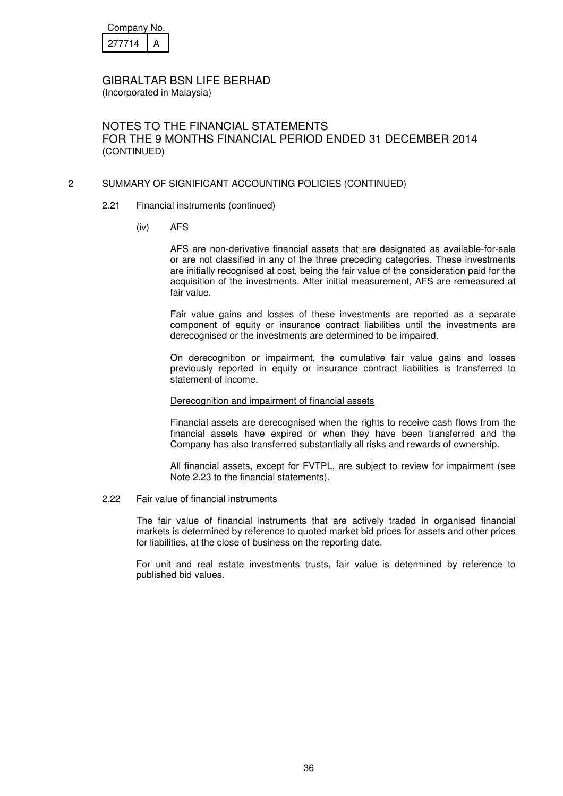| Company No. |  |  |  |  |
|-------------|--|--|--|--|
| 27714       |  |  |  |  |

NOTES TO THE FINANCIAL STATEMENTS FOR THE 9 MONTHS FINANCIAL PERIOD ENDED 31 DECEMBER 2014 (CONTINUED)

#### 2 SUMMARY OF SIGNIFICANT ACCOUNTING POLICIES (CONTINUED)

- 2.21 Financial instruments (continued)
	- (iv) AFS

 AFS are non-derivative financial assets that are designated as available-for-sale or are not classified in any of the three preceding categories. These investments are initially recognised at cost, being the fair value of the consideration paid for the acquisition of the investments. After initial measurement, AFS are remeasured at fair value.

 Fair value gains and losses of these investments are reported as a separate component of equity or insurance contract liabilities until the investments are derecognised or the investments are determined to be impaired.

 On derecognition or impairment, the cumulative fair value gains and losses previously reported in equity or insurance contract liabilities is transferred to statement of income.

#### Derecognition and impairment of financial assets

Financial assets are derecognised when the rights to receive cash flows from the financial assets have expired or when they have been transferred and the Company has also transferred substantially all risks and rewards of ownership.

All financial assets, except for FVTPL, are subject to review for impairment (see Note 2.23 to the financial statements).

2.22 Fair value of financial instruments

The fair value of financial instruments that are actively traded in organised financial markets is determined by reference to quoted market bid prices for assets and other prices for liabilities, at the close of business on the reporting date.

For unit and real estate investments trusts, fair value is determined by reference to published bid values.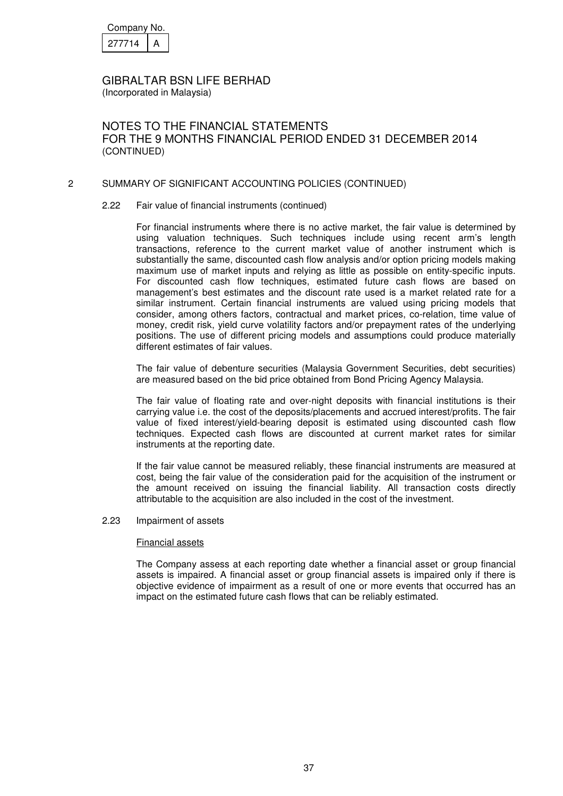| Company No. |  |  |  |  |
|-------------|--|--|--|--|
| 277714      |  |  |  |  |

## NOTES TO THE FINANCIAL STATEMENTS FOR THE 9 MONTHS FINANCIAL PERIOD ENDED 31 DECEMBER 2014 (CONTINUED)

#### 2 SUMMARY OF SIGNIFICANT ACCOUNTING POLICIES (CONTINUED)

2.22 Fair value of financial instruments (continued)

For financial instruments where there is no active market, the fair value is determined by using valuation techniques. Such techniques include using recent arm's length transactions, reference to the current market value of another instrument which is substantially the same, discounted cash flow analysis and/or option pricing models making maximum use of market inputs and relying as little as possible on entity-specific inputs. For discounted cash flow techniques, estimated future cash flows are based on management's best estimates and the discount rate used is a market related rate for a similar instrument. Certain financial instruments are valued using pricing models that consider, among others factors, contractual and market prices, co-relation, time value of money, credit risk, yield curve volatility factors and/or prepayment rates of the underlying positions. The use of different pricing models and assumptions could produce materially different estimates of fair values.

The fair value of debenture securities (Malaysia Government Securities, debt securities) are measured based on the bid price obtained from Bond Pricing Agency Malaysia.

The fair value of floating rate and over-night deposits with financial institutions is their carrying value i.e. the cost of the deposits/placements and accrued interest/profits. The fair value of fixed interest/yield-bearing deposit is estimated using discounted cash flow techniques. Expected cash flows are discounted at current market rates for similar instruments at the reporting date.

If the fair value cannot be measured reliably, these financial instruments are measured at cost, being the fair value of the consideration paid for the acquisition of the instrument or the amount received on issuing the financial liability. All transaction costs directly attributable to the acquisition are also included in the cost of the investment.

2.23 Impairment of assets

#### Financial assets

The Company assess at each reporting date whether a financial asset or group financial assets is impaired. A financial asset or group financial assets is impaired only if there is objective evidence of impairment as a result of one or more events that occurred has an impact on the estimated future cash flows that can be reliably estimated.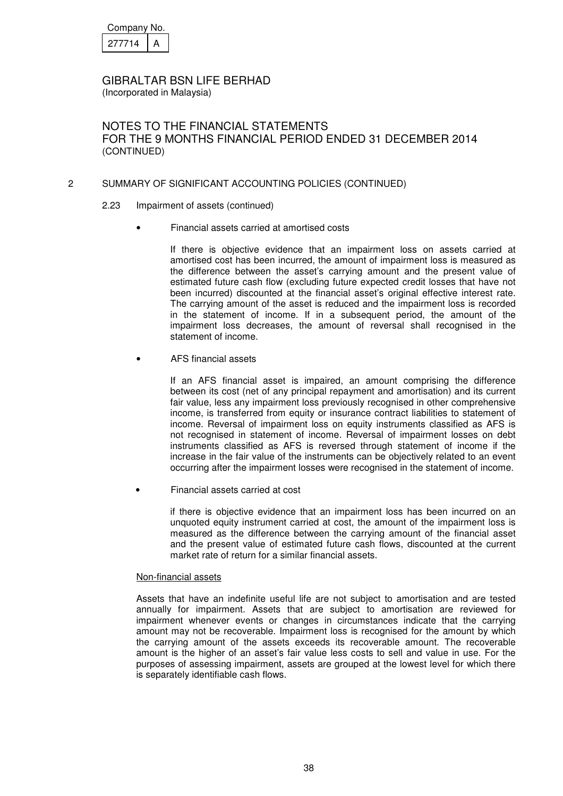| Company No. |  |  |  |  |
|-------------|--|--|--|--|
| 27714       |  |  |  |  |

NOTES TO THE FINANCIAL STATEMENTS FOR THE 9 MONTHS FINANCIAL PERIOD ENDED 31 DECEMBER 2014 (CONTINUED)

#### 2 SUMMARY OF SIGNIFICANT ACCOUNTING POLICIES (CONTINUED)

- 2.23 Impairment of assets (continued)
	- Financial assets carried at amortised costs

If there is objective evidence that an impairment loss on assets carried at amortised cost has been incurred, the amount of impairment loss is measured as the difference between the asset's carrying amount and the present value of estimated future cash flow (excluding future expected credit losses that have not been incurred) discounted at the financial asset's original effective interest rate. The carrying amount of the asset is reduced and the impairment loss is recorded in the statement of income. If in a subsequent period, the amount of the impairment loss decreases, the amount of reversal shall recognised in the statement of income.

• AFS financial assets

 If an AFS financial asset is impaired, an amount comprising the difference between its cost (net of any principal repayment and amortisation) and its current fair value, less any impairment loss previously recognised in other comprehensive income, is transferred from equity or insurance contract liabilities to statement of income. Reversal of impairment loss on equity instruments classified as AFS is not recognised in statement of income. Reversal of impairment losses on debt instruments classified as AFS is reversed through statement of income if the increase in the fair value of the instruments can be objectively related to an event occurring after the impairment losses were recognised in the statement of income.

• Financial assets carried at cost

if there is objective evidence that an impairment loss has been incurred on an unquoted equity instrument carried at cost, the amount of the impairment loss is measured as the difference between the carrying amount of the financial asset and the present value of estimated future cash flows, discounted at the current market rate of return for a similar financial assets.

#### Non-financial assets

Assets that have an indefinite useful life are not subject to amortisation and are tested annually for impairment. Assets that are subject to amortisation are reviewed for impairment whenever events or changes in circumstances indicate that the carrying amount may not be recoverable. Impairment loss is recognised for the amount by which the carrying amount of the assets exceeds its recoverable amount. The recoverable amount is the higher of an asset's fair value less costs to sell and value in use. For the purposes of assessing impairment, assets are grouped at the lowest level for which there is separately identifiable cash flows.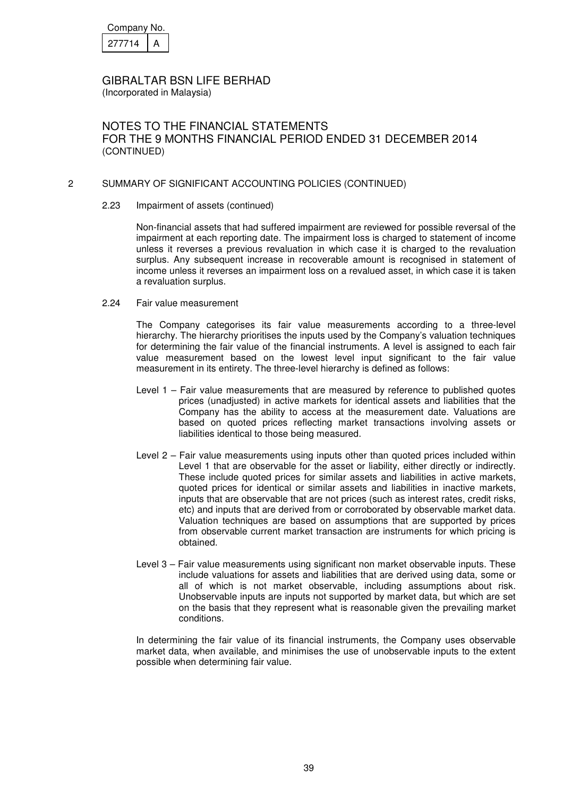| Company No. |  |  |  |  |
|-------------|--|--|--|--|
| 277714      |  |  |  |  |

(Incorporated in Malaysia)

NOTES TO THE FINANCIAL STATEMENTS FOR THE 9 MONTHS FINANCIAL PERIOD ENDED 31 DECEMBER 2014 (CONTINUED)

#### 2 SUMMARY OF SIGNIFICANT ACCOUNTING POLICIES (CONTINUED)

2.23 Impairment of assets (continued)

 Non-financial assets that had suffered impairment are reviewed for possible reversal of the impairment at each reporting date. The impairment loss is charged to statement of income unless it reverses a previous revaluation in which case it is charged to the revaluation surplus. Any subsequent increase in recoverable amount is recognised in statement of income unless it reverses an impairment loss on a revalued asset, in which case it is taken a revaluation surplus.

2.24 Fair value measurement

The Company categorises its fair value measurements according to a three-level hierarchy. The hierarchy prioritises the inputs used by the Company's valuation techniques for determining the fair value of the financial instruments. A level is assigned to each fair value measurement based on the lowest level input significant to the fair value measurement in its entirety. The three-level hierarchy is defined as follows:

- Level 1 Fair value measurements that are measured by reference to published quotes prices (unadjusted) in active markets for identical assets and liabilities that the Company has the ability to access at the measurement date. Valuations are based on quoted prices reflecting market transactions involving assets or liabilities identical to those being measured.
- Level 2 Fair value measurements using inputs other than quoted prices included within Level 1 that are observable for the asset or liability, either directly or indirectly. These include quoted prices for similar assets and liabilities in active markets, quoted prices for identical or similar assets and liabilities in inactive markets, inputs that are observable that are not prices (such as interest rates, credit risks, etc) and inputs that are derived from or corroborated by observable market data. Valuation techniques are based on assumptions that are supported by prices from observable current market transaction are instruments for which pricing is obtained.
- Level 3 Fair value measurements using significant non market observable inputs. These include valuations for assets and liabilities that are derived using data, some or all of which is not market observable, including assumptions about risk. Unobservable inputs are inputs not supported by market data, but which are set on the basis that they represent what is reasonable given the prevailing market conditions.

In determining the fair value of its financial instruments, the Company uses observable market data, when available, and minimises the use of unobservable inputs to the extent possible when determining fair value.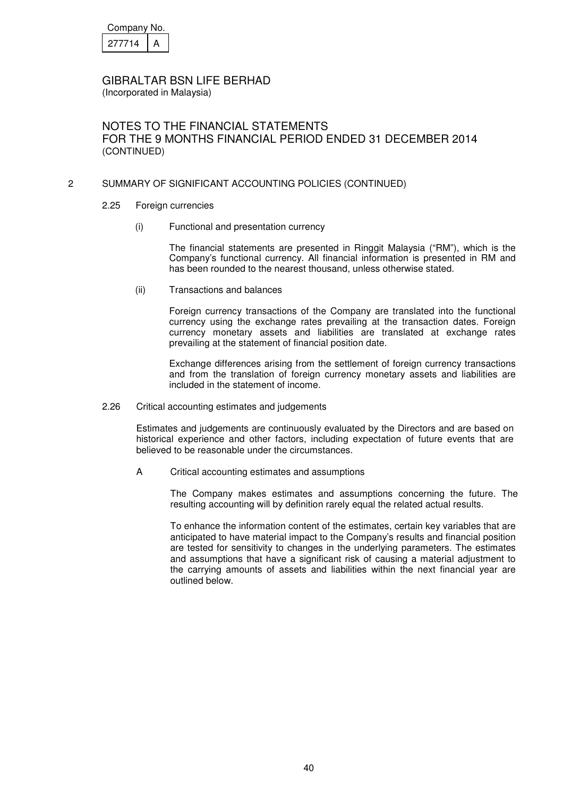| Company No. |  |  |  |  |
|-------------|--|--|--|--|
| 277714      |  |  |  |  |

(Incorporated in Malaysia)

NOTES TO THE FINANCIAL STATEMENTS FOR THE 9 MONTHS FINANCIAL PERIOD ENDED 31 DECEMBER 2014 (CONTINUED)

#### 2 SUMMARY OF SIGNIFICANT ACCOUNTING POLICIES (CONTINUED)

- 2.25 Foreign currencies
	- (i) Functional and presentation currency

 The financial statements are presented in Ringgit Malaysia ("RM"), which is the Company's functional currency. All financial information is presented in RM and has been rounded to the nearest thousand, unless otherwise stated.

(ii) Transactions and balances

 Foreign currency transactions of the Company are translated into the functional currency using the exchange rates prevailing at the transaction dates. Foreign currency monetary assets and liabilities are translated at exchange rates prevailing at the statement of financial position date.

 Exchange differences arising from the settlement of foreign currency transactions and from the translation of foreign currency monetary assets and liabilities are included in the statement of income.

2.26 Critical accounting estimates and judgements

Estimates and judgements are continuously evaluated by the Directors and are based on historical experience and other factors, including expectation of future events that are believed to be reasonable under the circumstances.

A Critical accounting estimates and assumptions

The Company makes estimates and assumptions concerning the future. The resulting accounting will by definition rarely equal the related actual results.

To enhance the information content of the estimates, certain key variables that are anticipated to have material impact to the Company's results and financial position are tested for sensitivity to changes in the underlying parameters. The estimates and assumptions that have a significant risk of causing a material adjustment to the carrying amounts of assets and liabilities within the next financial year are outlined below.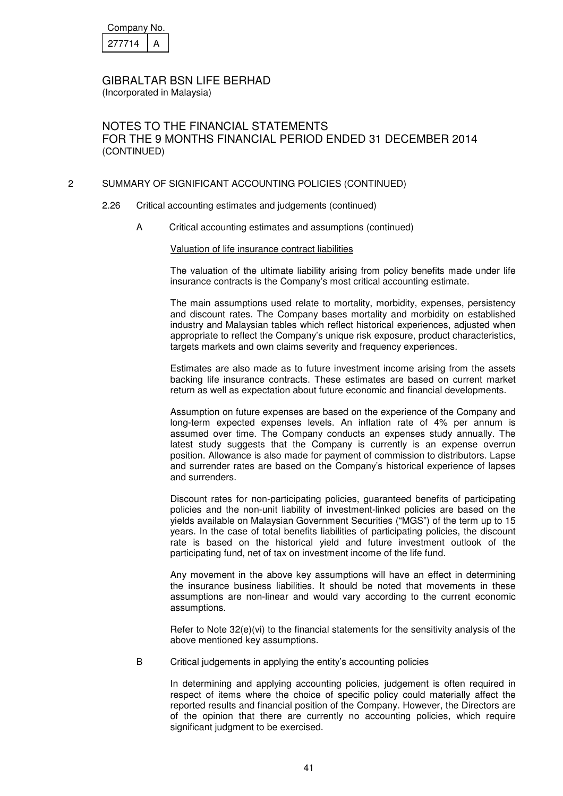| Company No. |  |  |  |  |
|-------------|--|--|--|--|
| 277714      |  |  |  |  |

NOTES TO THE FINANCIAL STATEMENTS FOR THE 9 MONTHS FINANCIAL PERIOD ENDED 31 DECEMBER 2014 (CONTINUED)

#### 2 SUMMARY OF SIGNIFICANT ACCOUNTING POLICIES (CONTINUED)

- 2.26 Critical accounting estimates and judgements (continued)
	- A Critical accounting estimates and assumptions (continued)

#### Valuation of life insurance contract liabilities

The valuation of the ultimate liability arising from policy benefits made under life insurance contracts is the Company's most critical accounting estimate.

The main assumptions used relate to mortality, morbidity, expenses, persistency and discount rates. The Company bases mortality and morbidity on established industry and Malaysian tables which reflect historical experiences, adjusted when appropriate to reflect the Company's unique risk exposure, product characteristics, targets markets and own claims severity and frequency experiences.

Estimates are also made as to future investment income arising from the assets backing life insurance contracts. These estimates are based on current market return as well as expectation about future economic and financial developments.

Assumption on future expenses are based on the experience of the Company and long-term expected expenses levels. An inflation rate of 4% per annum is assumed over time. The Company conducts an expenses study annually. The latest study suggests that the Company is currently is an expense overrun position. Allowance is also made for payment of commission to distributors. Lapse and surrender rates are based on the Company's historical experience of lapses and surrenders.

Discount rates for non-participating policies, guaranteed benefits of participating policies and the non-unit liability of investment-linked policies are based on the yields available on Malaysian Government Securities ("MGS") of the term up to 15 years. In the case of total benefits liabilities of participating policies, the discount rate is based on the historical yield and future investment outlook of the participating fund, net of tax on investment income of the life fund.

Any movement in the above key assumptions will have an effect in determining the insurance business liabilities. It should be noted that movements in these assumptions are non-linear and would vary according to the current economic assumptions.

Refer to Note 32(e)(vi) to the financial statements for the sensitivity analysis of the above mentioned key assumptions.

B Critical judgements in applying the entity's accounting policies

In determining and applying accounting policies, judgement is often required in respect of items where the choice of specific policy could materially affect the reported results and financial position of the Company. However, the Directors are of the opinion that there are currently no accounting policies, which require significant judgment to be exercised.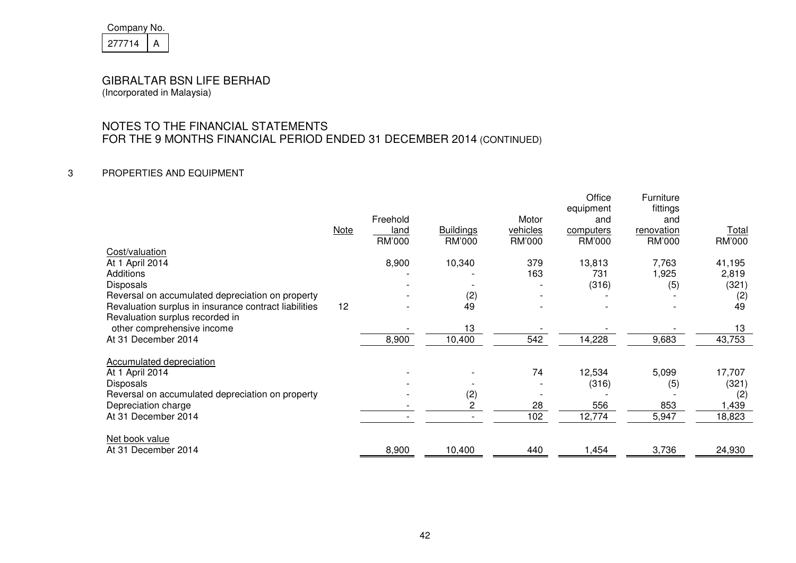| Company No. |  |  |  |  |
|-------------|--|--|--|--|
| 27714       |  |  |  |  |

# NOTES TO THE FINANCIAL STATEMENTS FOR THE 9 MONTHS FINANCIAL PERIOD ENDED 31 DECEMBER 2014 (CONTINUED)

#### 3 PROPERTIES AND EQUIPMENT

|                                                       |      |          |                  |          | Office<br>equipment | Furniture<br>fittings |              |
|-------------------------------------------------------|------|----------|------------------|----------|---------------------|-----------------------|--------------|
|                                                       |      | Freehold |                  | Motor    | and                 | and                   |              |
|                                                       | Note | land     | <b>Buildings</b> | vehicles | computers           | renovation            | <u>Total</u> |
|                                                       |      | RM'000   | RM'000           | RM'000   | RM'000              | RM'000                | RM'000       |
| Cost/valuation                                        |      |          |                  |          |                     |                       |              |
| At 1 April 2014                                       |      | 8,900    | 10,340           | 379      | 13,813              | 7,763                 | 41,195       |
| Additions                                             |      |          |                  | 163      | 731                 | 1,925                 | 2,819        |
| <b>Disposals</b>                                      |      |          |                  |          | (316)               | (5)                   | (321)        |
| Reversal on accumulated depreciation on property      |      |          | (2)              |          |                     |                       | (2)          |
| Revaluation surplus in insurance contract liabilities | 12   |          | 49               |          |                     |                       | 49           |
| Revaluation surplus recorded in                       |      |          |                  |          |                     |                       |              |
| other comprehensive income                            |      |          | 13               |          |                     |                       | 13           |
| At 31 December 2014                                   |      | 8,900    | 10,400           | 542      | 14,228              | 9,683                 | 43,753       |
|                                                       |      |          |                  |          |                     |                       |              |
| Accumulated depreciation                              |      |          |                  |          |                     |                       |              |
| At 1 April 2014                                       |      |          |                  | 74       | 12,534              | 5,099                 | 17,707       |
| <b>Disposals</b>                                      |      |          |                  |          | (316)               | (5)                   | (321)        |
| Reversal on accumulated depreciation on property      |      |          | (2)              |          |                     |                       | (2)          |
| Depreciation charge                                   |      |          | 2                | 28       | 556                 | 853                   | 1,439        |
| At 31 December 2014                                   |      |          |                  | 102      | 12,774              | 5,947                 | 18,823       |
|                                                       |      |          |                  |          |                     |                       |              |
| Net book value                                        |      |          |                  |          |                     |                       |              |
| At 31 December 2014                                   |      | 8,900    | 10,400           | 440      | 1,454               | 3,736                 | 24,930       |
|                                                       |      |          |                  |          |                     |                       |              |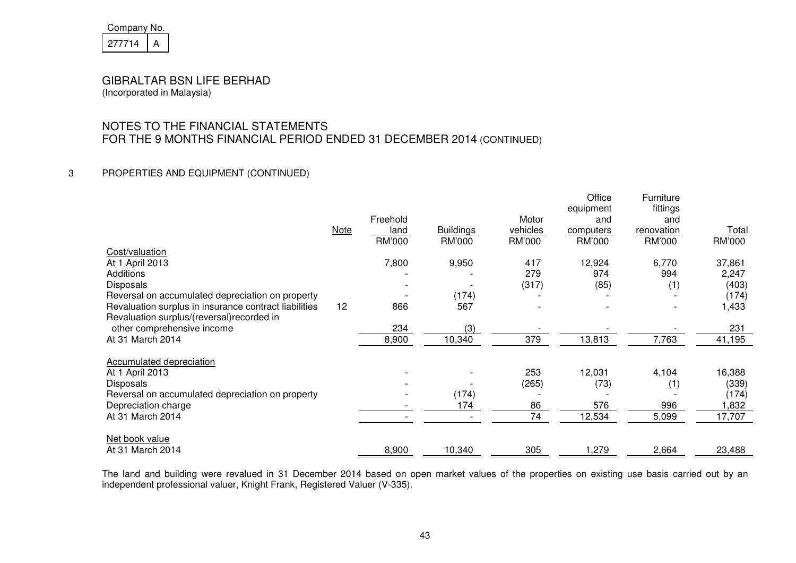| Company No. |  |  |  |  |
|-------------|--|--|--|--|
| 277714      |  |  |  |  |

# NOTES TO THE FINANCIAL STATEMENTS FOR THE 9 MONTHS FINANCIAL PERIOD ENDED 31 DECEMBER 2014 (CONTINUED)

# 3 PROPERTIES AND EQUIPMENT (CONTINUED)

|                                                                                                    | <b>Note</b> | Freehold<br>land<br>RM'000 | <b>Buildings</b><br>RM'000 | Motor<br>vehicles<br>RM'000 | Office<br>equipment<br>and<br>computers<br>RM'000 | Furniture<br>fittings<br>and<br>renovation<br>RM'000 | <b>Total</b><br>RM'000 |
|----------------------------------------------------------------------------------------------------|-------------|----------------------------|----------------------------|-----------------------------|---------------------------------------------------|------------------------------------------------------|------------------------|
| Cost/valuation                                                                                     |             |                            |                            |                             |                                                   |                                                      |                        |
| At 1 April 2013<br>Additions                                                                       |             | 7,800                      | 9,950                      | 417<br>279                  | 12,924<br>974                                     | 6,770<br>994                                         | 37,861<br>2,247        |
| Disposals                                                                                          |             |                            |                            | (317)                       | (85)                                              | (1)                                                  | (403)                  |
| Reversal on accumulated depreciation on property                                                   |             |                            | (174)                      |                             |                                                   |                                                      | (174)                  |
| Revaluation surplus in insurance contract liabilities<br>Revaluation surplus/(reversal)recorded in | 12          | 866                        | 567                        |                             |                                                   |                                                      | 1,433                  |
| other comprehensive income                                                                         |             | 234                        | (3)                        |                             |                                                   |                                                      | 231                    |
| At 31 March 2014                                                                                   |             | 8,900                      | 10,340                     | 379                         | 13,813                                            | 7,763                                                | 41,195                 |
| Accumulated depreciation                                                                           |             |                            |                            |                             |                                                   |                                                      |                        |
| At 1 April 2013                                                                                    |             |                            |                            | 253                         | 12,031                                            | 4,104                                                | 16,388                 |
| <b>Disposals</b>                                                                                   |             |                            |                            | (265)                       | (73)                                              | (1)                                                  | (339)                  |
| Reversal on accumulated depreciation on property                                                   |             |                            | (174)                      |                             |                                                   |                                                      | (174)                  |
| Depreciation charge                                                                                |             |                            | 174                        | 86                          | 576                                               | 996                                                  | ,832                   |
| At 31 March 2014                                                                                   |             |                            | $\overline{\phantom{a}}$   | $\overline{74}$             | 12,534                                            | 5,099                                                | 17,707                 |
| Net book value                                                                                     |             |                            |                            |                             |                                                   |                                                      |                        |
| At 31 March 2014                                                                                   |             | 8,900                      | 10,340                     | 305                         | 1,279                                             | 2,664                                                | 23,488                 |

The land and building were revalued in 31 December 2014 based on open market values of the properties on existing use basis carried out by an independent professional valuer, Knight Frank, Registered Valuer (V-335).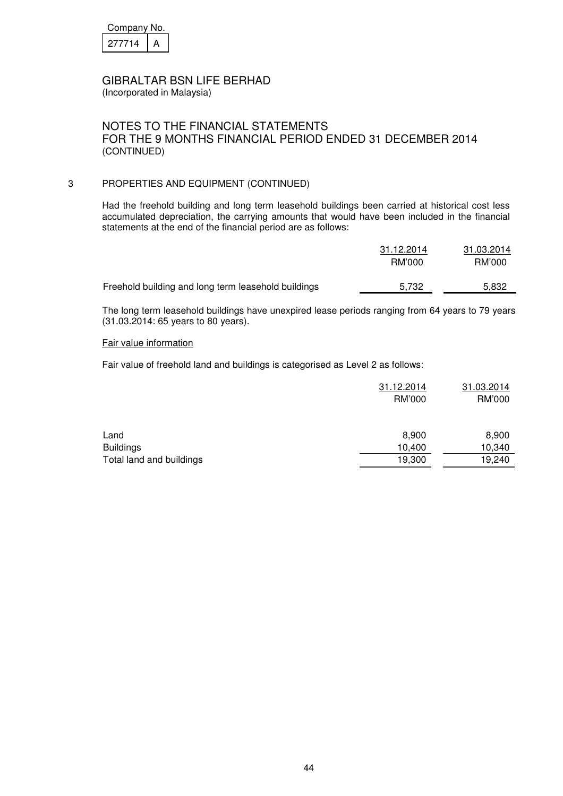| Company No. |  |  |  |  |
|-------------|--|--|--|--|
| 27714       |  |  |  |  |

(Incorporated in Malaysia)

## NOTES TO THE FINANCIAL STATEMENTS FOR THE 9 MONTHS FINANCIAL PERIOD ENDED 31 DECEMBER 2014 (CONTINUED)

### 3 PROPERTIES AND EQUIPMENT (CONTINUED)

Had the freehold building and long term leasehold buildings been carried at historical cost less accumulated depreciation, the carrying amounts that would have been included in the financial statements at the end of the financial period are as follows:

|                                                     | 31.12.2014    | 31.03.2014 |
|-----------------------------------------------------|---------------|------------|
|                                                     | <b>RM'000</b> | RM'000     |
| Freehold building and long term leasehold buildings | 5.732         | 5,832      |

The long term leasehold buildings have unexpired lease periods ranging from 64 years to 79 years (31.03.2014: 65 years to 80 years).

#### Fair value information

Fair value of freehold land and buildings is categorised as Level 2 as follows:

|                          | 31.12.2014<br>RM'000 | 31.03.2014<br>RM'000 |
|--------------------------|----------------------|----------------------|
| Land<br><b>Buildings</b> | 8,900<br>10,400      | 8,900<br>10,340      |
| Total land and buildings | 19,300               | 19,240               |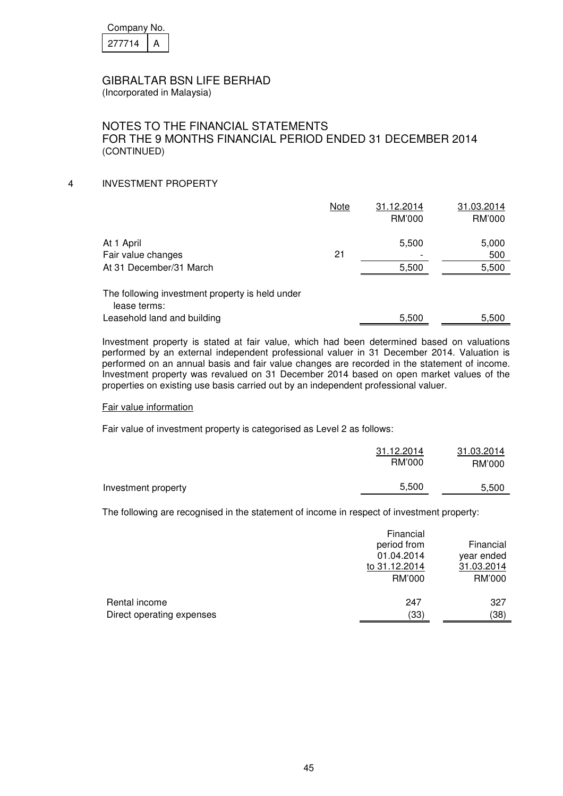| Company No. |  |  |
|-------------|--|--|
| 27714       |  |  |

# NOTES TO THE FINANCIAL STATEMENTS FOR THE 9 MONTHS FINANCIAL PERIOD ENDED 31 DECEMBER 2014 (CONTINUED)

#### 4 INVESTMENT PROPERTY

|                                                                 | <b>Note</b> | 31.12.2014 | 31.03.2014 |
|-----------------------------------------------------------------|-------------|------------|------------|
|                                                                 |             | RM'000     | RM'000     |
| At 1 April                                                      |             | 5,500      | 5,000      |
| Fair value changes                                              | 21          |            | 500        |
| At 31 December/31 March                                         |             | 5,500      | 5,500      |
| The following investment property is held under<br>lease terms: |             |            |            |
| Leasehold land and building                                     |             | 5,500      | 5,500      |

Investment property is stated at fair value, which had been determined based on valuations performed by an external independent professional valuer in 31 December 2014. Valuation is performed on an annual basis and fair value changes are recorded in the statement of income. Investment property was revalued on 31 December 2014 based on open market values of the properties on existing use basis carried out by an independent professional valuer.

#### Fair value information

Fair value of investment property is categorised as Level 2 as follows:

|       | RM'000 |
|-------|--------|
| 5,500 | 5,500  |
|       | RM'000 |

The following are recognised in the statement of income in respect of investment property:

|                           | Financial<br>period from<br>01.04.2014<br>to 31.12.2014<br>RM'000 | Financial<br>year ended<br>31.03.2014<br>RM'000 |
|---------------------------|-------------------------------------------------------------------|-------------------------------------------------|
| Rental income             | 247                                                               | 327                                             |
| Direct operating expenses | (33)                                                              | (38)                                            |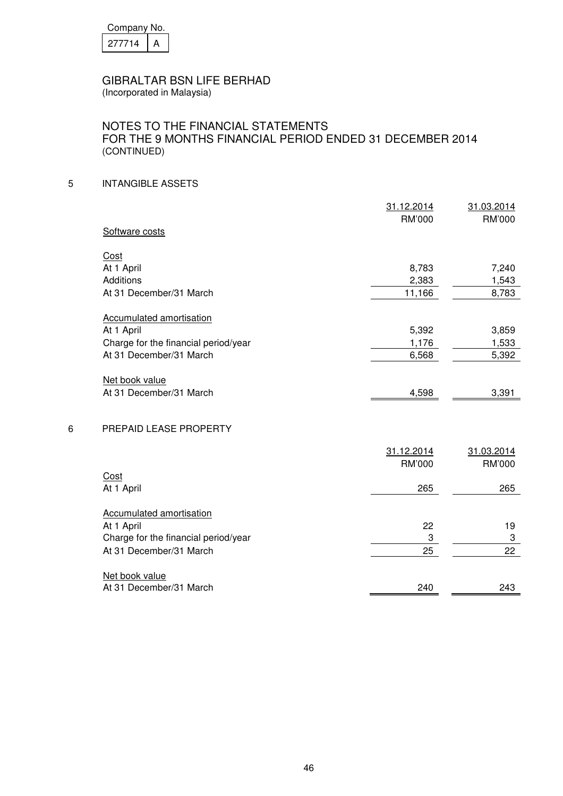| Company No. |  |  |
|-------------|--|--|
| 27714       |  |  |

(Incorporated in Malaysia)

# NOTES TO THE FINANCIAL STATEMENTS FOR THE 9 MONTHS FINANCIAL PERIOD ENDED 31 DECEMBER 2014 (CONTINUED)

5 INTANGIBLE ASSETS

|                                      | 31.12.2014 | 31.03.2014 |
|--------------------------------------|------------|------------|
|                                      | RM'000     | RM'000     |
| Software costs                       |            |            |
| Cost                                 |            |            |
| At 1 April                           | 8,783      | 7,240      |
| Additions                            | 2,383      | 1,543      |
| At 31 December/31 March              | 11,166     | 8,783      |
| <b>Accumulated amortisation</b>      |            |            |
| At 1 April                           | 5,392      | 3,859      |
| Charge for the financial period/year | 1,176      | 1,533      |
| At 31 December/31 March              | 6,568      | 5,392      |
| Net book value                       |            |            |
| At 31 December/31 March              | 4,598      | 3,391      |
|                                      |            |            |
| 6<br>PREPAID LEASE PROPERTY          |            |            |
|                                      | 31.12.2014 | 31.03.2014 |
|                                      | RM'000     | RM'000     |
| Cost                                 |            |            |
| At 1 April                           | 265        | 265        |
| <b>Accumulated amortisation</b>      |            |            |
| At 1 April                           | 22         | 19         |
| Charge for the financial period/year | 3          | 3          |
| At 31 December/31 March              | 25         | 22         |
| Net book value                       |            |            |
| At 31 December/31 March              | 240        | 243        |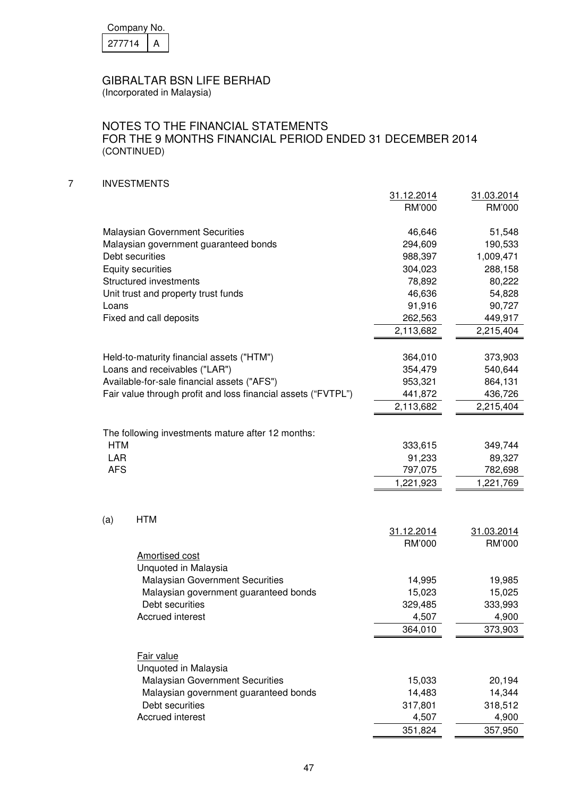| Company No. |  |  |
|-------------|--|--|
| 277714      |  |  |

(Incorporated in Malaysia)

# NOTES TO THE FINANCIAL STATEMENTS FOR THE 9 MONTHS FINANCIAL PERIOD ENDED 31 DECEMBER 2014 (CONTINUED)

7 INVESTMENTS

|            |                                                                | 31.12.2014<br>RM'000 | 31.03.2014<br>RM'000 |
|------------|----------------------------------------------------------------|----------------------|----------------------|
|            | <b>Malaysian Government Securities</b>                         | 46,646               | 51,548               |
|            | Malaysian government guaranteed bonds                          | 294,609              | 190,533              |
|            | Debt securities                                                | 988,397              | 1,009,471            |
|            | <b>Equity securities</b>                                       | 304,023              | 288,158              |
|            | Structured investments                                         | 78,892               | 80,222               |
|            | Unit trust and property trust funds                            | 46,636               | 54,828               |
| Loans      |                                                                | 91,916               | 90,727               |
|            | Fixed and call deposits                                        | 262,563              | 449,917              |
|            |                                                                | 2,113,682            | 2,215,404            |
|            |                                                                |                      |                      |
|            | Held-to-maturity financial assets ("HTM")                      | 364,010              | 373,903              |
|            | Loans and receivables ("LAR")                                  | 354,479              | 540,644              |
|            | Available-for-sale financial assets ("AFS")                    | 953,321              | 864,131              |
|            | Fair value through profit and loss financial assets ("FVTPL")  | 441,872              | 436,726              |
|            |                                                                | 2,113,682            | 2,215,404            |
|            | The following investments mature after 12 months:              |                      |                      |
| <b>HTM</b> |                                                                | 333,615              | 349,744              |
| <b>LAR</b> |                                                                | 91,233               | 89,327               |
| <b>AFS</b> |                                                                | 797,075              | 782,698              |
|            |                                                                | 1,221,923            | 1,221,769            |
|            |                                                                |                      |                      |
| (a)        | <b>HTM</b>                                                     |                      |                      |
|            |                                                                | 31.12.2014<br>RM'000 | 31.03.2014           |
|            | <b>Amortised cost</b>                                          |                      | RM'000               |
|            | Unquoted in Malaysia                                           |                      |                      |
|            | <b>Malaysian Government Securities</b>                         | 14,995               | 19,985               |
|            | Malaysian government guaranteed bonds                          | 15,023               | 15,025               |
|            | Debt securities                                                | 329,485              | 333,993              |
|            | <b>Accrued interest</b>                                        | 4,507                | 4,900                |
|            |                                                                | 364,010              | 373,903              |
|            |                                                                |                      |                      |
|            | Fair value                                                     |                      |                      |
|            | Unquoted in Malaysia<br><b>Malaysian Government Securities</b> | 15,033               | 20,194               |
|            | Malaysian government guaranteed bonds                          | 14,483               | 14,344               |
|            | Debt securities                                                | 317,801              | 318,512              |
|            | Accrued interest                                               | 4,507                | 4,900                |
|            |                                                                |                      |                      |
|            |                                                                | 351,824              | 357,950              |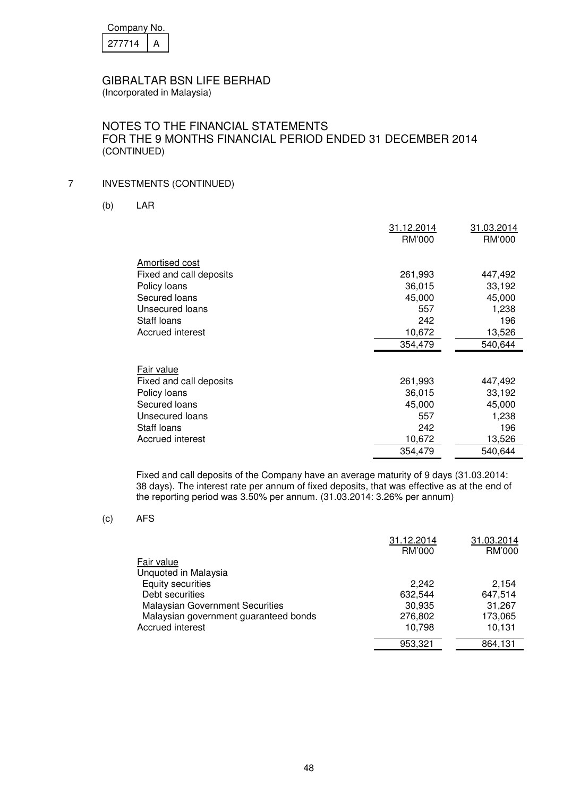| Company No. |  |  |
|-------------|--|--|
| 277714      |  |  |

## NOTES TO THE FINANCIAL STATEMENTS FOR THE 9 MONTHS FINANCIAL PERIOD ENDED 31 DECEMBER 2014 (CONTINUED)

#### 7 INVESTMENTS (CONTINUED)

(b) LAR

|                         | 31.12.2014<br>RM'000 | 31.03.2014<br>RM'000 |
|-------------------------|----------------------|----------------------|
| Amortised cost          |                      |                      |
| Fixed and call deposits | 261,993              | 447,492              |
| Policy loans            | 36,015               | 33,192               |
| Secured loans           | 45,000               | 45,000               |
| <b>Unsecured loans</b>  | 557                  | 1,238                |
| Staff loans             | 242                  | 196                  |
| Accrued interest        | 10,672               | 13,526               |
|                         | 354,479              | 540,644              |
|                         |                      |                      |
| Fair value              |                      |                      |
| Fixed and call deposits | 261,993              | 447,492              |
| Policy loans            | 36,015               | 33,192               |
| Secured loans           | 45,000               | 45,000               |
| Unsecured loans         | 557                  | 1,238                |
| Staff loans             | 242                  | 196                  |
| Accrued interest        | 10,672               | 13,526               |
|                         | 354.479              | 540,644              |

 Fixed and call deposits of the Company have an average maturity of 9 days (31.03.2014: 38 days). The interest rate per annum of fixed deposits, that was effective as at the end of the reporting period was 3.50% per annum. (31.03.2014: 3.26% per annum)

(c) AFS

|                                        | 31.12.2014 | 31.03.2014 |
|----------------------------------------|------------|------------|
|                                        | RM'000     | RM'000     |
| Fair value                             |            |            |
| Unquoted in Malaysia                   |            |            |
| Equity securities                      | 2.242      | 2,154      |
| Debt securities                        | 632,544    | 647,514    |
| <b>Malaysian Government Securities</b> | 30,935     | 31,267     |
| Malaysian government guaranteed bonds  | 276,802    | 173,065    |
| Accrued interest                       | 10,798     | 10,131     |
|                                        | 953,321    | 864,131    |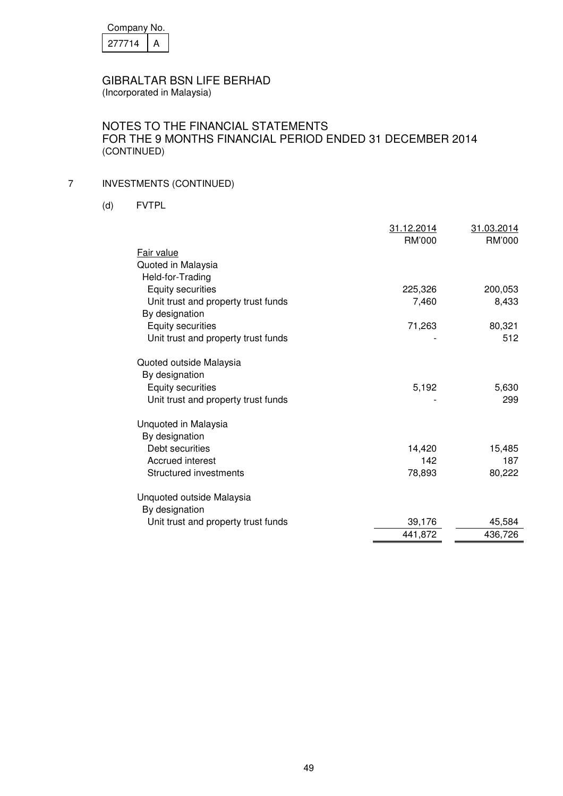| Company No. |  |  |
|-------------|--|--|
| 277714      |  |  |

## NOTES TO THE FINANCIAL STATEMENTS FOR THE 9 MONTHS FINANCIAL PERIOD ENDED 31 DECEMBER 2014 (CONTINUED)

# 7 INVESTMENTS (CONTINUED)

(d) FVTPL

|                                     | 31.12.2014 | 31.03.2014 |
|-------------------------------------|------------|------------|
|                                     | RM'000     | RM'000     |
| Fair value                          |            |            |
| Quoted in Malaysia                  |            |            |
| Held-for-Trading                    |            |            |
| <b>Equity securities</b>            | 225,326    | 200,053    |
| Unit trust and property trust funds | 7,460      | 8,433      |
| By designation                      |            |            |
| <b>Equity securities</b>            | 71,263     | 80,321     |
| Unit trust and property trust funds |            | 512        |
| Quoted outside Malaysia             |            |            |
| By designation                      |            |            |
| <b>Equity securities</b>            | 5,192      | 5,630      |
| Unit trust and property trust funds |            | 299        |
| Unquoted in Malaysia                |            |            |
| By designation                      |            |            |
| Debt securities                     | 14,420     | 15,485     |
| Accrued interest                    | 142        | 187        |
| Structured investments              | 78,893     | 80,222     |
| Unquoted outside Malaysia           |            |            |
| By designation                      |            |            |
| Unit trust and property trust funds | 39,176     | 45,584     |
|                                     | 441,872    | 436,726    |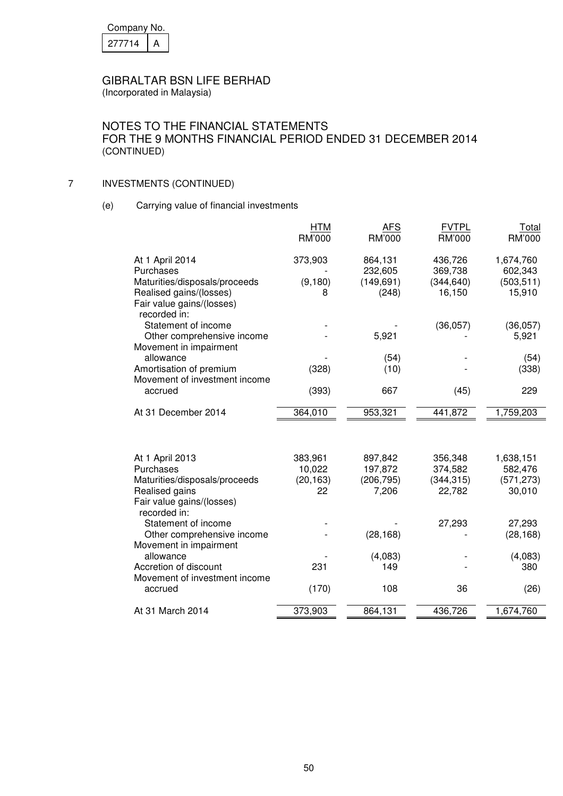| Company No. |  |  |
|-------------|--|--|
| 277714      |  |  |

# NOTES TO THE FINANCIAL STATEMENTS FOR THE 9 MONTHS FINANCIAL PERIOD ENDED 31 DECEMBER 2014 (CONTINUED)

# 7 INVESTMENTS (CONTINUED)

(e) Carrying value of financial investments

|                                                          | <b>HTM</b><br>RM'000 | AFS<br>RM'000       | <b>FVTPL</b><br>RM'000 | <u>Total</u><br>RM'000 |
|----------------------------------------------------------|----------------------|---------------------|------------------------|------------------------|
|                                                          |                      |                     |                        |                        |
| At 1 April 2014                                          | 373,903              | 864,131             | 436,726                | 1,674,760              |
| Purchases                                                |                      | 232,605             | 369,738                | 602,343                |
| Maturities/disposals/proceeds<br>Realised gains/(losses) | (9, 180)<br>8        | (149, 691)<br>(248) | (344, 640)<br>16,150   | (503, 511)<br>15,910   |
| Fair value gains/(losses)<br>recorded in:                |                      |                     |                        |                        |
| Statement of income                                      |                      |                     | (36, 057)              | (36,057)               |
| Other comprehensive income                               |                      | 5,921               |                        | 5,921                  |
| Movement in impairment                                   |                      |                     |                        |                        |
| allowance<br>Amortisation of premium                     | (328)                | (54)<br>(10)        |                        | (54)<br>(338)          |
| Movement of investment income                            |                      |                     |                        |                        |
| accrued                                                  | (393)                | 667                 | (45)                   | 229                    |
| At 31 December 2014                                      | 364,010              | 953,321             | 441,872                | 1,759,203              |
|                                                          |                      |                     |                        |                        |
| At 1 April 2013                                          | 383,961              | 897,842             | 356,348                | 1,638,151              |
| Purchases                                                | 10,022               | 197,872             | 374,582                | 582,476                |
| Maturities/disposals/proceeds                            | (20, 163)            | (206, 795)          | (344, 315)             | (571, 273)             |
| Realised gains<br>Fair value gains/(losses)              | 22                   | 7,206               | 22,782                 | 30,010                 |
| recorded in:                                             |                      |                     |                        |                        |
| Statement of income                                      |                      |                     | 27,293                 | 27,293                 |
| Other comprehensive income                               |                      | (28, 168)           |                        | (28, 168)              |
| Movement in impairment                                   |                      |                     |                        |                        |
| allowance                                                |                      | (4,083)             |                        | (4,083)                |
| Accretion of discount                                    | 231                  | 149                 |                        | 380                    |
| Movement of investment income<br>accrued                 | (170)                | 108                 | 36                     | (26)                   |
| At 31 March 2014                                         | 373,903              | 864,131             | 436,726                | 1,674,760              |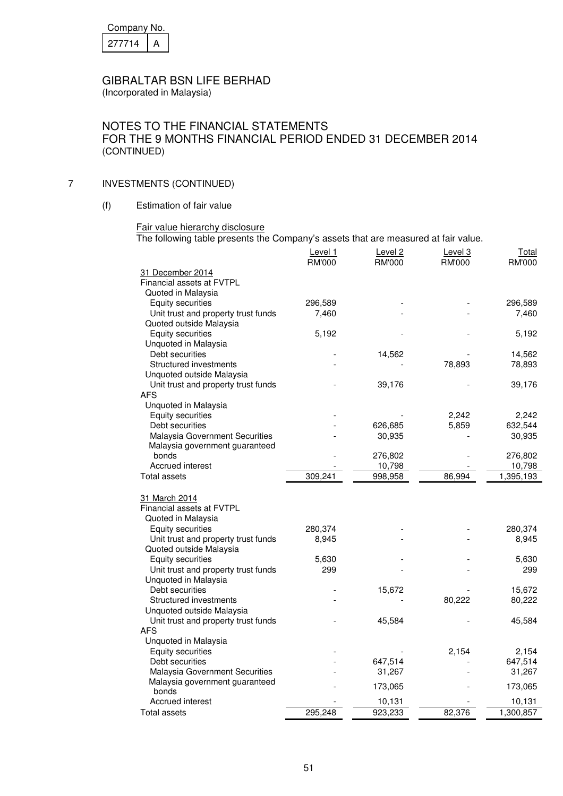| Company No. |  |  |
|-------------|--|--|
| 277714      |  |  |

(Incorporated in Malaysia)

## NOTES TO THE FINANCIAL STATEMENTS FOR THE 9 MONTHS FINANCIAL PERIOD ENDED 31 DECEMBER 2014 (CONTINUED)

## 7 INVESTMENTS (CONTINUED)

(f) Estimation of fair value

#### Fair value hierarchy disclosure

The following table presents the Company's assets that are measured at fair value.

|                                         | Level 1       | Level <sub>2</sub> | Level 3       | Total         |
|-----------------------------------------|---------------|--------------------|---------------|---------------|
| 31 December 2014                        | <b>RM'000</b> | <b>RM'000</b>      | <b>RM'000</b> | <b>RM'000</b> |
| Financial assets at FVTPL               |               |                    |               |               |
| Quoted in Malaysia                      |               |                    |               |               |
| <b>Equity securities</b>                | 296,589       |                    |               | 296,589       |
| Unit trust and property trust funds     | 7,460         |                    |               | 7,460         |
| Quoted outside Malaysia                 |               |                    |               |               |
| <b>Equity securities</b>                | 5,192         |                    |               | 5,192         |
| Unquoted in Malaysia                    |               |                    |               |               |
| Debt securities                         |               | 14,562             |               | 14,562        |
| Structured investments                  |               |                    | 78,893        | 78,893        |
| Unquoted outside Malaysia               |               |                    |               |               |
| Unit trust and property trust funds     |               | 39,176             |               | 39,176        |
| <b>AFS</b>                              |               |                    |               |               |
| Unquoted in Malaysia                    |               |                    |               |               |
| <b>Equity securities</b>                |               |                    | 2,242         | 2,242         |
| Debt securities                         |               | 626,685            | 5,859         | 632,544       |
| Malaysia Government Securities          |               | 30,935             |               | 30,935        |
| Malaysia government guaranteed          |               |                    |               |               |
| bonds                                   |               | 276,802            |               | 276,802       |
| Accrued interest                        |               | 10,798             |               | 10,798        |
| <b>Total assets</b>                     | 309,241       | 998,958            | 86,994        | 1,395,193     |
| 31 March 2014                           |               |                    |               |               |
| Financial assets at FVTPL               |               |                    |               |               |
| Quoted in Malaysia                      |               |                    |               |               |
| <b>Equity securities</b>                | 280,374       |                    |               | 280,374       |
| Unit trust and property trust funds     | 8,945         |                    |               | 8,945         |
| Quoted outside Malaysia                 |               |                    |               |               |
| <b>Equity securities</b>                | 5,630         |                    |               | 5,630         |
| Unit trust and property trust funds     | 299           |                    |               | 299           |
| Unquoted in Malaysia                    |               |                    |               |               |
| Debt securities                         |               | 15,672             |               | 15,672        |
| Structured investments                  |               |                    | 80,222        | 80,222        |
| Unquoted outside Malaysia               |               |                    |               |               |
| Unit trust and property trust funds     |               | 45,584             |               | 45,584        |
| <b>AFS</b>                              |               |                    |               |               |
| Unquoted in Malaysia                    |               |                    |               |               |
| <b>Equity securities</b>                |               |                    | 2,154         | 2,154         |
| Debt securities                         |               | 647,514            |               | 647,514       |
| Malaysia Government Securities          |               | 31,267             |               | 31,267        |
| Malaysia government guaranteed<br>bonds |               | 173,065            |               | 173,065       |
| Accrued interest                        |               | 10,131             |               | 10,131        |
| Total assets                            | 295,248       | 923,233            | 82,376        | 1,300,857     |
|                                         |               |                    |               |               |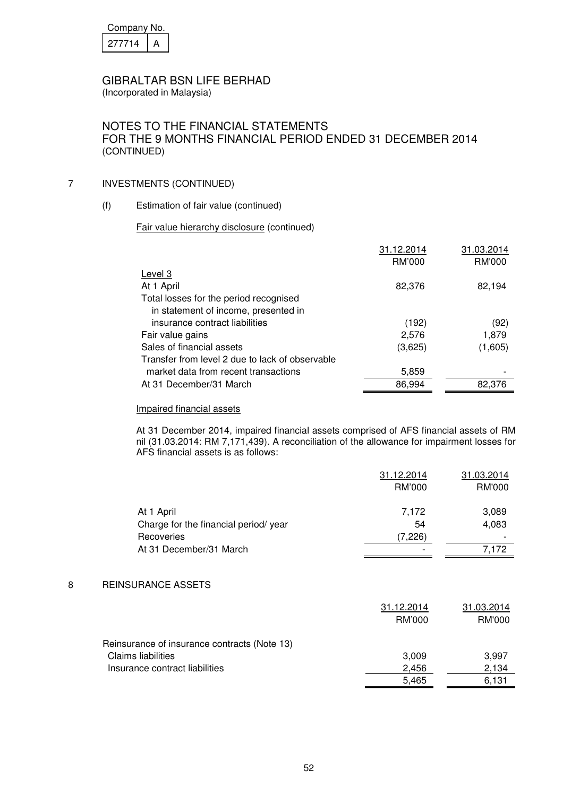| Company No. |  |  |
|-------------|--|--|
| 277714      |  |  |

# NOTES TO THE FINANCIAL STATEMENTS FOR THE 9 MONTHS FINANCIAL PERIOD ENDED 31 DECEMBER 2014 (CONTINUED)

## 7 INVESTMENTS (CONTINUED)

(f) Estimation of fair value (continued)

Fair value hierarchy disclosure (continued)

|                                                 | 31.12.2014 | 31.03.2014    |
|-------------------------------------------------|------------|---------------|
|                                                 | RM'000     | <b>RM'000</b> |
| Level 3                                         |            |               |
| At 1 April                                      | 82,376     | 82.194        |
| Total losses for the period recognised          |            |               |
| in statement of income, presented in            |            |               |
| insurance contract liabilities                  | (192)      | (92)          |
| Fair value gains                                | 2,576      | 1,879         |
| Sales of financial assets                       | (3,625)    | (1,605)       |
| Transfer from level 2 due to lack of observable |            |               |
| market data from recent transactions            | 5,859      |               |
| At 31 December/31 March                         | 86,994     | 82,376        |
|                                                 |            |               |

### Impaired financial assets

At 31 December 2014, impaired financial assets comprised of AFS financial assets of RM nil (31.03.2014: RM 7,171,439). A reconciliation of the allowance for impairment losses for AFS financial assets is as follows:

|                                      | 31.12.2014 | 31.03.2014    |
|--------------------------------------|------------|---------------|
|                                      | RM'000     | <b>RM'000</b> |
|                                      |            |               |
| At 1 April                           | 7,172      | 3,089         |
| Charge for the financial period/year | 54         | 4,083         |
| Recoveries                           | (7,226)    |               |
| At 31 December/31 March              |            | 7,172         |
|                                      |            |               |

## 8 REINSURANCE ASSETS

|                                              | 31.12.2014<br>RM'000 | 31.03.2014<br><b>RM'000</b> |
|----------------------------------------------|----------------------|-----------------------------|
| Reinsurance of insurance contracts (Note 13) |                      |                             |
| <b>Claims liabilities</b>                    | 3.009                | 3,997                       |
| Insurance contract liabilities               | 2.456                | 2,134                       |
|                                              | 5.465                | 6.131                       |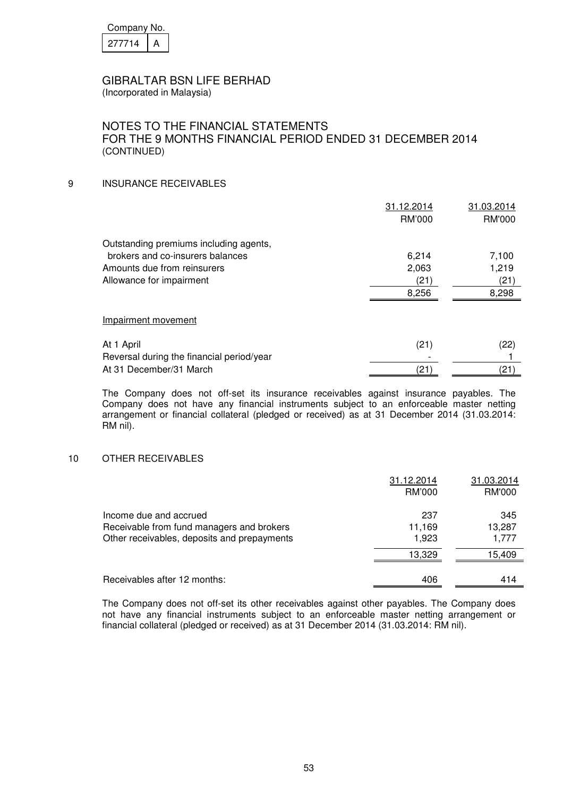| Company No. |  |  |
|-------------|--|--|
| 27714       |  |  |

(Incorporated in Malaysia)

# NOTES TO THE FINANCIAL STATEMENTS FOR THE 9 MONTHS FINANCIAL PERIOD ENDED 31 DECEMBER 2014 (CONTINUED)

# 9 INSURANCE RECEIVABLES

|                                           | 31.12.2014 | 31.03.2014    |
|-------------------------------------------|------------|---------------|
|                                           | RM'000     | <b>RM'000</b> |
| Outstanding premiums including agents,    |            |               |
| brokers and co-insurers balances          | 6,214      | 7,100         |
| Amounts due from reinsurers               | 2,063      | 1,219         |
| Allowance for impairment                  | (21)       | (21)          |
|                                           | 8,256      | 8,298         |
|                                           |            |               |
| Impairment movement                       |            |               |
| At 1 April                                | (21)       | (22)          |
| Reversal during the financial period/year |            |               |
| At 31 December/31 March                   | (21)       | (21)          |

The Company does not off-set its insurance receivables against insurance payables. The Company does not have any financial instruments subject to an enforceable master netting arrangement or financial collateral (pledged or received) as at 31 December 2014 (31.03.2014: RM nil).

#### 10 OTHER RECEIVABLES

|                                                                                                                    | 31.12.2014<br>RM'000   | 31.03.2014<br>RM'000   |
|--------------------------------------------------------------------------------------------------------------------|------------------------|------------------------|
| Income due and accrued<br>Receivable from fund managers and brokers<br>Other receivables, deposits and prepayments | 237<br>11,169<br>1,923 | 345<br>13,287<br>1,777 |
|                                                                                                                    | 13,329                 | 15,409                 |
| Receivables after 12 months:                                                                                       | 406                    | 414                    |

The Company does not off-set its other receivables against other payables. The Company does not have any financial instruments subject to an enforceable master netting arrangement or financial collateral (pledged or received) as at 31 December 2014 (31.03.2014: RM nil).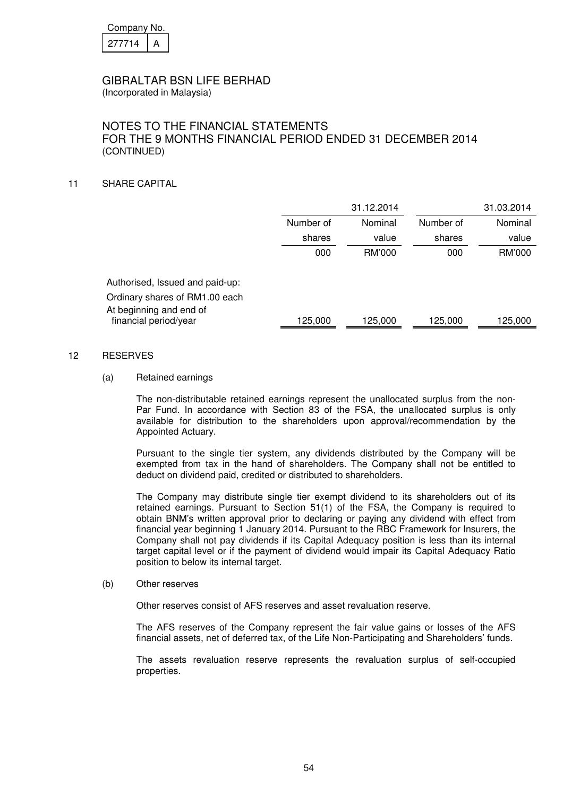| Company No. |  |  |
|-------------|--|--|
| 27714       |  |  |

# NOTES TO THE FINANCIAL STATEMENTS FOR THE 9 MONTHS FINANCIAL PERIOD ENDED 31 DECEMBER 2014 (CONTINUED)

11 SHARE CAPITAL

|                                                                                                                       |           | 31.12.2014 |           | 31.03.2014 |
|-----------------------------------------------------------------------------------------------------------------------|-----------|------------|-----------|------------|
|                                                                                                                       | Number of | Nominal    | Number of | Nominal    |
|                                                                                                                       | shares    | value      | shares    | value      |
|                                                                                                                       | 000       | RM'000     | 000       | RM'000     |
| Authorised, Issued and paid-up:<br>Ordinary shares of RM1.00 each<br>At beginning and end of<br>financial period/year | 125,000   | 125,000    | 125,000   | 125,000    |

#### 12 RESERVES

#### (a) Retained earnings

The non-distributable retained earnings represent the unallocated surplus from the non-Par Fund. In accordance with Section 83 of the FSA, the unallocated surplus is only available for distribution to the shareholders upon approval/recommendation by the Appointed Actuary.

Pursuant to the single tier system, any dividends distributed by the Company will be exempted from tax in the hand of shareholders. The Company shall not be entitled to deduct on dividend paid, credited or distributed to shareholders.

The Company may distribute single tier exempt dividend to its shareholders out of its retained earnings. Pursuant to Section 51(1) of the FSA, the Company is required to obtain BNM's written approval prior to declaring or paying any dividend with effect from financial year beginning 1 January 2014. Pursuant to the RBC Framework for Insurers, the Company shall not pay dividends if its Capital Adequacy position is less than its internal target capital level or if the payment of dividend would impair its Capital Adequacy Ratio position to below its internal target.

(b) Other reserves

Other reserves consist of AFS reserves and asset revaluation reserve.

The AFS reserves of the Company represent the fair value gains or losses of the AFS financial assets, net of deferred tax, of the Life Non-Participating and Shareholders' funds.

The assets revaluation reserve represents the revaluation surplus of self-occupied properties.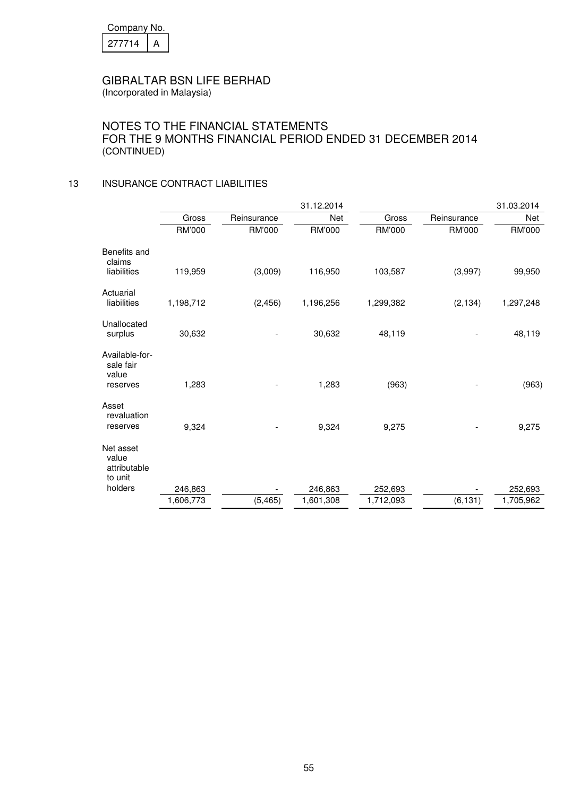| Company No. |  |  |
|-------------|--|--|
| 277714      |  |  |

(Incorporated in Malaysia)

# NOTES TO THE FINANCIAL STATEMENTS FOR THE 9 MONTHS FINANCIAL PERIOD ENDED 31 DECEMBER 2014 (CONTINUED)

# 13 INSURANCE CONTRACT LIABILITIES

|                                                  |           |             | 31.12.2014 |           |             | 31.03.2014 |
|--------------------------------------------------|-----------|-------------|------------|-----------|-------------|------------|
|                                                  | Gross     | Reinsurance | <b>Net</b> | Gross     | Reinsurance | Net        |
|                                                  | RM'000    | RM'000      | RM'000     | RM'000    | RM'000      | RM'000     |
| Benefits and<br>claims<br>liabilities            | 119,959   | (3,009)     | 116,950    | 103,587   | (3,997)     | 99,950     |
|                                                  |           |             |            |           |             |            |
| Actuarial<br>liabilities                         | 1,198,712 | (2, 456)    | 1,196,256  | 1,299,382 | (2, 134)    | 1,297,248  |
| Unallocated<br>surplus                           | 30,632    |             | 30,632     | 48,119    |             | 48,119     |
| Available-for-<br>sale fair<br>value<br>reserves | 1,283     |             | 1,283      | (963)     |             | (963)      |
|                                                  |           |             |            |           |             |            |
| Asset<br>revaluation<br>reserves                 | 9,324     |             | 9,324      | 9,275     |             | 9,275      |
| Net asset<br>value<br>attributable<br>to unit    |           |             |            |           |             |            |
| holders                                          | 246,863   |             | 246,863    | 252,693   |             | 252,693    |
|                                                  | 1,606,773 | (5, 465)    | 1,601,308  | 1,712,093 | (6, 131)    | 1,705,962  |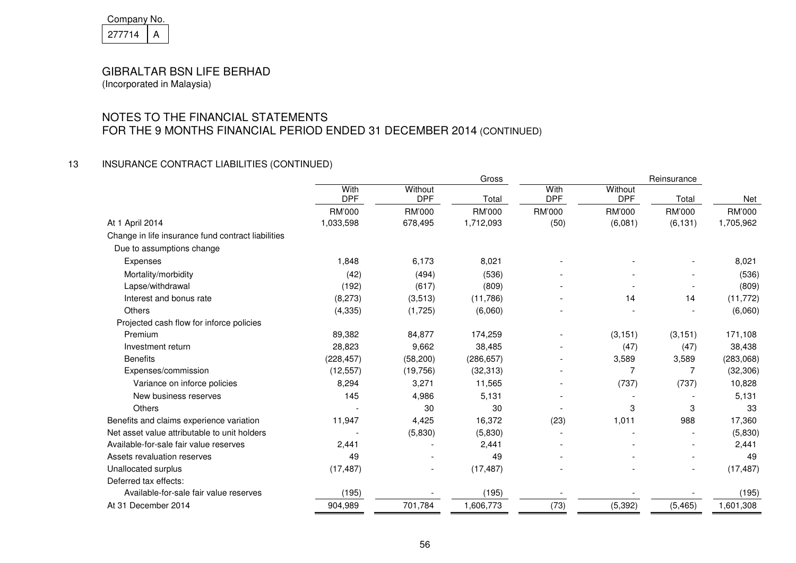| Company No. |  |
|-------------|--|
| 27714       |  |

# NOTES TO THE FINANCIAL STATEMENTS FOR THE 9 MONTHS FINANCIAL PERIOD ENDED 31 DECEMBER 2014 (CONTINUED)

# 13 INSURANCE CONTRACT LIABILITIES (CONTINUED)

|                                                    | Gross              |                          | Reinsurance |                    |                       |               |               |
|----------------------------------------------------|--------------------|--------------------------|-------------|--------------------|-----------------------|---------------|---------------|
|                                                    | With<br><b>DPF</b> | Without<br><b>DPF</b>    | Total       | With<br><b>DPF</b> | Without<br><b>DPF</b> | Total         | <b>Net</b>    |
|                                                    | RM'000             | <b>RM'000</b>            | RM'000      | <b>RM'000</b>      | RM'000                | <b>RM'000</b> | <b>RM'000</b> |
| At 1 April 2014                                    | 1,033,598          | 678,495                  | 1,712,093   | (50)               | (6,081)               | (6, 131)      | 1,705,962     |
| Change in life insurance fund contract liabilities |                    |                          |             |                    |                       |               |               |
| Due to assumptions change                          |                    |                          |             |                    |                       |               |               |
| Expenses                                           | 1,848              | 6.173                    | 8,021       |                    |                       |               | 8,021         |
| Mortality/morbidity                                | (42)               | (494)                    | (536)       |                    |                       |               | (536)         |
| Lapse/withdrawal                                   | (192)              | (617)                    | (809)       |                    |                       |               | (809)         |
| Interest and bonus rate                            | (8, 273)           | (3, 513)                 | (11,786)    |                    | 14                    | 14            | (11, 772)     |
| <b>Others</b>                                      | (4, 335)           | (1,725)                  | (6,060)     |                    |                       |               | (6,060)       |
| Projected cash flow for inforce policies           |                    |                          |             |                    |                       |               |               |
| Premium                                            | 89,382             | 84,877                   | 174,259     |                    | (3, 151)              | (3, 151)      | 171,108       |
| Investment return                                  | 28,823             | 9,662                    | 38,485      |                    | (47)                  | (47)          | 38,438        |
| <b>Benefits</b>                                    | (228, 457)         | (58, 200)                | (286, 657)  |                    | 3,589                 | 3,589         | (283,068)     |
| Expenses/commission                                | (12, 557)          | (19, 756)                | (32, 313)   |                    | 7                     | 7             | (32, 306)     |
| Variance on inforce policies                       | 8,294              | 3,271                    | 11,565      |                    | (737)                 | (737)         | 10,828        |
| New business reserves                              | 145                | 4,986                    | 5,131       |                    |                       |               | 5,131         |
| <b>Others</b>                                      |                    | 30                       | 30          |                    | 3                     | 3             | 33            |
| Benefits and claims experience variation           | 11,947             | 4,425                    | 16,372      | (23)               | 1,011                 | 988           | 17,360        |
| Net asset value attributable to unit holders       |                    | (5,830)                  | (5,830)     |                    |                       |               | (5,830)       |
| Available-for-sale fair value reserves             | 2,441              |                          | 2,441       |                    |                       |               | 2,441         |
| Assets revaluation reserves                        | 49                 |                          | 49          |                    |                       |               | 49            |
| Unallocated surplus                                | (17, 487)          | $\overline{\phantom{a}}$ | (17, 487)   |                    |                       |               | (17, 487)     |
| Deferred tax effects:                              |                    |                          |             |                    |                       |               |               |
| Available-for-sale fair value reserves             | (195)              |                          | (195)       |                    |                       |               | (195)         |
| At 31 December 2014                                | 904,989            | 701,784                  | 1,606,773   | (73)               | (5, 392)              | (5, 465)      | 1,601,308     |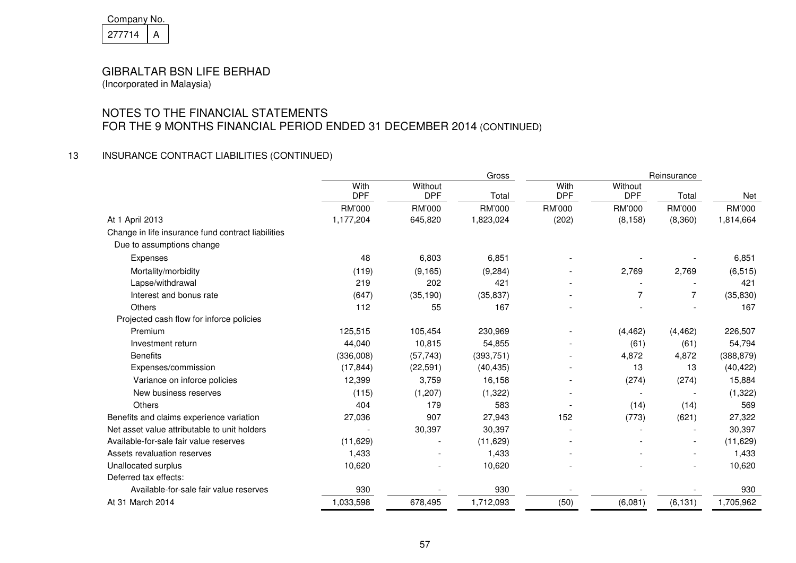| Company No. |  |
|-------------|--|
| 277714      |  |

# NOTES TO THE FINANCIAL STATEMENTS FOR THE 9 MONTHS FINANCIAL PERIOD ENDED 31 DECEMBER 2014 (CONTINUED)

# 13 INSURANCE CONTRACT LIABILITIES (CONTINUED)

| With<br>Without<br>With<br>Without<br><b>DPF</b><br><b>DPF</b><br><b>DPF</b><br><b>DPF</b><br>Total<br>Total | <b>Net</b><br>RM'000 |
|--------------------------------------------------------------------------------------------------------------|----------------------|
|                                                                                                              |                      |
| RM'000<br><b>RM'000</b><br>RM'000<br><b>RM'000</b><br>RM'000<br>RM'000                                       |                      |
| 645,820<br>At 1 April 2013<br>1,177,204<br>1,823,024<br>(202)<br>(8, 158)<br>(8,360)                         | 1,814,664            |
| Change in life insurance fund contract liabilities                                                           |                      |
| Due to assumptions change                                                                                    |                      |
| 48<br>6,803<br>6,851<br>Expenses                                                                             | 6,851                |
| Mortality/morbidity<br>(119)<br>2,769<br>2,769<br>(9, 165)<br>(9,284)                                        | (6, 515)             |
| Lapse/withdrawal<br>219<br>202<br>421                                                                        | 421                  |
| 7<br>Interest and bonus rate<br>7<br>(647)<br>(35, 190)<br>(35, 837)                                         | (35, 830)            |
| <b>Others</b><br>112<br>55<br>167                                                                            | 167                  |
| Projected cash flow for inforce policies                                                                     |                      |
| Premium<br>125,515<br>105,454<br>230,969<br>(4, 462)<br>(4, 462)                                             | 226,507              |
| 10,815<br>54,855<br>Investment return<br>44,040<br>(61)<br>(61)                                              | 54,794               |
| <b>Benefits</b><br>(336,008)<br>(57, 743)<br>(393, 751)<br>4,872<br>4,872                                    | (388, 879)           |
| (17, 844)<br>13<br>Expenses/commission<br>(22, 591)<br>(40, 435)<br>13                                       | (40, 422)            |
| Variance on inforce policies<br>12,399<br>3,759<br>(274)<br>16,158<br>(274)                                  | 15,884               |
| New business reserves<br>(115)<br>(1,207)<br>(1,322)                                                         | (1, 322)             |
| 404<br>179<br>583<br><b>Others</b><br>(14)<br>(14)                                                           | 569                  |
| 907<br>Benefits and claims experience variation<br>27,036<br>27,943<br>152<br>(773)<br>(621)                 | 27,322               |
| Net asset value attributable to unit holders<br>30,397<br>30,397                                             | 30,397               |
| Available-for-sale fair value reserves<br>(11, 629)<br>(11,629)                                              | (11, 629)            |
| 1,433<br>1,433<br>Assets revaluation reserves                                                                | 1,433                |
| 10,620<br>10,620<br>Unallocated surplus<br>$\overline{\phantom{0}}$                                          | 10,620               |
| Deferred tax effects:                                                                                        |                      |
| 930<br>Available-for-sale fair value reserves<br>930                                                         | 930                  |
| At 31 March 2014<br>1,033,598<br>678,495<br>1,712,093<br>(50)<br>(6,081)<br>(6, 131)                         | 1,705,962            |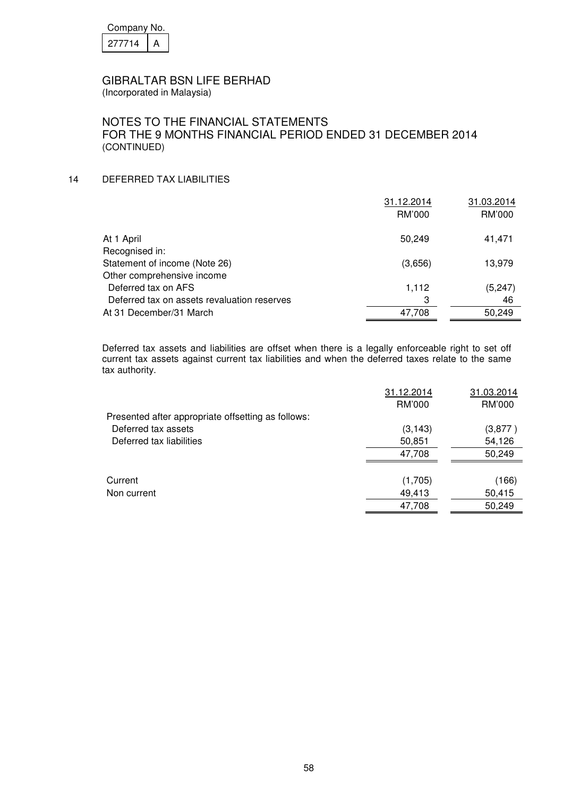| Company No. |  |  |
|-------------|--|--|
| 27714       |  |  |

(Incorporated in Malaysia)

# NOTES TO THE FINANCIAL STATEMENTS FOR THE 9 MONTHS FINANCIAL PERIOD ENDED 31 DECEMBER 2014 (CONTINUED)

### 14 DEFERRED TAX LIABILITIES

|                                             | 31.12.2014 | 31.03.2014 |
|---------------------------------------------|------------|------------|
|                                             | RM'000     | RM'000     |
| At 1 April                                  | 50.249     | 41,471     |
| Recognised in:                              |            |            |
| Statement of income (Note 26)               | (3,656)    | 13,979     |
| Other comprehensive income                  |            |            |
| Deferred tax on AFS                         | 1,112      | (5,247)    |
| Deferred tax on assets revaluation reserves | 3          | 46         |
| At 31 December/31 March                     | 47,708     | 50,249     |

Deferred tax assets and liabilities are offset when there is a legally enforceable right to set off current tax assets against current tax liabilities and when the deferred taxes relate to the same tax authority.

|                                                    | 31.12.2014 | 31.03.2014 |
|----------------------------------------------------|------------|------------|
|                                                    | RM'000     | RM'000     |
| Presented after appropriate offsetting as follows: |            |            |
| Deferred tax assets                                | (3, 143)   | (3,877)    |
| Deferred tax liabilities                           | 50,851     | 54,126     |
|                                                    | 47,708     | 50,249     |
|                                                    |            |            |
| Current                                            | (1,705)    | (166)      |
| Non current                                        | 49,413     | 50,415     |
|                                                    | 47,708     | 50,249     |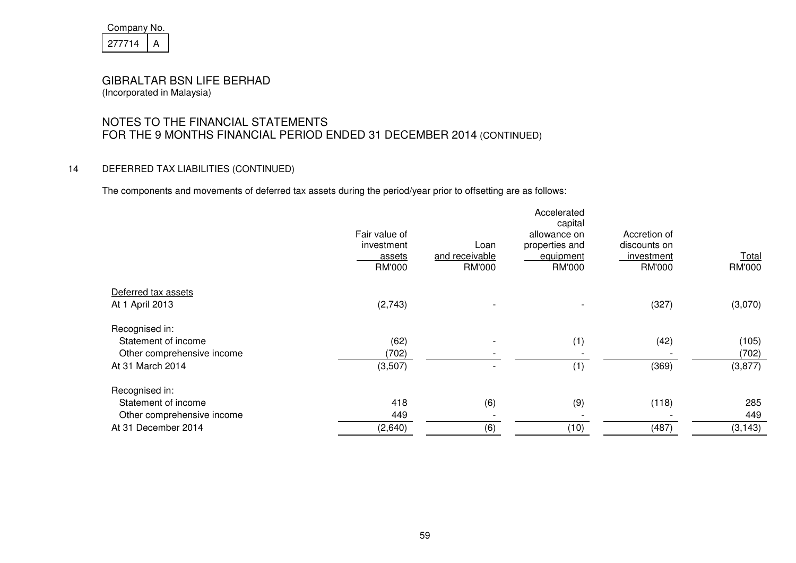| Company No. |  |  |
|-------------|--|--|
| 27714       |  |  |

# NOTES TO THE FINANCIAL STATEMENTS FOR THE 9 MONTHS FINANCIAL PERIOD ENDED 31 DECEMBER 2014 (CONTINUED)

#### 14 DEFERRED TAX LIABILITIES (CONTINUED)

The components and movements of deferred tax assets during the period/year prior to offsetting are as follows:

|                            | Fair value of<br>investment<br>assets<br><b>RM'000</b> | Loan<br>and receivable<br><b>RM'000</b> | Accelerated<br>capital<br>allowance on<br>properties and<br>equipment<br><b>RM'000</b> | Accretion of<br>discounts on<br>investment<br><b>RM'000</b> | Total<br><b>RM'000</b> |
|----------------------------|--------------------------------------------------------|-----------------------------------------|----------------------------------------------------------------------------------------|-------------------------------------------------------------|------------------------|
| Deferred tax assets        |                                                        |                                         |                                                                                        |                                                             |                        |
| At 1 April 2013            | (2,743)                                                |                                         |                                                                                        | (327)                                                       | (3,070)                |
| Recognised in:             |                                                        |                                         |                                                                                        |                                                             |                        |
| Statement of income        | (62)                                                   |                                         | (1)                                                                                    | (42)                                                        | (105)                  |
| Other comprehensive income | (702)                                                  |                                         |                                                                                        |                                                             | (702)                  |
| At 31 March 2014           | (3,507)                                                |                                         | (1)                                                                                    | (369)                                                       | (3, 877)               |
| Recognised in:             |                                                        |                                         |                                                                                        |                                                             |                        |
| Statement of income        | 418                                                    | (6)                                     | (9)                                                                                    | (118)                                                       | 285                    |
| Other comprehensive income | 449                                                    |                                         |                                                                                        |                                                             | 449                    |
| At 31 December 2014        | (2,640)                                                | (6)                                     | (10)                                                                                   | (487)                                                       | (3, 143)               |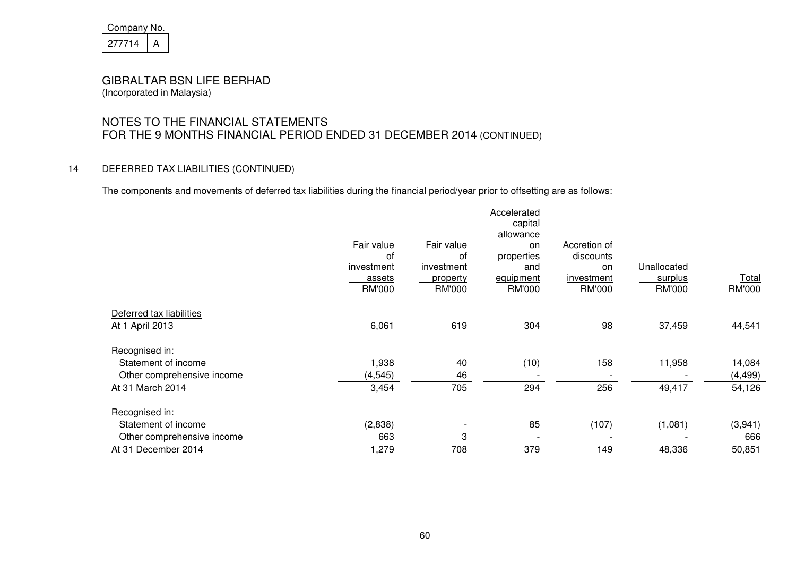| Company No. |  |  |
|-------------|--|--|
| 27714       |  |  |

# NOTES TO THE FINANCIAL STATEMENTS FOR THE 9 MONTHS FINANCIAL PERIOD ENDED 31 DECEMBER 2014 (CONTINUED)

#### 14 DEFERRED TAX LIABILITIES (CONTINUED)

The components and movements of deferred tax liabilities during the financial period/year prior to offsetting are as follows:

|                            |               |               | Accelerated   |               |               |               |
|----------------------------|---------------|---------------|---------------|---------------|---------------|---------------|
|                            |               |               | capital       |               |               |               |
|                            |               |               | allowance     |               |               |               |
|                            | Fair value    | Fair value    | on            | Accretion of  |               |               |
|                            | οf            | οf            | properties    | discounts     |               |               |
|                            | investment    | investment    | and           | on            | Unallocated   |               |
|                            | <u>assets</u> | property      | equipment     | investment    | surplus       | <b>Total</b>  |
|                            | <b>RM'000</b> | <b>RM'000</b> | <b>RM'000</b> | <b>RM'000</b> | <b>RM'000</b> | <b>RM'000</b> |
| Deferred tax liabilities   |               |               |               |               |               |               |
| At 1 April 2013            | 6,061         | 619           | 304           | 98            | 37,459        | 44,541        |
| Recognised in:             |               |               |               |               |               |               |
| Statement of income        | 1,938         | 40            | (10)          | 158           | 11,958        | 14,084        |
| Other comprehensive income | (4, 545)      | 46            |               |               |               | (4, 499)      |
| At 31 March 2014           | 3,454         | 705           | 294           | 256           | 49,417        | 54,126        |
| Recognised in:             |               |               |               |               |               |               |
| Statement of income        | (2,838)       |               | 85            | (107)         | (1,081)       | (3,941)       |
| Other comprehensive income | 663           | 3             |               |               |               | 666           |
| At 31 December 2014        | 1,279         | 708           | 379           | 149           | 48,336        | 50,851        |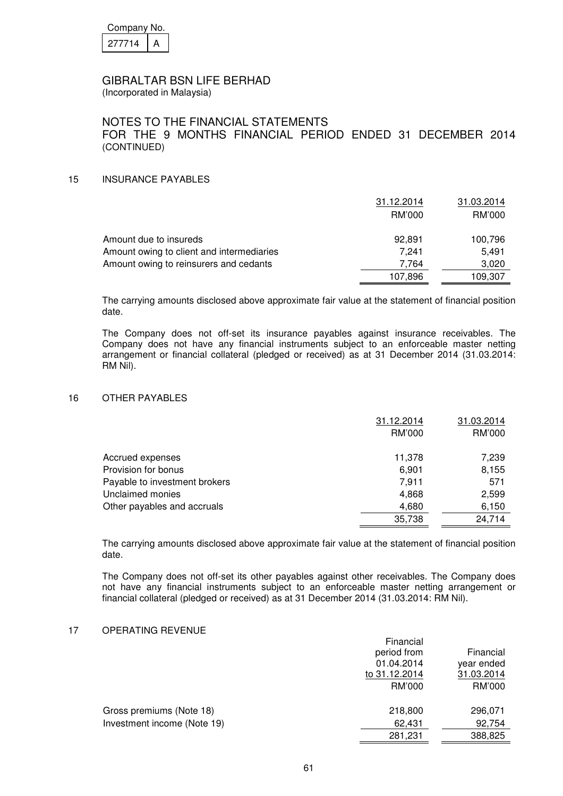| Company No. |  |  |
|-------------|--|--|
| 27714       |  |  |

(Incorporated in Malaysia)

## NOTES TO THE FINANCIAL STATEMENTS FOR THE 9 MONTHS FINANCIAL PERIOD ENDED 31 DECEMBER 2014 (CONTINUED)

#### 15 INSURANCE PAYABLES

|                                           | 31.12.2014 | 31.03.2014 |
|-------------------------------------------|------------|------------|
|                                           | RM'000     | RM'000     |
| Amount due to insureds                    | 92.891     | 100,796    |
| Amount owing to client and intermediaries | 7.241      | 5.491      |
| Amount owing to reinsurers and cedants    | 7.764      | 3,020      |
|                                           | 107,896    | 109,307    |

 The carrying amounts disclosed above approximate fair value at the statement of financial position date.

The Company does not off-set its insurance payables against insurance receivables. The Company does not have any financial instruments subject to an enforceable master netting arrangement or financial collateral (pledged or received) as at 31 December 2014 (31.03.2014: RM Nil).

#### 16 OTHER PAYABLES

|                               | 31.12.2014 | 31.03.2014 |
|-------------------------------|------------|------------|
|                               | RM'000     | RM'000     |
| Accrued expenses              | 11,378     | 7,239      |
| Provision for bonus           | 6,901      | 8,155      |
| Payable to investment brokers | 7.911      | 571        |
| Unclaimed monies              | 4,868      | 2,599      |
| Other payables and accruals   | 4,680      | 6,150      |
|                               | 35,738     | 24,714     |

 The carrying amounts disclosed above approximate fair value at the statement of financial position date.

The Company does not off-set its other payables against other receivables. The Company does not have any financial instruments subject to an enforceable master netting arrangement or financial collateral (pledged or received) as at 31 December 2014 (31.03.2014: RM Nil).

#### 17 OPERATING REVENUE

|                             | Financial     |            |
|-----------------------------|---------------|------------|
|                             | period from   | Financial  |
|                             | 01.04.2014    | year ended |
|                             | to 31.12.2014 | 31.03.2014 |
|                             | RM'000        | RM'000     |
| Gross premiums (Note 18)    | 218,800       | 296,071    |
| Investment income (Note 19) | 62,431        | 92,754     |
|                             | 281,231       | 388,825    |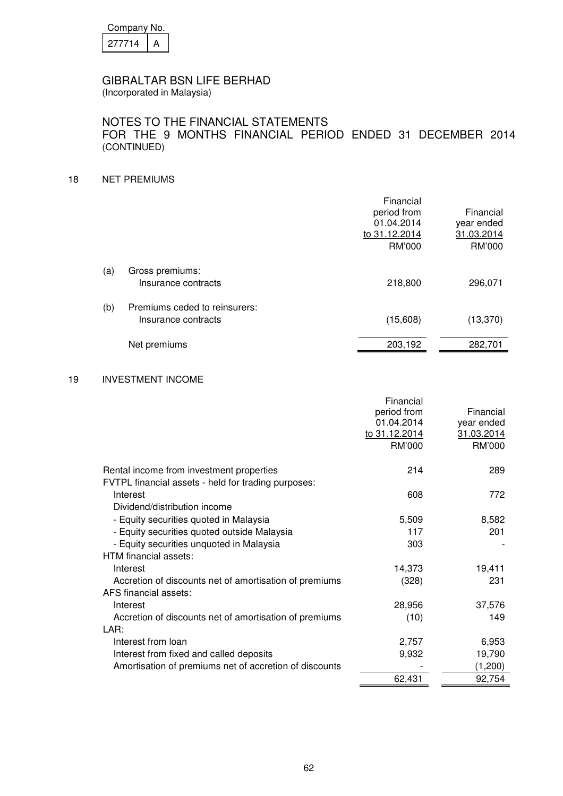| Company No. |  |  |
|-------------|--|--|
| 277714      |  |  |

# NOTES TO THE FINANCIAL STATEMENTS FOR THE 9 MONTHS FINANCIAL PERIOD ENDED 31 DECEMBER 2014 (CONTINUED)

#### 18 NET PREMIUMS

|     |                                                      | Financial<br>period from<br>01.04.2014<br>to 31.12.2014<br>RM'000 | Financial<br>year ended<br>31.03.2014<br>RM'000 |
|-----|------------------------------------------------------|-------------------------------------------------------------------|-------------------------------------------------|
| (a) | Gross premiums:<br>Insurance contracts               | 218,800                                                           | 296,071                                         |
| (b) | Premiums ceded to reinsurers:<br>Insurance contracts | (15,608)                                                          | (13,370)                                        |
|     | Net premiums                                         | 203,192                                                           | 282,701                                         |

#### 19 INVESTMENT INCOME

|                                                        | Financial<br>period from<br>01.04.2014<br>to 31.12.2014<br>RM'000 | Financial<br>year ended<br>31.03.2014<br><b>RM'000</b> |
|--------------------------------------------------------|-------------------------------------------------------------------|--------------------------------------------------------|
|                                                        |                                                                   |                                                        |
| Rental income from investment properties               | 214                                                               | 289                                                    |
| FVTPL financial assets - held for trading purposes:    |                                                                   |                                                        |
| Interest                                               | 608                                                               | 772                                                    |
| Dividend/distribution income                           |                                                                   |                                                        |
| - Equity securities quoted in Malaysia                 | 5,509                                                             | 8,582                                                  |
| - Equity securities quoted outside Malaysia            | 117                                                               | 201                                                    |
| - Equity securities unquoted in Malaysia               | 303                                                               |                                                        |
| HTM financial assets:                                  |                                                                   |                                                        |
| Interest                                               | 14,373                                                            | 19,411                                                 |
| Accretion of discounts net of amortisation of premiums | (328)                                                             | 231                                                    |
| AFS financial assets:                                  |                                                                   |                                                        |
| Interest                                               | 28,956                                                            | 37,576                                                 |
| Accretion of discounts net of amortisation of premiums | (10)                                                              | 149                                                    |
| LAR:                                                   |                                                                   |                                                        |
| Interest from loan                                     | 2,757                                                             | 6,953                                                  |
| Interest from fixed and called deposits                | 9,932                                                             | 19,790                                                 |
| Amortisation of premiums net of accretion of discounts |                                                                   | (1,200)                                                |
|                                                        | 62,431                                                            | 92,754                                                 |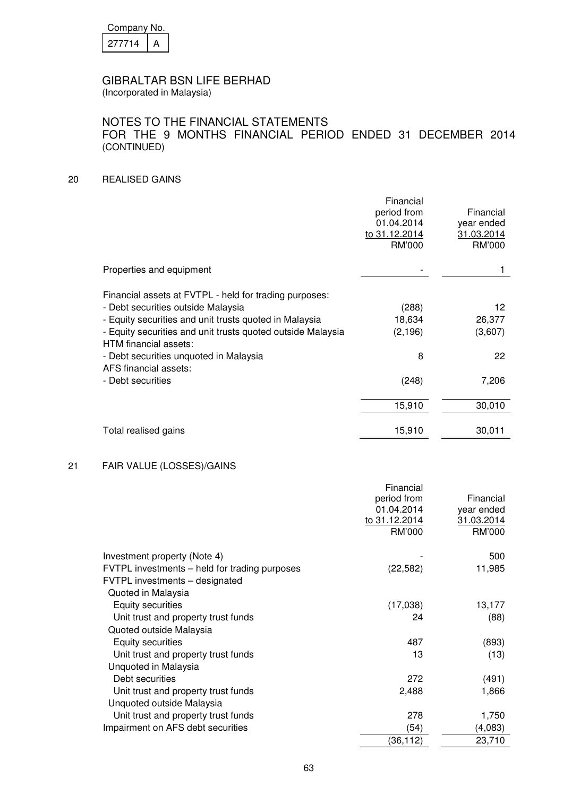| Company No. |  |
|-------------|--|
| 277714      |  |

# NOTES TO THE FINANCIAL STATEMENTS FOR THE 9 MONTHS FINANCIAL PERIOD ENDED 31 DECEMBER 2014 (CONTINUED)

#### 20 REALISED GAINS

|                                                                                                                                                                                                                                                                                                                                        | Financial<br>period from<br>01.04.2014<br>to 31.12.2014<br>RM'000 | Financial<br>year ended<br>31.03.2014<br>RM'000  |
|----------------------------------------------------------------------------------------------------------------------------------------------------------------------------------------------------------------------------------------------------------------------------------------------------------------------------------------|-------------------------------------------------------------------|--------------------------------------------------|
| Properties and equipment                                                                                                                                                                                                                                                                                                               |                                                                   |                                                  |
| Financial assets at FVTPL - held for trading purposes:<br>- Debt securities outside Malaysia<br>- Equity securities and unit trusts quoted in Malaysia<br>- Equity securities and unit trusts quoted outside Malaysia<br>HTM financial assets:<br>- Debt securities unquoted in Malaysia<br>AFS financial assets:<br>- Debt securities | (288)<br>18,634<br>(2, 196)<br>8<br>(248)<br>15,910               | 12<br>26,377<br>(3,607)<br>22<br>7,206<br>30,010 |
| Total realised gains                                                                                                                                                                                                                                                                                                                   | 15,910                                                            | 30,011                                           |

# 21 FAIR VALUE (LOSSES)/GAINS

|                                               | Financial<br>period from<br>01.04.2014<br>to 31.12.2014<br><b>RM'000</b> | Financial<br>year ended<br>31.03.2014<br>RM'000 |
|-----------------------------------------------|--------------------------------------------------------------------------|-------------------------------------------------|
| Investment property (Note 4)                  |                                                                          | 500                                             |
| FVTPL investments – held for trading purposes | (22, 582)                                                                | 11,985                                          |
| FVTPL investments - designated                |                                                                          |                                                 |
| Quoted in Malaysia                            |                                                                          |                                                 |
| <b>Equity securities</b>                      | (17,038)                                                                 | 13,177                                          |
| Unit trust and property trust funds           | 24                                                                       | (88)                                            |
| Quoted outside Malaysia                       |                                                                          |                                                 |
| <b>Equity securities</b>                      | 487                                                                      | (893)                                           |
| Unit trust and property trust funds           | 13                                                                       | (13)                                            |
| Unquoted in Malaysia                          |                                                                          |                                                 |
| Debt securities                               | 272                                                                      | (491)                                           |
| Unit trust and property trust funds           | 2,488                                                                    | 1,866                                           |
| Unquoted outside Malaysia                     |                                                                          |                                                 |
| Unit trust and property trust funds           | 278                                                                      | 1,750                                           |
| Impairment on AFS debt securities             | (54)                                                                     | (4,083)                                         |
|                                               | (36, 112)                                                                | 23,710                                          |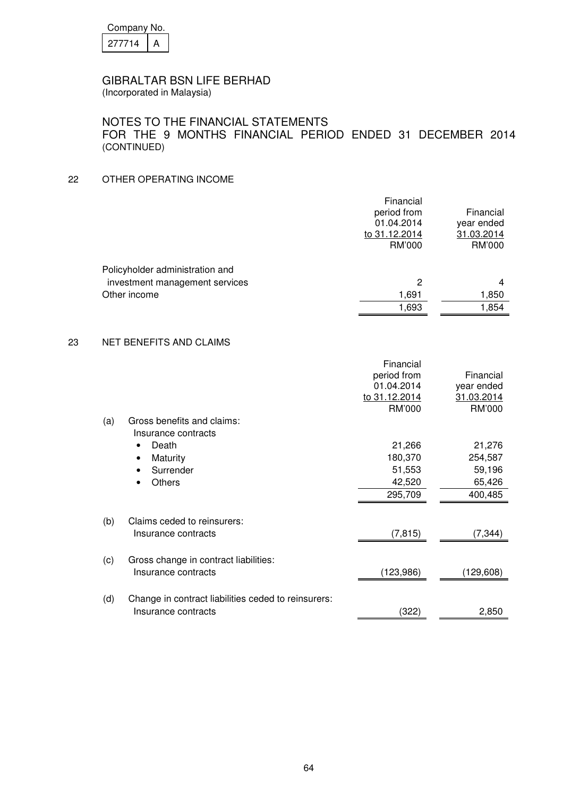| Company No. |  |
|-------------|--|
| 277714      |  |

# NOTES TO THE FINANCIAL STATEMENTS FOR THE 9 MONTHS FINANCIAL PERIOD ENDED 31 DECEMBER 2014 (CONTINUED)

### 22 OTHER OPERATING INCOME

|                                 | Financial<br>period from<br>01.04.2014<br>to 31.12.2014<br>RM'000 | Financial<br>year ended<br>31.03.2014<br>RM'000 |
|---------------------------------|-------------------------------------------------------------------|-------------------------------------------------|
| Policyholder administration and |                                                                   |                                                 |
| investment management services  | 2                                                                 |                                                 |
| Other income                    | 1,691                                                             | 1,850                                           |
|                                 | 1,693                                                             | 1,854                                           |

#### 23 NET BENEFITS AND CLAIMS

|     |                                                                            | Financial<br>period from<br>01.04.2014<br>to 31.12.2014<br><b>RM'000</b> | Financial<br>year ended<br>31.03.2014<br>RM'000 |
|-----|----------------------------------------------------------------------------|--------------------------------------------------------------------------|-------------------------------------------------|
| (a) | Gross benefits and claims:<br>Insurance contracts                          |                                                                          |                                                 |
|     | Death<br>$\bullet$                                                         | 21,266                                                                   | 21,276                                          |
|     | Maturity<br>٠                                                              | 180,370                                                                  | 254,587                                         |
|     | Surrender                                                                  | 51,553                                                                   | 59,196                                          |
|     | Others                                                                     | 42,520                                                                   | 65,426                                          |
|     |                                                                            | 295,709                                                                  | 400,485                                         |
|     |                                                                            |                                                                          |                                                 |
| (b) | Claims ceded to reinsurers:                                                |                                                                          |                                                 |
|     | Insurance contracts                                                        | (7, 815)                                                                 | (7, 344)                                        |
| (c) | Gross change in contract liabilities:                                      |                                                                          |                                                 |
|     | Insurance contracts                                                        | (123,986)                                                                | (129,608)                                       |
|     |                                                                            |                                                                          |                                                 |
| (d) | Change in contract liabilities ceded to reinsurers:<br>Insurance contracts | (322)                                                                    | 2,850                                           |
|     |                                                                            |                                                                          |                                                 |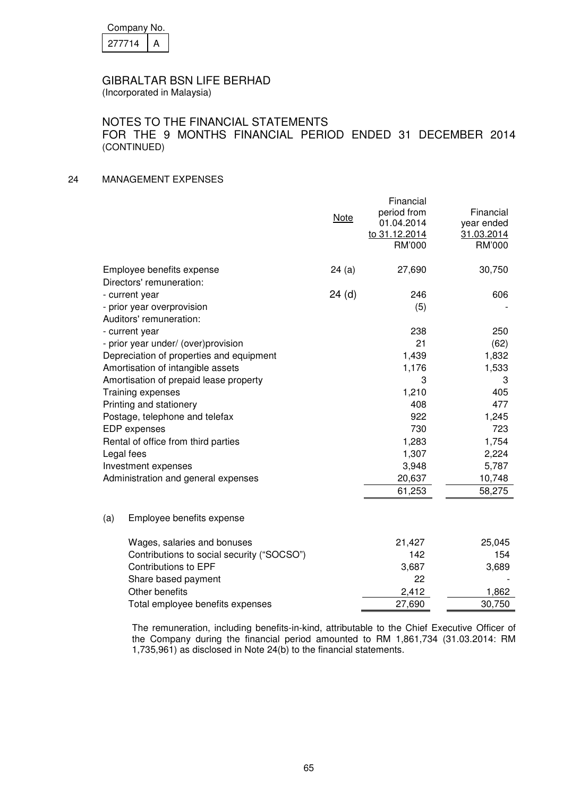| Company No. |  |
|-------------|--|
| 27714       |  |

(Incorporated in Malaysia)

## NOTES TO THE FINANCIAL STATEMENTS FOR THE 9 MONTHS FINANCIAL PERIOD ENDED 31 DECEMBER 2014 (CONTINUED)

#### 24 MANAGEMENT EXPENSES

|     |                                            | <b>Note</b> | Financial<br>period from<br>01.04.2014<br>to 31.12.2014<br>RM'000 | Financial<br>year ended<br>31.03.2014<br>RM'000 |
|-----|--------------------------------------------|-------------|-------------------------------------------------------------------|-------------------------------------------------|
|     | Employee benefits expense                  | 24(a)       | 27,690                                                            | 30,750                                          |
|     | Directors' remuneration:                   |             |                                                                   |                                                 |
|     | - current year                             | $24$ (d)    | 246                                                               | 606                                             |
|     | - prior year overprovision                 |             | (5)                                                               |                                                 |
|     | Auditors' remuneration:                    |             |                                                                   |                                                 |
|     | - current year                             |             | 238                                                               | 250                                             |
|     | - prior year under/ (over)provision        |             | 21                                                                | (62)                                            |
|     | Depreciation of properties and equipment   |             | 1,439                                                             | 1,832                                           |
|     | Amortisation of intangible assets          |             | 1,176                                                             | 1,533                                           |
|     | Amortisation of prepaid lease property     |             | 3                                                                 | 3                                               |
|     | Training expenses                          |             | 1,210                                                             | 405                                             |
|     | Printing and stationery                    |             | 408                                                               | 477                                             |
|     | Postage, telephone and telefax             |             | 922                                                               | 1,245                                           |
|     | EDP expenses                               |             | 730                                                               | 723                                             |
|     | Rental of office from third parties        |             | 1,283                                                             | 1,754                                           |
|     | Legal fees                                 |             | 1,307                                                             | 2,224                                           |
|     | Investment expenses                        |             | 3,948                                                             | 5,787                                           |
|     | Administration and general expenses        |             | 20,637                                                            | 10,748                                          |
|     |                                            |             | 61,253                                                            | 58,275                                          |
| (a) | Employee benefits expense                  |             |                                                                   |                                                 |
|     | Wages, salaries and bonuses                |             | 21,427                                                            | 25,045                                          |
|     | Contributions to social security ("SOCSO") |             | 142                                                               | 154                                             |
|     | Contributions to EPF                       |             | 3,687                                                             | 3,689                                           |
|     | Share based payment                        |             | 22                                                                |                                                 |
|     | Other benefits                             |             | 2,412                                                             | 1,862                                           |

 The remuneration, including benefits-in-kind, attributable to the Chief Executive Officer of the Company during the financial period amounted to RM 1,861,734 (31.03.2014: RM 1,735,961) as disclosed in Note 24(b) to the financial statements.

Total employee benefits expenses 27,690 30,750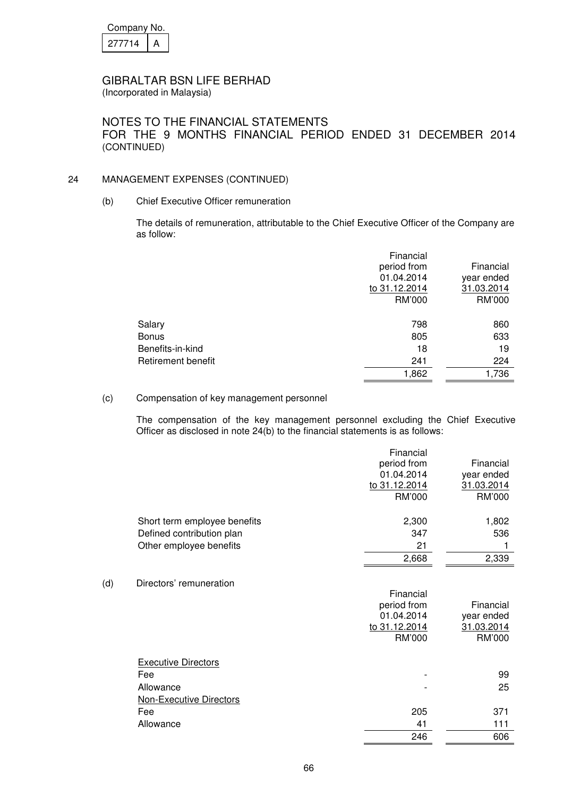| Company No. |  |
|-------------|--|
| 277714      |  |

# NOTES TO THE FINANCIAL STATEMENTS FOR THE 9 MONTHS FINANCIAL PERIOD ENDED 31 DECEMBER 2014 (CONTINUED)

#### 24 MANAGEMENT EXPENSES (CONTINUED)

(b) Chief Executive Officer remuneration

 The details of remuneration, attributable to the Chief Executive Officer of the Company are as follow:

|                    | Financial     |            |
|--------------------|---------------|------------|
|                    | period from   | Financial  |
|                    | 01.04.2014    | year ended |
|                    | to 31.12.2014 | 31.03.2014 |
|                    | RM'000        | RM'000     |
|                    |               |            |
| Salary             | 798           | 860        |
| <b>Bonus</b>       | 805           | 633        |
| Benefits-in-kind   | 18            | 19         |
| Retirement benefit | 241           | 224        |
|                    | 1,862         | 1,736      |
|                    |               |            |

#### (c) Compensation of key management personnel

 The compensation of the key management personnel excluding the Chief Executive Officer as disclosed in note 24(b) to the financial statements is as follows:

|     |                                                                                               | Financial<br>period from<br>01.04.2014<br>to 31.12.2014<br>RM'000 | Financial<br>year ended<br>31.03.2014<br>RM'000 |
|-----|-----------------------------------------------------------------------------------------------|-------------------------------------------------------------------|-------------------------------------------------|
|     | Short term employee benefits<br>Defined contribution plan<br>Other employee benefits          | 2,300<br>347<br>21<br>2,668                                       | 1,802<br>536<br>1<br>2,339                      |
| (d) | Directors' remuneration                                                                       | Financial<br>period from<br>01.04.2014<br>to 31.12.2014<br>RM'000 | Financial<br>year ended<br>31.03.2014<br>RM'000 |
|     | <b>Executive Directors</b><br>Fee<br>Allowance<br>Non-Executive Directors<br>Fee<br>Allowance | 205<br>41<br>246                                                  | 99<br>25<br>371<br>111<br>606                   |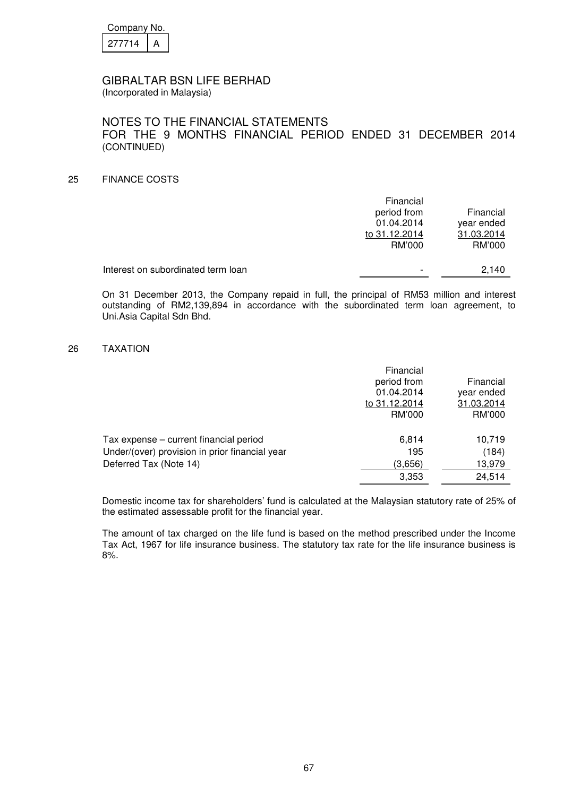| Company No. |  |
|-------------|--|
| 27714       |  |

# NOTES TO THE FINANCIAL STATEMENTS FOR THE 9 MONTHS FINANCIAL PERIOD ENDED 31 DECEMBER 2014 (CONTINUED)

#### 25 FINANCE COSTS

| Interest on subordinated term loan | $\overline{\phantom{a}}$ | 2,140      |
|------------------------------------|--------------------------|------------|
|                                    | RM'000                   | RM'000     |
|                                    | to 31.12.2014            | 31.03.2014 |
|                                    | 01.04.2014               | year ended |
|                                    | period from              | Financial  |
|                                    | Financial                |            |

On 31 December 2013, the Company repaid in full, the principal of RM53 million and interest outstanding of RM2,139,894 in accordance with the subordinated term loan agreement, to Uni.Asia Capital Sdn Bhd.

# 26 TAXATION

|                                                | Financial     |            |
|------------------------------------------------|---------------|------------|
|                                                | period from   | Financial  |
|                                                | 01.04.2014    | year ended |
|                                                | to 31.12.2014 | 31.03.2014 |
|                                                | RM'000        | RM'000     |
| Tax expense – current financial period         | 6,814         | 10,719     |
| Under/(over) provision in prior financial year | 195           | (184)      |
| Deferred Tax (Note 14)                         | (3,656)       | 13,979     |
|                                                | 3,353         | 24,514     |

 Domestic income tax for shareholders' fund is calculated at the Malaysian statutory rate of 25% of the estimated assessable profit for the financial year.

 The amount of tax charged on the life fund is based on the method prescribed under the Income Tax Act, 1967 for life insurance business. The statutory tax rate for the life insurance business is 8%.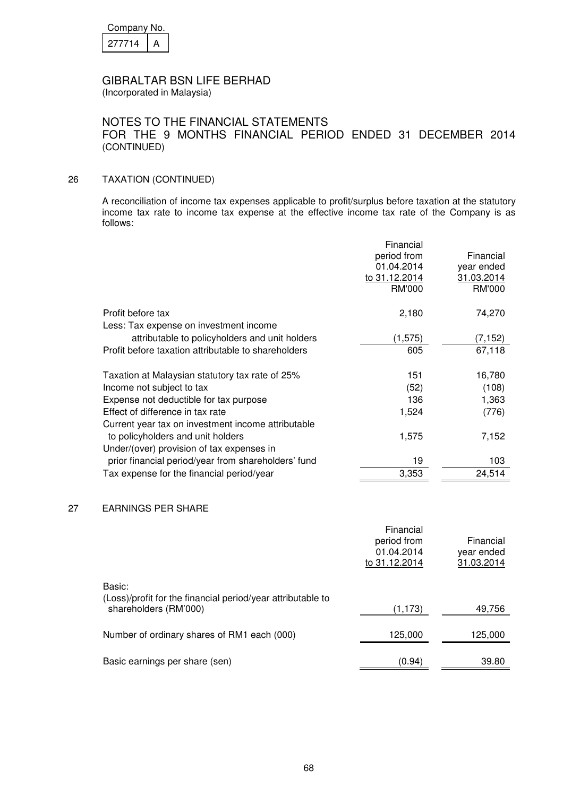| Company No. |  |  |
|-------------|--|--|
| 27714       |  |  |

# NOTES TO THE FINANCIAL STATEMENTS FOR THE 9 MONTHS FINANCIAL PERIOD ENDED 31 DECEMBER 2014 (CONTINUED)

#### 26 TAXATION (CONTINUED)

 A reconciliation of income tax expenses applicable to profit/surplus before taxation at the statutory income tax rate to income tax expense at the effective income tax rate of the Company is as follows:

| Profit before tax<br>2,180<br>74,270<br>Less: Tax expense on investment income<br>attributable to policyholders and unit holders<br>(1, 575)<br>(7, 152)<br>Profit before taxation attributable to shareholders<br>605<br>67,118<br>Taxation at Malaysian statutory tax rate of 25%<br>151<br>16,780<br>Income not subject to tax<br>(52)<br>(108)<br>Expense not deductible for tax purpose<br>136<br>1,363<br>Effect of difference in tax rate<br>1,524<br>(776)<br>Current year tax on investment income attributable<br>to policyholders and unit holders<br>1,575<br>7,152<br>Under/(over) provision of tax expenses in<br>prior financial period/year from shareholders' fund<br>19<br>103<br>Tax expense for the financial period/year<br>3,353<br>24,514 | Financial<br>period from<br>01.04.2014<br>to 31.12.2014<br><b>RM'000</b> | Financial<br>year ended<br>31.03.2014<br><b>RM'000</b> |
|------------------------------------------------------------------------------------------------------------------------------------------------------------------------------------------------------------------------------------------------------------------------------------------------------------------------------------------------------------------------------------------------------------------------------------------------------------------------------------------------------------------------------------------------------------------------------------------------------------------------------------------------------------------------------------------------------------------------------------------------------------------|--------------------------------------------------------------------------|--------------------------------------------------------|
|                                                                                                                                                                                                                                                                                                                                                                                                                                                                                                                                                                                                                                                                                                                                                                  |                                                                          |                                                        |
|                                                                                                                                                                                                                                                                                                                                                                                                                                                                                                                                                                                                                                                                                                                                                                  |                                                                          |                                                        |
|                                                                                                                                                                                                                                                                                                                                                                                                                                                                                                                                                                                                                                                                                                                                                                  |                                                                          |                                                        |
|                                                                                                                                                                                                                                                                                                                                                                                                                                                                                                                                                                                                                                                                                                                                                                  |                                                                          |                                                        |
|                                                                                                                                                                                                                                                                                                                                                                                                                                                                                                                                                                                                                                                                                                                                                                  |                                                                          |                                                        |
|                                                                                                                                                                                                                                                                                                                                                                                                                                                                                                                                                                                                                                                                                                                                                                  |                                                                          |                                                        |
|                                                                                                                                                                                                                                                                                                                                                                                                                                                                                                                                                                                                                                                                                                                                                                  |                                                                          |                                                        |
|                                                                                                                                                                                                                                                                                                                                                                                                                                                                                                                                                                                                                                                                                                                                                                  |                                                                          |                                                        |
|                                                                                                                                                                                                                                                                                                                                                                                                                                                                                                                                                                                                                                                                                                                                                                  |                                                                          |                                                        |
|                                                                                                                                                                                                                                                                                                                                                                                                                                                                                                                                                                                                                                                                                                                                                                  |                                                                          |                                                        |
|                                                                                                                                                                                                                                                                                                                                                                                                                                                                                                                                                                                                                                                                                                                                                                  |                                                                          |                                                        |
|                                                                                                                                                                                                                                                                                                                                                                                                                                                                                                                                                                                                                                                                                                                                                                  |                                                                          |                                                        |
|                                                                                                                                                                                                                                                                                                                                                                                                                                                                                                                                                                                                                                                                                                                                                                  |                                                                          |                                                        |
|                                                                                                                                                                                                                                                                                                                                                                                                                                                                                                                                                                                                                                                                                                                                                                  |                                                                          |                                                        |

#### 27 EARNINGS PER SHARE

|                                                                                                | Financial<br>period from<br>01.04.2014<br>to 31.12.2014 | Financial<br>year ended<br>31.03.2014 |
|------------------------------------------------------------------------------------------------|---------------------------------------------------------|---------------------------------------|
| Basic:<br>(Loss)/profit for the financial period/year attributable to<br>shareholders (RM'000) | (1, 173)                                                | 49,756                                |
| Number of ordinary shares of RM1 each (000)                                                    | 125,000                                                 | 125,000                               |
| Basic earnings per share (sen)                                                                 | (0.94)                                                  | 39.80                                 |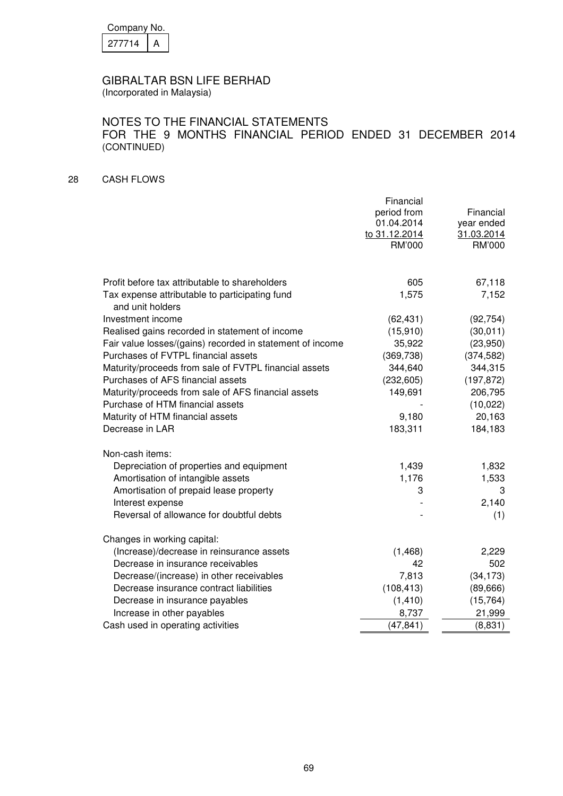| Company No. |  |  |
|-------------|--|--|
| 277714      |  |  |

# NOTES TO THE FINANCIAL STATEMENTS FOR THE 9 MONTHS FINANCIAL PERIOD ENDED 31 DECEMBER 2014 (CONTINUED)

#### 28 CASH FLOWS

|                                                                    | Financial<br>period from<br>01.04.2014<br>to 31.12.2014<br>RM'000 | Financial<br>year ended<br>31.03.2014<br>RM'000 |
|--------------------------------------------------------------------|-------------------------------------------------------------------|-------------------------------------------------|
| Profit before tax attributable to shareholders                     | 605                                                               | 67,118                                          |
| Tax expense attributable to participating fund<br>and unit holders | 1,575                                                             | 7,152                                           |
| Investment income                                                  | (62, 431)                                                         | (92, 754)                                       |
| Realised gains recorded in statement of income                     | (15, 910)                                                         | (30, 011)                                       |
| Fair value losses/(gains) recorded in statement of income          | 35,922                                                            | (23,950)                                        |
| Purchases of FVTPL financial assets                                | (369, 738)                                                        | (374, 582)                                      |
| Maturity/proceeds from sale of FVTPL financial assets              | 344,640                                                           | 344,315                                         |
| Purchases of AFS financial assets                                  | (232, 605)                                                        | (197, 872)                                      |
| Maturity/proceeds from sale of AFS financial assets                | 149,691                                                           | 206,795                                         |
| Purchase of HTM financial assets                                   |                                                                   | (10,022)                                        |
| Maturity of HTM financial assets                                   | 9,180                                                             | 20,163                                          |
| Decrease in LAR                                                    | 183,311                                                           | 184,183                                         |
| Non-cash items:                                                    |                                                                   |                                                 |
| Depreciation of properties and equipment                           | 1,439                                                             | 1,832                                           |
| Amortisation of intangible assets                                  | 1,176                                                             | 1,533                                           |
| Amortisation of prepaid lease property                             | 3                                                                 | 3                                               |
| Interest expense                                                   |                                                                   | 2,140                                           |
| Reversal of allowance for doubtful debts                           |                                                                   | (1)                                             |
| Changes in working capital:                                        |                                                                   |                                                 |
| (Increase)/decrease in reinsurance assets                          | (1, 468)                                                          | 2,229                                           |
| Decrease in insurance receivables                                  | 42                                                                | 502                                             |
| Decrease/(increase) in other receivables                           | 7,813                                                             | (34, 173)                                       |
| Decrease insurance contract liabilities                            | (108, 413)                                                        | (89,666)                                        |
| Decrease in insurance payables                                     | (1, 410)                                                          | (15, 764)                                       |
| Increase in other payables                                         | 8,737                                                             | 21,999                                          |
| Cash used in operating activities                                  | (47, 841)                                                         | (8,831)                                         |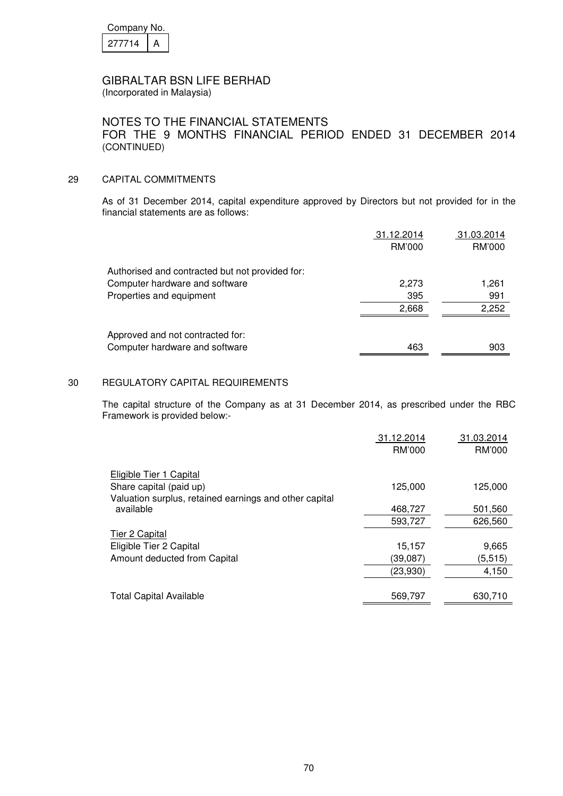| Company No. |  |  |
|-------------|--|--|
| 27714       |  |  |

# NOTES TO THE FINANCIAL STATEMENTS FOR THE 9 MONTHS FINANCIAL PERIOD ENDED 31 DECEMBER 2014 (CONTINUED)

#### 29 CAPITAL COMMITMENTS

As of 31 December 2014, capital expenditure approved by Directors but not provided for in the financial statements are as follows:

|                                                 | 31.12.2014 | 31.03.2014 |
|-------------------------------------------------|------------|------------|
|                                                 | RM'000     | RM'000     |
| Authorised and contracted but not provided for: |            |            |
| Computer hardware and software                  | 2,273      | 1,261      |
| Properties and equipment                        | 395        | 991        |
|                                                 | 2,668      | 2,252      |
| Approved and not contracted for:                |            |            |
| Computer hardware and software                  | 463        | 903        |

#### 30 REGULATORY CAPITAL REQUIREMENTS

 The capital structure of the Company as at 31 December 2014, as prescribed under the RBC Framework is provided below:-

|                                                        | 31.12.2014 | 31.03.2014 |
|--------------------------------------------------------|------------|------------|
|                                                        | RM'000     | RM'000     |
|                                                        |            |            |
| <b>Eligible Tier 1 Capital</b>                         |            |            |
| Share capital (paid up)                                | 125,000    | 125,000    |
| Valuation surplus, retained earnings and other capital |            |            |
| available                                              | 468,727    | 501,560    |
|                                                        | 593,727    | 626,560    |
| Tier 2 Capital                                         |            |            |
| Eligible Tier 2 Capital                                | 15,157     | 9,665      |
| Amount deducted from Capital                           | (39,087)   | (5,515)    |
|                                                        | (23,930)   | 4,150      |
|                                                        |            |            |
| <b>Total Capital Available</b>                         | 569,797    | 630,710    |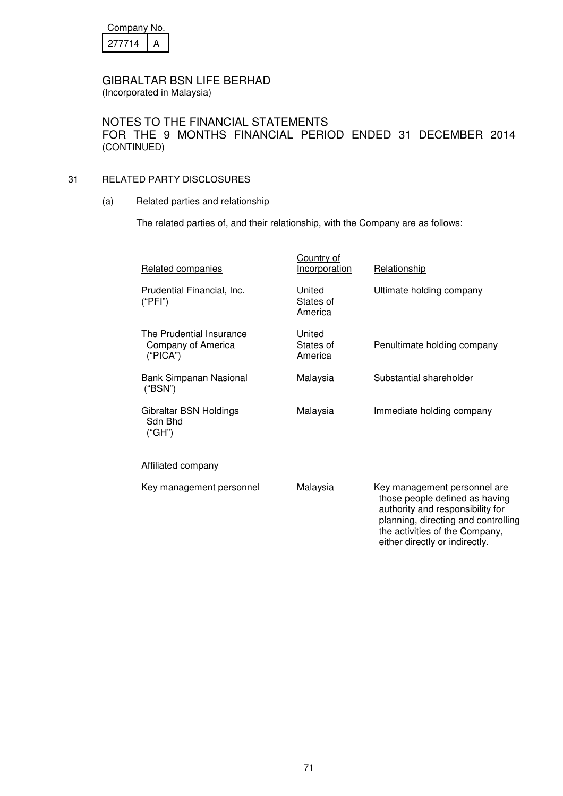| Company No. |  |  |  |
|-------------|--|--|--|
| 277714      |  |  |  |

# NOTES TO THE FINANCIAL STATEMENTS FOR THE 9 MONTHS FINANCIAL PERIOD ENDED 31 DECEMBER 2014 (CONTINUED)

# 31 RELATED PARTY DISCLOSURES

(a) Related parties and relationship

The related parties of, and their relationship, with the Company are as follows:

| Related companies                                          | Country of<br><u>Incorporation</u> | Relationship                                                                                                                                                                                                  |
|------------------------------------------------------------|------------------------------------|---------------------------------------------------------------------------------------------------------------------------------------------------------------------------------------------------------------|
| Prudential Financial, Inc.<br>("PFI")                      | United<br>States of<br>America     | Ultimate holding company                                                                                                                                                                                      |
| The Prudential Insurance<br>Company of America<br>("PICA") | United<br>States of<br>America     | Penultimate holding company                                                                                                                                                                                   |
| Bank Simpanan Nasional<br>("BSN")                          | Malaysia                           | Substantial shareholder                                                                                                                                                                                       |
| Gibraltar BSN Holdings<br>Sdn Bhd<br>("GH")                | Malaysia                           | Immediate holding company                                                                                                                                                                                     |
| <b>Affiliated company</b>                                  |                                    |                                                                                                                                                                                                               |
| Key management personnel                                   | Malaysia                           | Key management personnel are<br>those people defined as having<br>authority and responsibility for<br>planning, directing and controlling<br>the activities of the Company,<br>either directly or indirectly. |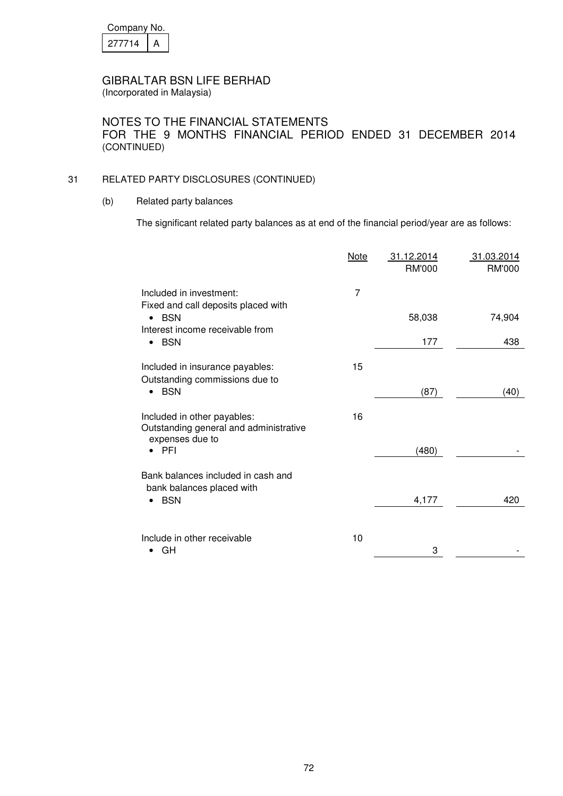| Company No. |  |  |  |
|-------------|--|--|--|
| 277714      |  |  |  |

# NOTES TO THE FINANCIAL STATEMENTS FOR THE 9 MONTHS FINANCIAL PERIOD ENDED 31 DECEMBER 2014 (CONTINUED)

# 31 RELATED PARTY DISCLOSURES (CONTINUED)

(b) Related party balances

The significant related party balances as at end of the financial period/year are as follows:

|                                                                                                           | Note | 31.12.2014<br><b>RM'000</b> | 31.03.2014<br>RM'000 |
|-----------------------------------------------------------------------------------------------------------|------|-----------------------------|----------------------|
| Included in investment:<br>Fixed and call deposits placed with                                            | 7    |                             |                      |
| <b>BSN</b><br>$\bullet$<br>Interest income receivable from<br>$\bullet$ BSN                               |      | 58,038<br>177               | 74,904<br>438        |
| Included in insurance payables:<br>Outstanding commissions due to                                         | 15   |                             |                      |
| <b>BSN</b><br>$\bullet$                                                                                   |      | (87)                        | (40)                 |
| Included in other payables:<br>Outstanding general and administrative<br>expenses due to<br>$\bullet$ PFI | 16   | (480)                       |                      |
| Bank balances included in cash and<br>bank balances placed with                                           |      |                             |                      |
| <b>BSN</b><br>$\bullet$                                                                                   |      | 4,177                       | 420                  |
| Include in other receivable<br>GH                                                                         | 10   | 3                           |                      |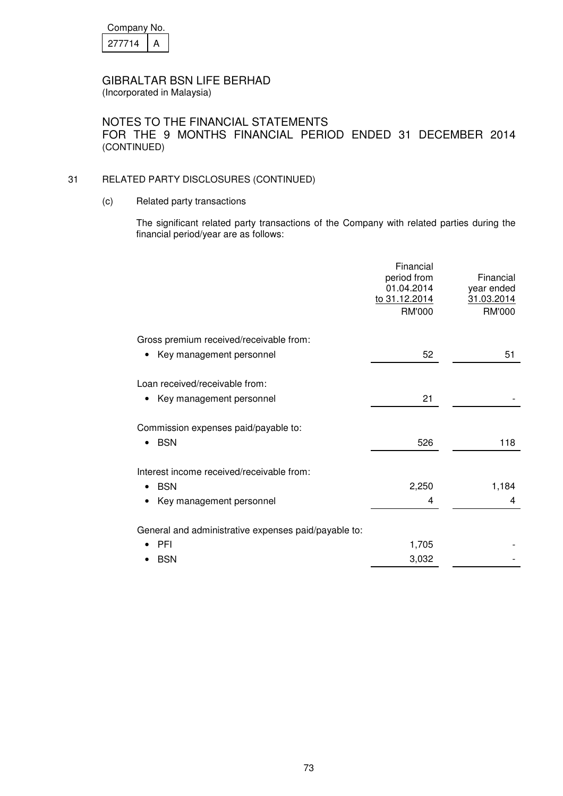| Company No. |  |  |  |
|-------------|--|--|--|
| 27714       |  |  |  |

# NOTES TO THE FINANCIAL STATEMENTS FOR THE 9 MONTHS FINANCIAL PERIOD ENDED 31 DECEMBER 2014 (CONTINUED)

## 31 RELATED PARTY DISCLOSURES (CONTINUED)

(c) Related party transactions

 The significant related party transactions of the Company with related parties during the financial period/year are as follows:

|                                                      | Financial<br>period from<br>01.04.2014<br>to 31.12.2014<br>RM'000 | Financial<br>year ended<br>31.03.2014<br><b>RM'000</b> |
|------------------------------------------------------|-------------------------------------------------------------------|--------------------------------------------------------|
| Gross premium received/receivable from:              |                                                                   |                                                        |
| Key management personnel                             | 52                                                                | 51                                                     |
| Loan received/receivable from:                       |                                                                   |                                                        |
| Key management personnel                             | 21                                                                |                                                        |
| Commission expenses paid/payable to:                 |                                                                   |                                                        |
| <b>BSN</b>                                           | 526                                                               | 118                                                    |
| Interest income received/receivable from:            |                                                                   |                                                        |
| <b>BSN</b><br>$\bullet$                              | 2,250                                                             | 1,184                                                  |
| Key management personnel                             | 4                                                                 | 4                                                      |
| General and administrative expenses paid/payable to: |                                                                   |                                                        |
| PFI                                                  | 1,705                                                             |                                                        |
| <b>BSN</b>                                           | 3,032                                                             |                                                        |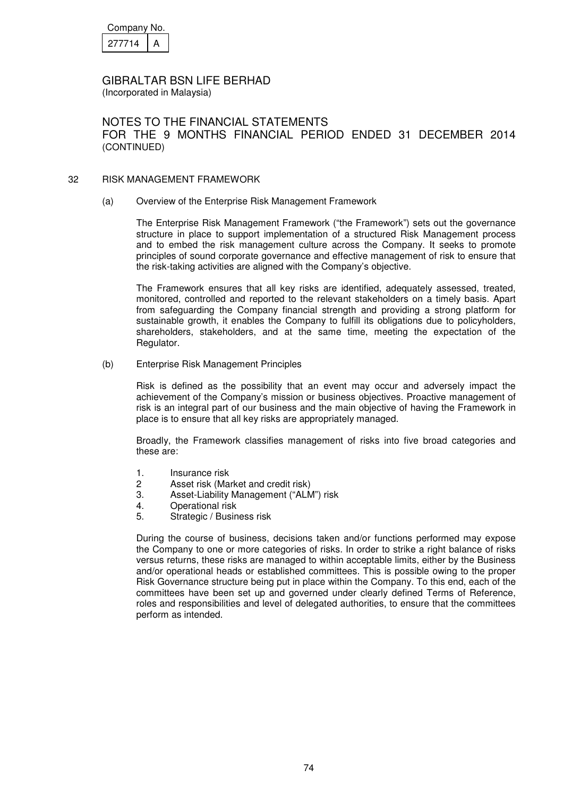| Company No. |  |  |  |
|-------------|--|--|--|
| 277714      |  |  |  |

NOTES TO THE FINANCIAL STATEMENTS FOR THE 9 MONTHS FINANCIAL PERIOD ENDED 31 DECEMBER 2014 (CONTINUED)

#### 32 RISK MANAGEMENT FRAMEWORK

#### (a) Overview of the Enterprise Risk Management Framework

 The Enterprise Risk Management Framework ("the Framework") sets out the governance structure in place to support implementation of a structured Risk Management process and to embed the risk management culture across the Company. It seeks to promote principles of sound corporate governance and effective management of risk to ensure that the risk-taking activities are aligned with the Company's objective.

 The Framework ensures that all key risks are identified, adequately assessed, treated, monitored, controlled and reported to the relevant stakeholders on a timely basis. Apart from safeguarding the Company financial strength and providing a strong platform for sustainable growth, it enables the Company to fulfill its obligations due to policyholders, shareholders, stakeholders, and at the same time, meeting the expectation of the Regulator.

#### (b) Enterprise Risk Management Principles

 Risk is defined as the possibility that an event may occur and adversely impact the achievement of the Company's mission or business objectives. Proactive management of risk is an integral part of our business and the main objective of having the Framework in place is to ensure that all key risks are appropriately managed.

 Broadly, the Framework classifies management of risks into five broad categories and these are:

- 1. Insurance risk<br>2 Asset risk (Ma
- Asset risk (Market and credit risk)
- 3. Asset-Liability Management ("ALM") risk
- 4. Operational risk<br>5. Strategic / Busin
- Strategic / Business risk

During the course of business, decisions taken and/or functions performed may expose the Company to one or more categories of risks. In order to strike a right balance of risks versus returns, these risks are managed to within acceptable limits, either by the Business and/or operational heads or established committees. This is possible owing to the proper Risk Governance structure being put in place within the Company. To this end, each of the committees have been set up and governed under clearly defined Terms of Reference, roles and responsibilities and level of delegated authorities, to ensure that the committees perform as intended.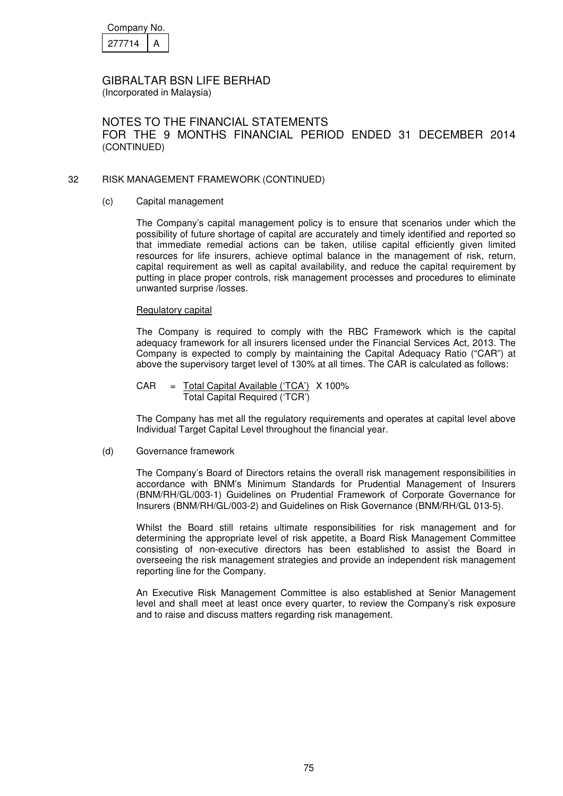| Company No. |  |  |  |
|-------------|--|--|--|
| 277714      |  |  |  |

GIBRALTAR BSN LIFE BERHAD

(Incorporated in Malaysia)

NOTES TO THE FINANCIAL STATEMENTS FOR THE 9 MONTHS FINANCIAL PERIOD ENDED 31 DECEMBER 2014 (CONTINUED)

### 32 RISK MANAGEMENT FRAMEWORK (CONTINUED)

### (c) Capital management

 The Company's capital management policy is to ensure that scenarios under which the possibility of future shortage of capital are accurately and timely identified and reported so that immediate remedial actions can be taken, utilise capital efficiently given limited resources for life insurers, achieve optimal balance in the management of risk, return, capital requirement as well as capital availability, and reduce the capital requirement by putting in place proper controls, risk management processes and procedures to eliminate unwanted surprise /losses.

### Regulatory capital

 The Company is required to comply with the RBC Framework which is the capital adequacy framework for all insurers licensed under the Financial Services Act, 2013. The Company is expected to comply by maintaining the Capital Adequacy Ratio ("CAR") at above the supervisory target level of 130% at all times. The CAR is calculated as follows:

 CAR = Total Capital Available ('TCA') X 100% Total Capital Required ('TCR')

 The Company has met all the regulatory requirements and operates at capital level above Individual Target Capital Level throughout the financial year.

### (d) Governance framework

 The Company's Board of Directors retains the overall risk management responsibilities in accordance with BNM's Minimum Standards for Prudential Management of Insurers (BNM/RH/GL/003-1) Guidelines on Prudential Framework of Corporate Governance for Insurers (BNM/RH/GL/003-2) and Guidelines on Risk Governance (BNM/RH/GL 013-5).

 Whilst the Board still retains ultimate responsibilities for risk management and for determining the appropriate level of risk appetite, a Board Risk Management Committee consisting of non-executive directors has been established to assist the Board in overseeing the risk management strategies and provide an independent risk management reporting line for the Company.

 An Executive Risk Management Committee is also established at Senior Management level and shall meet at least once every quarter, to review the Company's risk exposure and to raise and discuss matters regarding risk management.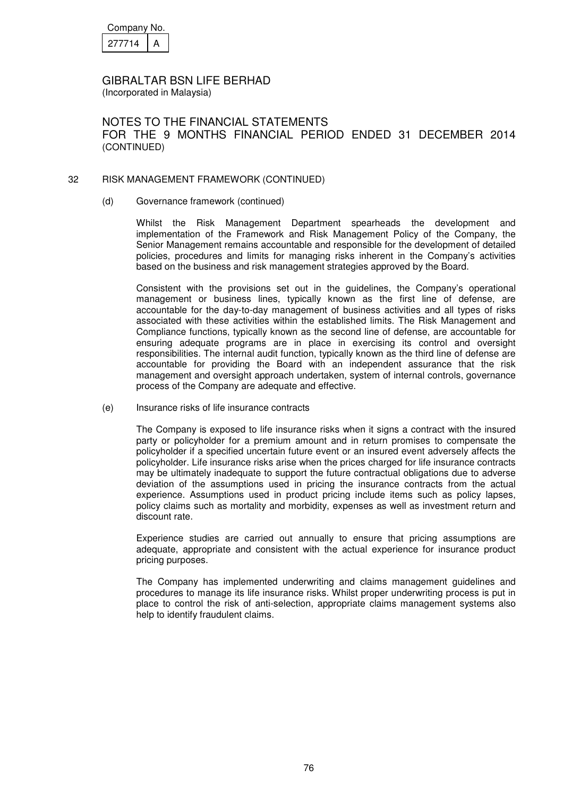| Company No. |  |  |  |
|-------------|--|--|--|
| 277714      |  |  |  |

NOTES TO THE FINANCIAL STATEMENTS FOR THE 9 MONTHS FINANCIAL PERIOD ENDED 31 DECEMBER 2014 (CONTINUED)

#### 32 RISK MANAGEMENT FRAMEWORK (CONTINUED)

#### (d) Governance framework (continued)

 Whilst the Risk Management Department spearheads the development and implementation of the Framework and Risk Management Policy of the Company, the Senior Management remains accountable and responsible for the development of detailed policies, procedures and limits for managing risks inherent in the Company's activities based on the business and risk management strategies approved by the Board.

 Consistent with the provisions set out in the guidelines, the Company's operational management or business lines, typically known as the first line of defense, are accountable for the day-to-day management of business activities and all types of risks associated with these activities within the established limits. The Risk Management and Compliance functions, typically known as the second line of defense, are accountable for ensuring adequate programs are in place in exercising its control and oversight responsibilities. The internal audit function, typically known as the third line of defense are accountable for providing the Board with an independent assurance that the risk management and oversight approach undertaken, system of internal controls, governance process of the Company are adequate and effective.

(e) Insurance risks of life insurance contracts

The Company is exposed to life insurance risks when it signs a contract with the insured party or policyholder for a premium amount and in return promises to compensate the policyholder if a specified uncertain future event or an insured event adversely affects the policyholder. Life insurance risks arise when the prices charged for life insurance contracts may be ultimately inadequate to support the future contractual obligations due to adverse deviation of the assumptions used in pricing the insurance contracts from the actual experience. Assumptions used in product pricing include items such as policy lapses, policy claims such as mortality and morbidity, expenses as well as investment return and discount rate.

Experience studies are carried out annually to ensure that pricing assumptions are adequate, appropriate and consistent with the actual experience for insurance product pricing purposes.

The Company has implemented underwriting and claims management guidelines and procedures to manage its life insurance risks. Whilst proper underwriting process is put in place to control the risk of anti-selection, appropriate claims management systems also help to identify fraudulent claims.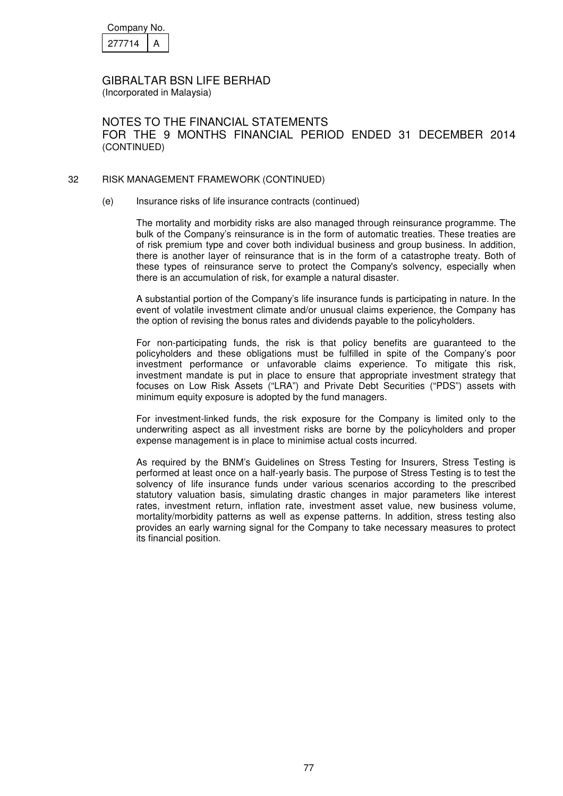| Company No. |  |  |  |
|-------------|--|--|--|
| 277714      |  |  |  |

NOTES TO THE FINANCIAL STATEMENTS FOR THE 9 MONTHS FINANCIAL PERIOD ENDED 31 DECEMBER 2014 (CONTINUED)

#### 32 RISK MANAGEMENT FRAMEWORK (CONTINUED)

#### (e) Insurance risks of life insurance contracts (continued)

The mortality and morbidity risks are also managed through reinsurance programme. The bulk of the Company's reinsurance is in the form of automatic treaties. These treaties are of risk premium type and cover both individual business and group business. In addition, there is another layer of reinsurance that is in the form of a catastrophe treaty. Both of these types of reinsurance serve to protect the Company's solvency, especially when there is an accumulation of risk, for example a natural disaster.

A substantial portion of the Company's life insurance funds is participating in nature. In the event of volatile investment climate and/or unusual claims experience, the Company has the option of revising the bonus rates and dividends payable to the policyholders.

For non-participating funds, the risk is that policy benefits are guaranteed to the policyholders and these obligations must be fulfilled in spite of the Company's poor investment performance or unfavorable claims experience. To mitigate this risk, investment mandate is put in place to ensure that appropriate investment strategy that focuses on Low Risk Assets ("LRA") and Private Debt Securities ("PDS") assets with minimum equity exposure is adopted by the fund managers.

For investment-linked funds, the risk exposure for the Company is limited only to the underwriting aspect as all investment risks are borne by the policyholders and proper expense management is in place to minimise actual costs incurred.

As required by the BNM's Guidelines on Stress Testing for Insurers, Stress Testing is performed at least once on a half-yearly basis. The purpose of Stress Testing is to test the solvency of life insurance funds under various scenarios according to the prescribed statutory valuation basis, simulating drastic changes in major parameters like interest rates, investment return, inflation rate, investment asset value, new business volume, mortality/morbidity patterns as well as expense patterns. In addition, stress testing also provides an early warning signal for the Company to take necessary measures to protect its financial position.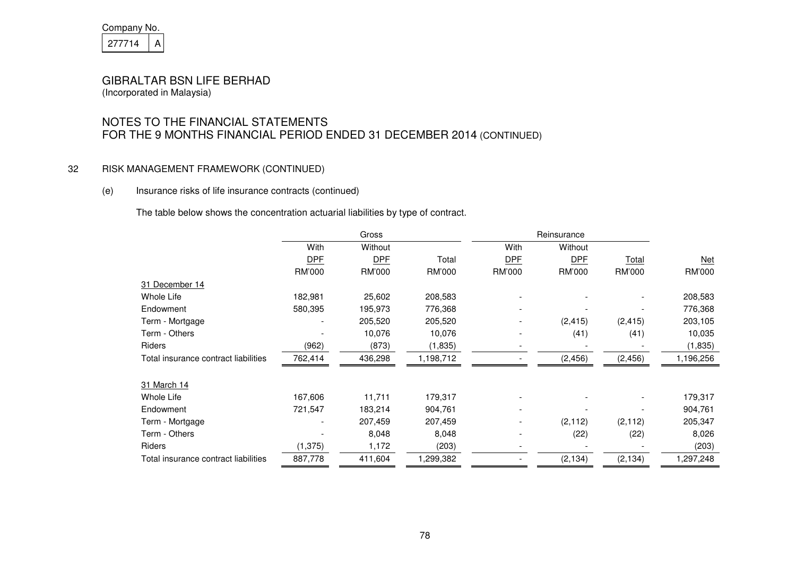| Company No. |  |
|-------------|--|
| 27711       |  |

# NOTES TO THE FINANCIAL STATEMENTS FOR THE 9 MONTHS FINANCIAL PERIOD ENDED 31 DECEMBER 2014 (CONTINUED)

### 32 RISK MANAGEMENT FRAMEWORK (CONTINUED)

# (e) Insurance risks of life insurance contracts (continued)

The table below shows the concentration actuarial liabilities by type of contract.

|                                      | Gross      |            |           | Reinsurance              |               |          |            |
|--------------------------------------|------------|------------|-----------|--------------------------|---------------|----------|------------|
|                                      | With       | Without    |           | With                     | Without       |          |            |
|                                      | <b>DPF</b> | <b>DPF</b> | Total     | <b>DPF</b>               | <b>DPF</b>    | Total    | <u>Net</u> |
|                                      | RM'000     | RM'000     | RM'000    | RM'000                   | <b>RM'000</b> | RM'000   | RM'000     |
| 31 December 14                       |            |            |           |                          |               |          |            |
| Whole Life                           | 182,981    | 25,602     | 208,583   |                          |               |          | 208,583    |
| Endowment                            | 580,395    | 195,973    | 776,368   |                          |               |          | 776,368    |
| Term - Mortgage                      |            | 205,520    | 205,520   |                          | (2, 415)      | (2, 415) | 203,105    |
| Term - Others                        |            | 10,076     | 10,076    |                          | (41)          | (41)     | 10,035     |
| Riders                               | (962)      | (873)      | (1,835)   |                          |               |          | (1, 835)   |
| Total insurance contract liabilities | 762,414    | 436,298    | 1,198,712 |                          | (2, 456)      | (2, 456) | 1,196,256  |
| 31 March 14                          |            |            |           |                          |               |          |            |
| Whole Life                           | 167,606    | 11,711     | 179,317   |                          |               |          | 179,317    |
| Endowment                            | 721,547    | 183,214    | 904,761   |                          |               |          | 904,761    |
| Term - Mortgage                      |            | 207,459    | 207,459   | $\overline{\phantom{a}}$ | (2, 112)      | (2, 112) | 205,347    |
| Term - Others                        |            | 8,048      | 8,048     |                          | (22)          | (22)     | 8,026      |
| Riders                               | (1,375)    | 1,172      | (203)     |                          |               |          | (203)      |
| Total insurance contract liabilities | 887,778    | 411,604    | 1,299,382 |                          | (2, 134)      | (2, 134) | 1,297,248  |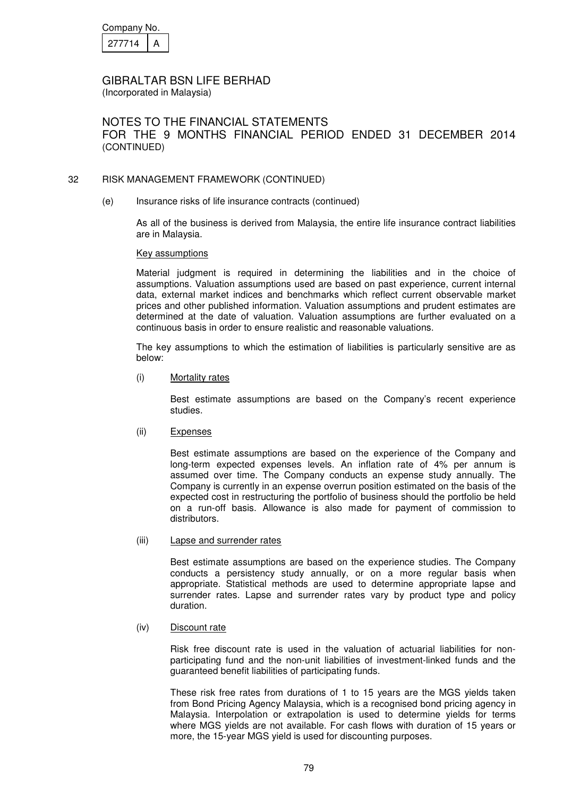| Company No. |  |
|-------------|--|
| 277714      |  |

GIBRALTAR BSN LIFE BERHAD

(Incorporated in Malaysia)

## NOTES TO THE FINANCIAL STATEMENTS FOR THE 9 MONTHS FINANCIAL PERIOD ENDED 31 DECEMBER 2014 (CONTINUED)

#### 32 RISK MANAGEMENT FRAMEWORK (CONTINUED)

(e) Insurance risks of life insurance contracts (continued)

As all of the business is derived from Malaysia, the entire life insurance contract liabilities are in Malaysia.

#### Key assumptions

Material judgment is required in determining the liabilities and in the choice of assumptions. Valuation assumptions used are based on past experience, current internal data, external market indices and benchmarks which reflect current observable market prices and other published information. Valuation assumptions and prudent estimates are determined at the date of valuation. Valuation assumptions are further evaluated on a continuous basis in order to ensure realistic and reasonable valuations.

The key assumptions to which the estimation of liabilities is particularly sensitive are as below:

(i) Mortality rates

Best estimate assumptions are based on the Company's recent experience studies.

(ii) Expenses

Best estimate assumptions are based on the experience of the Company and long-term expected expenses levels. An inflation rate of 4% per annum is assumed over time. The Company conducts an expense study annually. The Company is currently in an expense overrun position estimated on the basis of the expected cost in restructuring the portfolio of business should the portfolio be held on a run-off basis. Allowance is also made for payment of commission to distributors.

(iii) Lapse and surrender rates

Best estimate assumptions are based on the experience studies. The Company conducts a persistency study annually, or on a more regular basis when appropriate. Statistical methods are used to determine appropriate lapse and surrender rates. Lapse and surrender rates vary by product type and policy duration.

#### (iv) Discount rate

Risk free discount rate is used in the valuation of actuarial liabilities for nonparticipating fund and the non-unit liabilities of investment-linked funds and the guaranteed benefit liabilities of participating funds.

These risk free rates from durations of 1 to 15 years are the MGS yields taken from Bond Pricing Agency Malaysia, which is a recognised bond pricing agency in Malaysia. Interpolation or extrapolation is used to determine yields for terms where MGS yields are not available. For cash flows with duration of 15 years or more, the 15-year MGS yield is used for discounting purposes.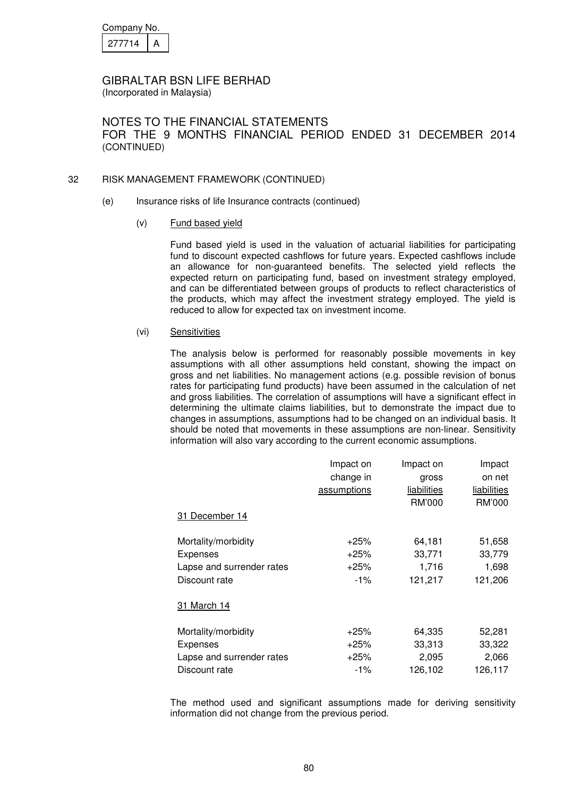| Company No. |  |
|-------------|--|
| 277714      |  |

# NOTES TO THE FINANCIAL STATEMENTS FOR THE 9 MONTHS FINANCIAL PERIOD ENDED 31 DECEMBER 2014 (CONTINUED)

#### 32 RISK MANAGEMENT FRAMEWORK (CONTINUED)

- (e) Insurance risks of life Insurance contracts (continued)
	- (v) Fund based yield

Fund based yield is used in the valuation of actuarial liabilities for participating fund to discount expected cashflows for future years. Expected cashflows include an allowance for non-guaranteed benefits. The selected yield reflects the expected return on participating fund, based on investment strategy employed, and can be differentiated between groups of products to reflect characteristics of the products, which may affect the investment strategy employed. The yield is reduced to allow for expected tax on investment income.

(vi) Sensitivities

The analysis below is performed for reasonably possible movements in key assumptions with all other assumptions held constant, showing the impact on gross and net liabilities. No management actions (e.g. possible revision of bonus rates for participating fund products) have been assumed in the calculation of net and gross liabilities. The correlation of assumptions will have a significant effect in determining the ultimate claims liabilities, but to demonstrate the impact due to changes in assumptions, assumptions had to be changed on an individual basis. It should be noted that movements in these assumptions are non-linear. Sensitivity information will also vary according to the current economic assumptions.

|                           | Impact on   | Impact on   | Impact      |
|---------------------------|-------------|-------------|-------------|
|                           | change in   | gross       | on net      |
|                           | assumptions | liabilities | liabilities |
|                           |             | RM'000      | RM'000      |
| 31 December 14            |             |             |             |
| Mortality/morbidity       | $+25%$      | 64,181      | 51,658      |
| Expenses                  | $+25%$      | 33,771      | 33,779      |
| Lapse and surrender rates | $+25%$      | 1,716       | 1,698       |
| Discount rate             | $-1\%$      | 121,217     | 121,206     |
| 31 March 14               |             |             |             |
| Mortality/morbidity       | $+25%$      | 64,335      | 52,281      |
| <b>Expenses</b>           | $+25%$      | 33,313      | 33,322      |
| Lapse and surrender rates | $+25%$      | 2,095       | 2,066       |
| Discount rate             | $-1\%$      | 126,102     | 126,117     |

The method used and significant assumptions made for deriving sensitivity information did not change from the previous period.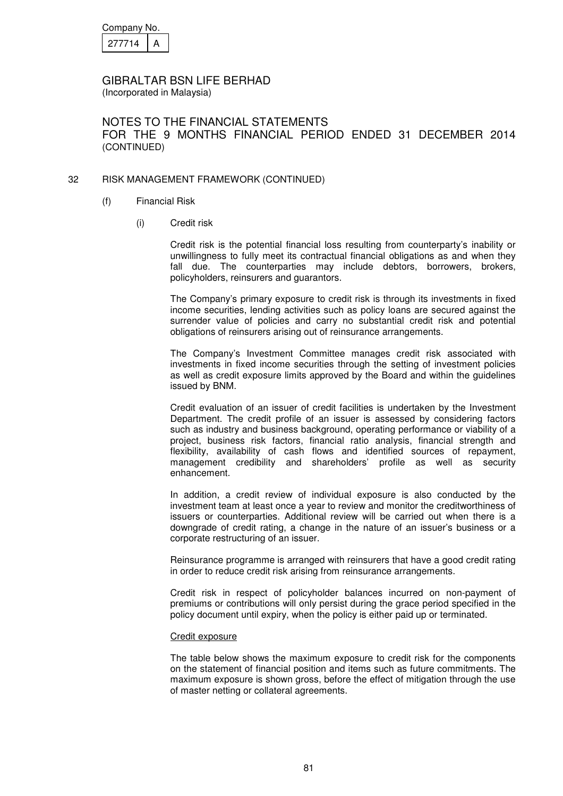| Company No. |  |
|-------------|--|
| 277714      |  |

## NOTES TO THE FINANCIAL STATEMENTS FOR THE 9 MONTHS FINANCIAL PERIOD ENDED 31 DECEMBER 2014 (CONTINUED)

#### 32 RISK MANAGEMENT FRAMEWORK (CONTINUED)

- (f) Financial Risk
	- (i) Credit risk

Credit risk is the potential financial loss resulting from counterparty's inability or unwillingness to fully meet its contractual financial obligations as and when they fall due. The counterparties may include debtors, borrowers, brokers, policyholders, reinsurers and guarantors.

The Company's primary exposure to credit risk is through its investments in fixed income securities, lending activities such as policy loans are secured against the surrender value of policies and carry no substantial credit risk and potential obligations of reinsurers arising out of reinsurance arrangements.

The Company's Investment Committee manages credit risk associated with investments in fixed income securities through the setting of investment policies as well as credit exposure limits approved by the Board and within the guidelines issued by BNM.

Credit evaluation of an issuer of credit facilities is undertaken by the Investment Department. The credit profile of an issuer is assessed by considering factors such as industry and business background, operating performance or viability of a project, business risk factors, financial ratio analysis, financial strength and flexibility, availability of cash flows and identified sources of repayment, management credibility and shareholders' profile as well as security enhancement.

In addition, a credit review of individual exposure is also conducted by the investment team at least once a year to review and monitor the creditworthiness of issuers or counterparties. Additional review will be carried out when there is a downgrade of credit rating, a change in the nature of an issuer's business or a corporate restructuring of an issuer.

Reinsurance programme is arranged with reinsurers that have a good credit rating in order to reduce credit risk arising from reinsurance arrangements.

Credit risk in respect of policyholder balances incurred on non-payment of premiums or contributions will only persist during the grace period specified in the policy document until expiry, when the policy is either paid up or terminated.

#### Credit exposure

The table below shows the maximum exposure to credit risk for the components on the statement of financial position and items such as future commitments. The maximum exposure is shown gross, before the effect of mitigation through the use of master netting or collateral agreements.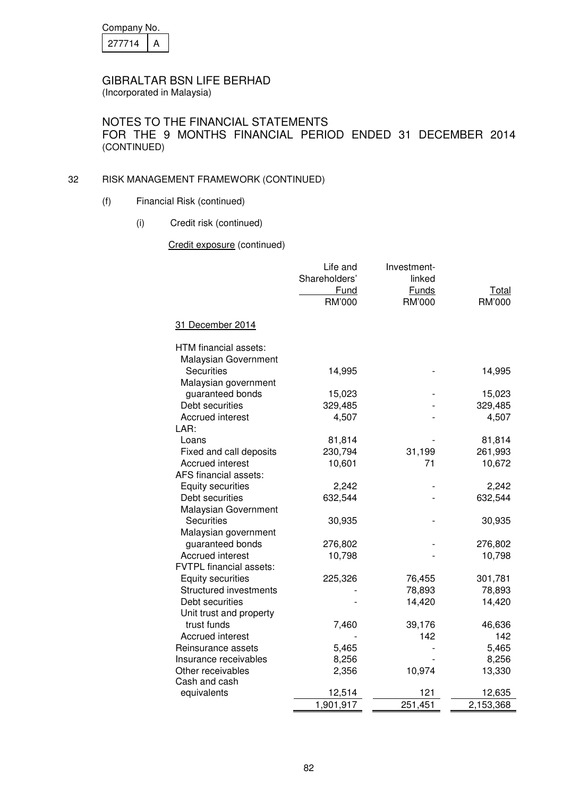| Company No. |  |
|-------------|--|
| 27714       |  |

# NOTES TO THE FINANCIAL STATEMENTS FOR THE 9 MONTHS FINANCIAL PERIOD ENDED 31 DECEMBER 2014 (CONTINUED)

# 32 RISK MANAGEMENT FRAMEWORK (CONTINUED)

- (f) Financial Risk (continued)
	- (i) Credit risk (continued)

Credit exposure (continued)

|                                           | Life and<br>Shareholders'<br>Fund<br>RM'000 | Investment-<br>linked<br>Funds<br>RM'000 | Total<br>RM'000 |
|-------------------------------------------|---------------------------------------------|------------------------------------------|-----------------|
| 31 December 2014                          |                                             |                                          |                 |
| HTM financial assets:                     |                                             |                                          |                 |
| Malaysian Government                      |                                             |                                          |                 |
| <b>Securities</b>                         | 14,995                                      |                                          | 14,995          |
| Malaysian government                      |                                             |                                          |                 |
| guaranteed bonds                          | 15,023                                      |                                          | 15,023          |
| Debt securities                           | 329,485                                     |                                          | 329,485         |
| Accrued interest                          | 4,507                                       |                                          | 4,507           |
| LAR:                                      |                                             |                                          |                 |
| Loans                                     | 81,814                                      |                                          | 81,814          |
| Fixed and call deposits                   | 230,794                                     | 31,199                                   | 261,993         |
| Accrued interest<br>AFS financial assets: | 10,601                                      | 71                                       | 10,672          |
| <b>Equity securities</b>                  | 2,242                                       |                                          | 2,242           |
| Debt securities                           | 632,544                                     |                                          | 632,544         |
| Malaysian Government                      |                                             |                                          |                 |
| <b>Securities</b>                         | 30,935                                      |                                          | 30,935          |
| Malaysian government                      |                                             |                                          |                 |
| guaranteed bonds                          | 276,802                                     |                                          | 276,802         |
| <b>Accrued interest</b>                   | 10,798                                      |                                          | 10,798          |
| <b>FVTPL</b> financial assets:            |                                             |                                          |                 |
| Equity securities                         | 225,326                                     | 76,455                                   | 301,781         |
| <b>Structured investments</b>             |                                             | 78,893                                   | 78,893          |
| Debt securities                           |                                             | 14,420                                   | 14,420          |
| Unit trust and property                   |                                             |                                          |                 |
| trust funds                               | 7,460                                       | 39,176                                   | 46,636          |
| Accrued interest                          |                                             | 142                                      | 142             |
| Reinsurance assets                        | 5,465                                       |                                          | 5,465           |
| Insurance receivables                     | 8,256                                       |                                          | 8,256           |
| Other receivables                         | 2,356                                       | 10,974                                   | 13,330          |
| Cash and cash                             |                                             |                                          |                 |
| equivalents                               | 12,514                                      | 121                                      | 12,635          |
|                                           | 1,901,917                                   | 251,451                                  | 2,153,368       |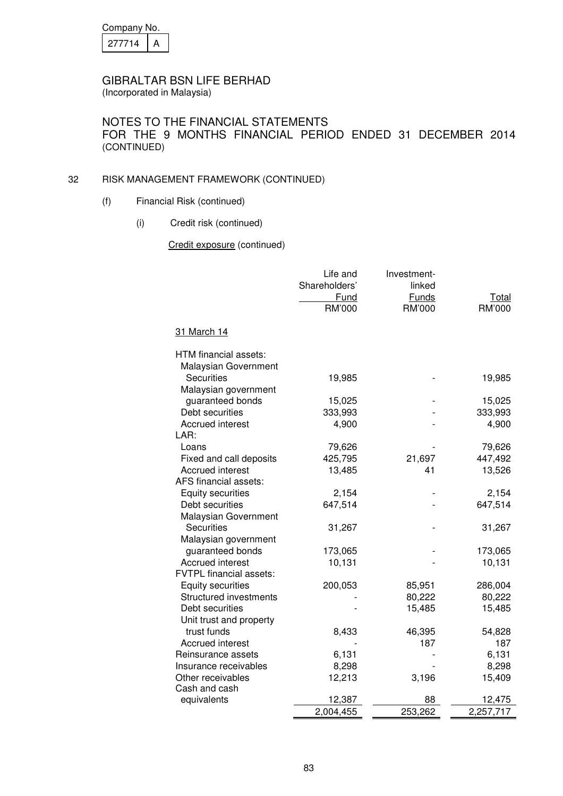| Company No. |  |
|-------------|--|
| 27714       |  |

# NOTES TO THE FINANCIAL STATEMENTS FOR THE 9 MONTHS FINANCIAL PERIOD ENDED 31 DECEMBER 2014 (CONTINUED)

# 32 RISK MANAGEMENT FRAMEWORK (CONTINUED)

- (f) Financial Risk (continued)
	- (i) Credit risk (continued)

Credit exposure (continued)

|                                          | Life and<br>Shareholders'<br>Fund<br>RM'000 | Investment-<br>linked<br><b>Funds</b><br>RM'000 | <b>Total</b><br>RM'000 |
|------------------------------------------|---------------------------------------------|-------------------------------------------------|------------------------|
| 31 March 14                              |                                             |                                                 |                        |
| HTM financial assets:                    |                                             |                                                 |                        |
| Malaysian Government                     |                                             |                                                 |                        |
| <b>Securities</b>                        | 19,985                                      |                                                 | 19,985                 |
| Malaysian government<br>guaranteed bonds | 15,025                                      |                                                 |                        |
| Debt securities                          | 333,993                                     |                                                 | 15,025<br>333,993      |
| <b>Accrued interest</b>                  | 4,900                                       |                                                 | 4,900                  |
| LAR:                                     |                                             |                                                 |                        |
| Loans                                    | 79,626                                      |                                                 | 79,626                 |
| Fixed and call deposits                  | 425,795                                     | 21,697                                          | 447,492                |
| Accrued interest                         | 13,485                                      | 41                                              | 13,526                 |
| AFS financial assets:                    |                                             |                                                 |                        |
| <b>Equity securities</b>                 | 2,154                                       |                                                 | 2,154                  |
| Debt securities                          | 647,514                                     |                                                 | 647,514                |
| Malaysian Government                     |                                             |                                                 |                        |
| <b>Securities</b>                        | 31,267                                      |                                                 | 31,267                 |
| Malaysian government                     |                                             |                                                 |                        |
| guaranteed bonds                         | 173,065                                     |                                                 | 173,065                |
| <b>Accrued interest</b>                  | 10,131                                      |                                                 | 10,131                 |
| <b>FVTPL</b> financial assets:           |                                             |                                                 |                        |
| <b>Equity securities</b>                 | 200,053                                     | 85,951                                          | 286,004                |
| <b>Structured investments</b>            |                                             | 80,222                                          | 80,222                 |
| Debt securities                          |                                             | 15,485                                          | 15,485                 |
| Unit trust and property                  |                                             |                                                 |                        |
| trust funds                              | 8,433                                       | 46,395                                          | 54,828                 |
| Accrued interest                         |                                             | 187                                             | 187                    |
| Reinsurance assets                       | 6,131                                       |                                                 | 6,131                  |
| Insurance receivables                    | 8,298                                       |                                                 | 8,298                  |
| Other receivables                        | 12,213                                      | 3,196                                           | 15,409                 |
| Cash and cash<br>equivalents             | 12,387                                      | 88                                              | 12,475                 |
|                                          | 2,004,455                                   | 253,262                                         | 2,257,717              |
|                                          |                                             |                                                 |                        |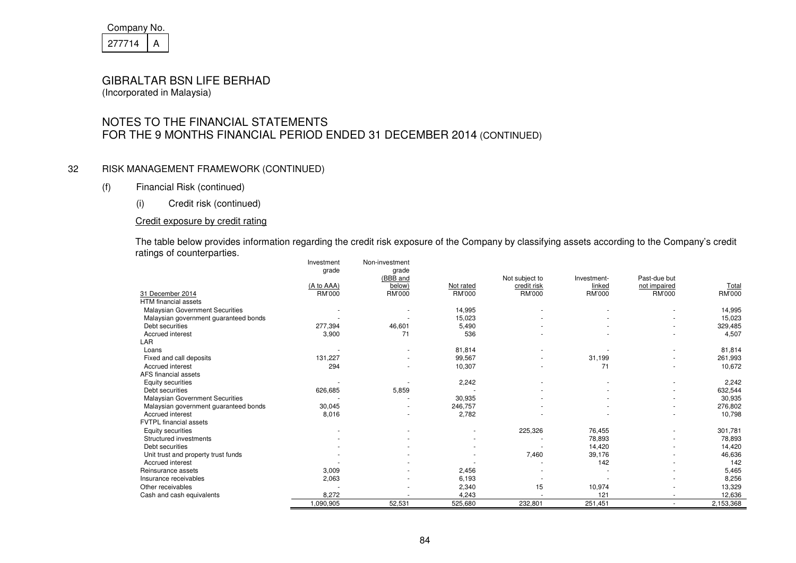| Company No. |  |  |
|-------------|--|--|
| 27714       |  |  |

# NOTES TO THE FINANCIAL STATEMENTS FOR THE 9 MONTHS FINANCIAL PERIOD ENDED 31 DECEMBER 2014 (CONTINUED)

### 32 RISK MANAGEMENT FRAMEWORK (CONTINUED)

- (f) Financial Risk (continued)
	- (i) Credit risk (continued)

### Credit exposure by credit rating

The table below provides information regarding the credit risk exposure of the Company by classifying assets according to the Company's credit ratings of counterparties.

|                                       | Investment    | Non-investment |           |                |             |              |           |
|---------------------------------------|---------------|----------------|-----------|----------------|-------------|--------------|-----------|
|                                       | grade         | grade          |           |                |             |              |           |
|                                       |               | (BBB and       |           | Not subject to | Investment- | Past-due but |           |
|                                       | (A to AAA)    | below)         | Not rated | credit risk    | linked      | not impaired | Total     |
| 31 December 2014                      | <b>RM'000</b> | RM'000         | RM'000    | <b>RM'000</b>  | RM'000      | RM'000       | RM'000    |
| HTM financial assets                  |               |                |           |                |             |              |           |
| Malaysian Government Securities       |               |                | 14,995    |                |             |              | 14,995    |
| Malaysian government guaranteed bonds |               |                | 15,023    |                |             |              | 15,023    |
| Debt securities                       | 277,394       | 46,601         | 5,490     |                |             |              | 329,485   |
| Accrued interest                      | 3,900         | 71             | 536       |                |             |              | 4,507     |
| LAR                                   |               |                |           |                |             |              |           |
| Loans                                 |               |                | 81,814    |                |             | $\sim$       | 81,814    |
| Fixed and call deposits               | 131,227       |                | 99,567    |                | 31,199      | $\sim$       | 261,993   |
| Accrued interest                      | 294           |                | 10,307    |                | 71          |              | 10,672    |
| AFS financial assets                  |               |                |           |                |             |              |           |
| Equity securities                     |               |                | 2,242     |                |             | ٠            | 2,242     |
| Debt securities                       | 626,685       | 5,859          |           |                |             |              | 632,544   |
| Malaysian Government Securities       |               |                | 30,935    |                |             |              | 30,935    |
| Malaysian government guaranteed bonds | 30,045        |                | 246,757   |                |             |              | 276,802   |
| Accrued interest                      | 8,016         |                | 2,782     |                |             | ۰            | 10,798    |
| <b>FVTPL</b> financial assets         |               |                |           |                |             |              |           |
| Equity securities                     |               |                |           | 225,326        | 76,455      |              | 301,781   |
| Structured investments                |               |                |           |                | 78,893      |              | 78,893    |
| Debt securities                       |               |                |           |                | 14,420      |              | 14,420    |
| Unit trust and property trust funds   |               |                |           | 7,460          | 39,176      | $\sim$       | 46,636    |
| Accrued interest                      |               |                |           |                | 142         |              | 142       |
| Reinsurance assets                    | 3,009         |                | 2,456     |                |             |              | 5,465     |
| Insurance receivables                 | 2,063         |                | 6,193     |                |             |              | 8,256     |
| Other receivables                     |               |                | 2,340     | 15             | 10,974      |              | 13,329    |
| Cash and cash equivalents             | 8.272         |                | 4,243     |                | 121         |              | 12.636    |
|                                       | 1,090,905     | 52,531         | 525,680   | 232,801        | 251,451     | $\sim$       | 2,153,368 |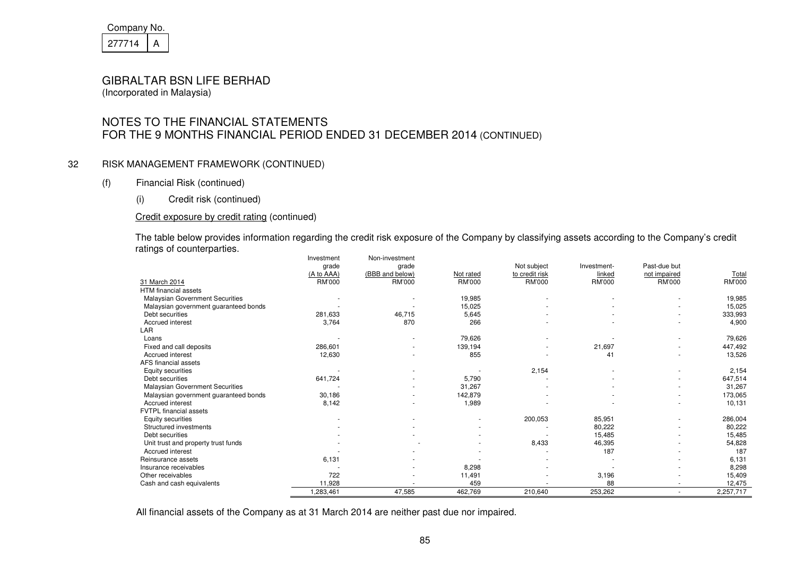| Company No. |  |  |
|-------------|--|--|
| 27714       |  |  |

# NOTES TO THE FINANCIAL STATEMENTS FOR THE 9 MONTHS FINANCIAL PERIOD ENDED 31 DECEMBER 2014 (CONTINUED)

#### 32 RISK MANAGEMENT FRAMEWORK (CONTINUED)

- (f) Financial Risk (continued)
	- (i) Credit risk (continued)

#### Credit exposure by credit rating (continued)

The table below provides information regarding the credit risk exposure of the Company by classifying assets according to the Company's credit ratings of counterparties.

|                                       | Investment | Non-investment           |           |                |             |              |           |
|---------------------------------------|------------|--------------------------|-----------|----------------|-------------|--------------|-----------|
|                                       | grade      | grade                    |           | Not subject    | Investment- | Past-due but |           |
|                                       | (A to AAA) | (BBB and below)          | Not rated | to credit risk | linked      | not impaired | Total     |
| 31 March 2014                         | RM'000     | RM'000                   | RM'000    | RM'000         | RM'000      | RM'000       | RM'000    |
| <b>HTM</b> financial assets           |            |                          |           |                |             |              |           |
| Malaysian Government Securities       |            |                          | 19,985    |                |             |              | 19,985    |
| Malaysian government guaranteed bonds |            |                          | 15,025    |                |             |              | 15,025    |
| Debt securities                       | 281,633    | 46,715                   | 5,645     |                |             |              | 333,993   |
| Accrued interest                      | 3,764      | 870                      | 266       |                |             |              | 4,900     |
| LAR                                   |            |                          |           |                |             |              |           |
| Loans                                 |            |                          | 79,626    |                |             |              | 79,626    |
| Fixed and call deposits               | 286,601    |                          | 139,194   |                | 21,697      |              | 447,492   |
| Accrued interest                      | 12,630     |                          | 855       |                | 41          |              | 13,526    |
| AFS financial assets                  |            |                          |           |                |             |              |           |
| Equity securities                     |            |                          |           | 2,154          |             |              | 2,154     |
| Debt securities                       | 641,724    |                          | 5,790     |                |             |              | 647,514   |
| Malaysian Government Securities       |            | $\overline{\phantom{a}}$ | 31,267    |                | ٠           |              | 31,267    |
| Malaysian government guaranteed bonds | 30,186     |                          | 142,879   |                |             |              | 173,065   |
| Accrued interest                      | 8,142      |                          | 1,989     |                |             |              | 10,131    |
| FVTPL financial assets                |            |                          |           |                |             |              |           |
| Equity securities                     |            | $\overline{\phantom{a}}$ |           | 200,053        | 85,951      |              | 286,004   |
| Structured investments                |            |                          | ٠         |                | 80,222      |              | 80,222    |
| Debt securities                       |            |                          |           |                | 15,485      |              | 15,485    |
| Unit trust and property trust funds   |            |                          |           | 8,433          | 46,395      |              | 54,828    |
| Accrued interest                      |            |                          |           |                | 187         |              | 187       |
| Reinsurance assets                    | 6,131      |                          |           |                |             |              | 6,131     |
| Insurance receivables                 |            |                          | 8,298     |                |             |              | 8,298     |
| Other receivables                     | 722        |                          | 11,491    |                | 3,196       |              | 15,409    |
| Cash and cash equivalents             | 11,928     |                          | 459       |                | 88          |              | 12,475    |
|                                       | 1,283,461  | 47,585                   | 462,769   | 210,640        | 253,262     | $\sim$       | 2,257,717 |

All financial assets of the Company as at 31 March 2014 are neither past due nor impaired.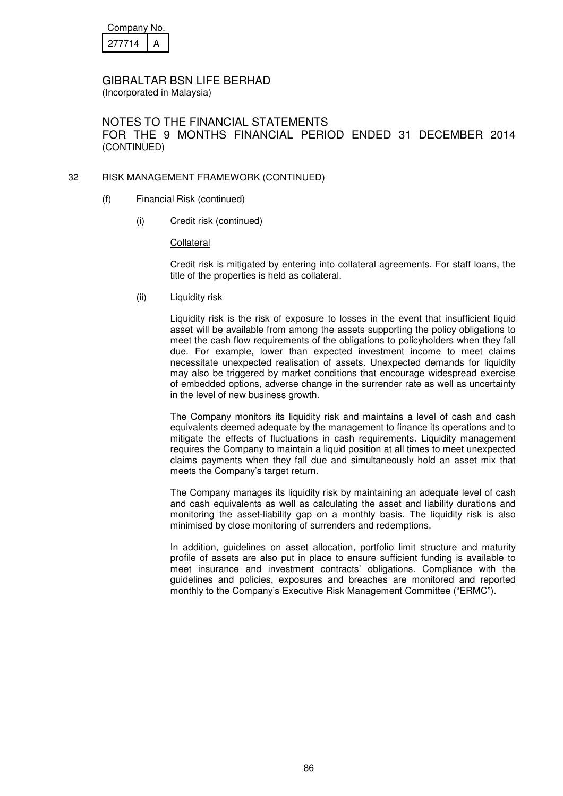| Company No. |  |  |
|-------------|--|--|
| 277714      |  |  |

GIBRALTAR BSN LIFE BERHAD

(Incorporated in Malaysia)

# NOTES TO THE FINANCIAL STATEMENTS FOR THE 9 MONTHS FINANCIAL PERIOD ENDED 31 DECEMBER 2014 (CONTINUED)

### 32 RISK MANAGEMENT FRAMEWORK (CONTINUED)

- (f) Financial Risk (continued)
	- (i) Credit risk (continued)

### Collateral

Credit risk is mitigated by entering into collateral agreements. For staff loans, the title of the properties is held as collateral.

(ii) Liquidity risk

Liquidity risk is the risk of exposure to losses in the event that insufficient liquid asset will be available from among the assets supporting the policy obligations to meet the cash flow requirements of the obligations to policyholders when they fall due. For example, lower than expected investment income to meet claims necessitate unexpected realisation of assets. Unexpected demands for liquidity may also be triggered by market conditions that encourage widespread exercise of embedded options, adverse change in the surrender rate as well as uncertainty in the level of new business growth.

The Company monitors its liquidity risk and maintains a level of cash and cash equivalents deemed adequate by the management to finance its operations and to mitigate the effects of fluctuations in cash requirements. Liquidity management requires the Company to maintain a liquid position at all times to meet unexpected claims payments when they fall due and simultaneously hold an asset mix that meets the Company's target return.

The Company manages its liquidity risk by maintaining an adequate level of cash and cash equivalents as well as calculating the asset and liability durations and monitoring the asset-liability gap on a monthly basis. The liquidity risk is also minimised by close monitoring of surrenders and redemptions.

In addition, guidelines on asset allocation, portfolio limit structure and maturity profile of assets are also put in place to ensure sufficient funding is available to meet insurance and investment contracts' obligations. Compliance with the guidelines and policies, exposures and breaches are monitored and reported monthly to the Company's Executive Risk Management Committee ("ERMC").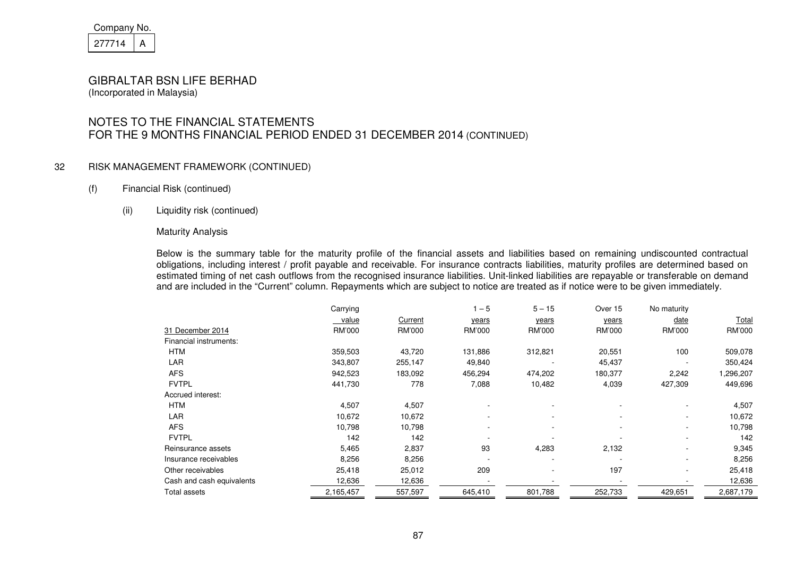| Company No. |  |  |  |
|-------------|--|--|--|
| 277714      |  |  |  |

# NOTES TO THE FINANCIAL STATEMENTS FOR THE 9 MONTHS FINANCIAL PERIOD ENDED 31 DECEMBER 2014 (CONTINUED)

## 32 RISK MANAGEMENT FRAMEWORK (CONTINUED)

- (f) Financial Risk (continued)
	- (ii) Liquidity risk (continued)

#### Maturity Analysis

Below is the summary table for the maturity profile of the financial assets and liabilities based on remaining undiscounted contractual obligations, including interest / profit payable and receivable. For insurance contracts liabilities, maturity profiles are determined based on estimated timing of net cash outflows from the recognised insurance liabilities. Unit-linked liabilities are repayable or transferable on demand and are included in the "Current" column. Repayments which are subject to notice are treated as if notice were to be given immediately.

|                           | Carrying      |               | $1 - 5$ | $5 - 15$ | Over 15       | No maturity              |              |
|---------------------------|---------------|---------------|---------|----------|---------------|--------------------------|--------------|
|                           | value         | Current       | years   | years    | years         | date                     | <u>Total</u> |
| 31 December 2014          | <b>RM'000</b> | <b>RM'000</b> | RM'000  | RM'000   | <b>RM'000</b> | RM'000                   | RM'000       |
| Financial instruments:    |               |               |         |          |               |                          |              |
| <b>HTM</b>                | 359,503       | 43,720        | 131,886 | 312,821  | 20,551        | 100                      | 509,078      |
| LAR                       | 343,807       | 255,147       | 49,840  |          | 45,437        |                          | 350,424      |
| <b>AFS</b>                | 942,523       | 183,092       | 456,294 | 474,202  | 180,377       | 2,242                    | 1,296,207    |
| <b>FVTPL</b>              | 441,730       | 778           | 7,088   | 10,482   | 4,039         | 427,309                  | 449,696      |
| Accrued interest:         |               |               |         |          |               |                          |              |
| <b>HTM</b>                | 4,507         | 4,507         |         |          |               |                          | 4,507        |
| LAR                       | 10,672        | 10,672        |         | ۰        |               | $\overline{\phantom{a}}$ | 10,672       |
| <b>AFS</b>                | 10,798        | 10,798        |         | ۰        |               | ٠                        | 10,798       |
| <b>FVTPL</b>              | 142           | 142           |         |          |               |                          | 142          |
| Reinsurance assets        | 5,465         | 2,837         | 93      | 4,283    | 2,132         | ٠                        | 9,345        |
| Insurance receivables     | 8,256         | 8,256         |         | -        |               |                          | 8,256        |
| Other receivables         | 25,418        | 25,012        | 209     |          | 197           | ٠                        | 25,418       |
| Cash and cash equivalents | 12,636        | 12,636        |         |          |               |                          | 12,636       |
| Total assets              | 2,165,457     | 557,597       | 645,410 | 801,788  | 252,733       | 429,651                  | 2,687,179    |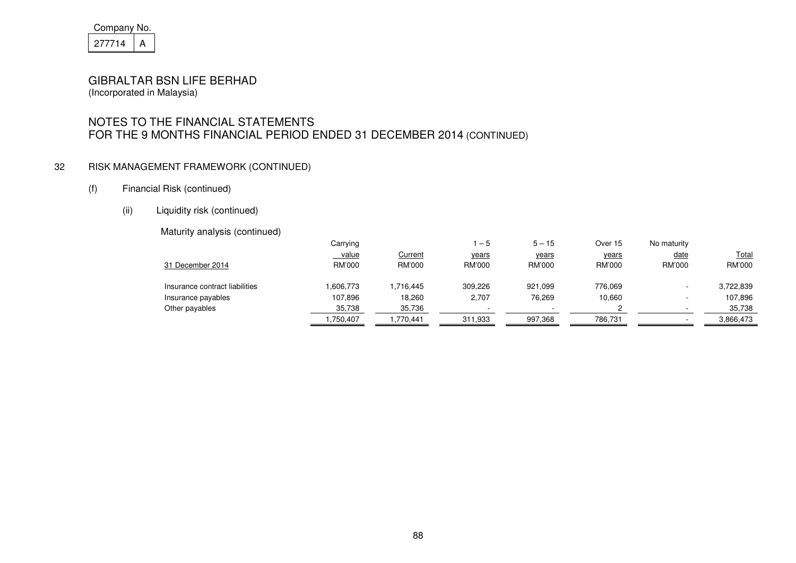| Company No. |  |  |  |
|-------------|--|--|--|
| 277714      |  |  |  |

# NOTES TO THE FINANCIAL STATEMENTS FOR THE 9 MONTHS FINANCIAL PERIOD ENDED 31 DECEMBER 2014 (CONTINUED)

# 32 RISK MANAGEMENT FRAMEWORK (CONTINUED)

- (f) Financial Risk (continued)
	- (ii) Liquidity risk (continued)

Maturity analysis (continued)

|                                | Carrying  |           | $-5$    | $5 - 15$ | Over 15 | No maturity |              |
|--------------------------------|-----------|-----------|---------|----------|---------|-------------|--------------|
|                                | value     | Current   | years   | years    | years   | <u>date</u> | <u>Total</u> |
| 31 December 2014               | RM'000    | RM'000    | RM'000  | RM'000   | RM'000  | RM'000      | RM'000       |
| Insurance contract liabilities | 1,606,773 | 1.716.445 | 309,226 | 921,099  | 776.069 |             | 3,722,839    |
| Insurance payables             | 107,896   | 18.260    | 2.707   | 76.269   | 10,660  |             | 107,896      |
| Other payables                 | 35,738    | 35,736    |         |          |         |             | 35,738       |
|                                | 1,750,407 | .770,441  | 311,933 | 997,368  | 786,731 |             | 3,866,473    |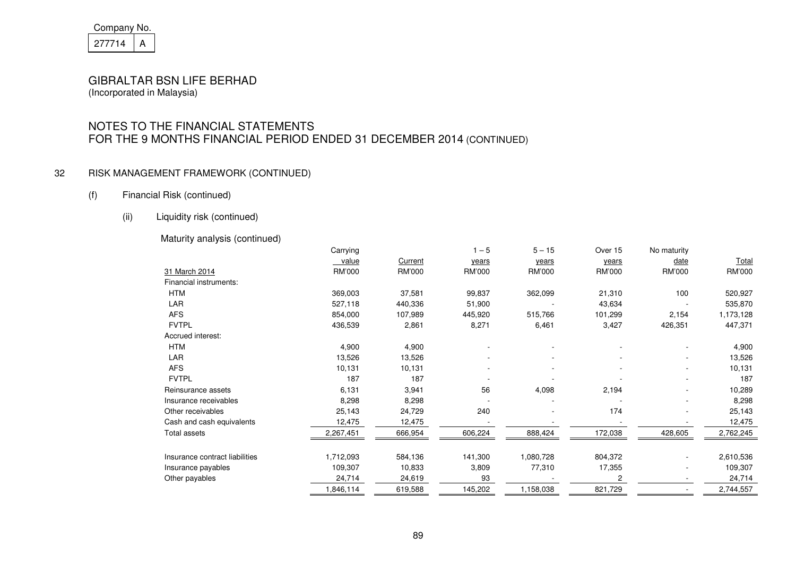| Company No. |  |  |  |
|-------------|--|--|--|
| 277714      |  |  |  |

# NOTES TO THE FINANCIAL STATEMENTS FOR THE 9 MONTHS FINANCIAL PERIOD ENDED 31 DECEMBER 2014 (CONTINUED)

# 32 RISK MANAGEMENT FRAMEWORK (CONTINUED)

### (f) Financial Risk (continued)

## (ii) Liquidity risk (continued)

Maturity analysis (continued)

|                                | Carrying  |         | $1 - 5$ | $5 - 15$  | Over 15 | No maturity              |              |
|--------------------------------|-----------|---------|---------|-----------|---------|--------------------------|--------------|
|                                | value     | Current | years   | years     | years   | date                     | <b>Total</b> |
| 31 March 2014                  | RM'000    | RM'000  | RM'000  | RM'000    | RM'000  | RM'000                   | RM'000       |
| Financial instruments:         |           |         |         |           |         |                          |              |
| <b>HTM</b>                     | 369,003   | 37,581  | 99,837  | 362,099   | 21,310  | 100                      | 520,927      |
| LAR                            | 527,118   | 440,336 | 51,900  |           | 43,634  |                          | 535,870      |
| <b>AFS</b>                     | 854,000   | 107,989 | 445,920 | 515,766   | 101,299 | 2,154                    | 1,173,128    |
| <b>FVTPL</b>                   | 436,539   | 2,861   | 8,271   | 6,461     | 3,427   | 426,351                  | 447,371      |
| Accrued interest:              |           |         |         |           |         |                          |              |
| <b>HTM</b>                     | 4,900     | 4,900   |         |           |         |                          | 4,900        |
| LAR                            | 13,526    | 13,526  |         |           |         |                          | 13,526       |
| <b>AFS</b>                     | 10,131    | 10,131  |         |           |         |                          | 10,131       |
| <b>FVTPL</b>                   | 187       | 187     |         |           |         |                          | 187          |
| Reinsurance assets             | 6,131     | 3,941   | 56      | 4,098     | 2,194   |                          | 10,289       |
| Insurance receivables          | 8,298     | 8,298   |         |           |         |                          | 8,298        |
| Other receivables              | 25,143    | 24,729  | 240     |           | 174     |                          | 25,143       |
| Cash and cash equivalents      | 12,475    | 12,475  |         |           |         |                          | 12,475       |
| Total assets                   | 2,267,451 | 666,954 | 606,224 | 888,424   | 172,038 | 428,605                  | 2,762,245    |
|                                |           |         |         |           |         |                          |              |
| Insurance contract liabilities | 1,712,093 | 584,136 | 141,300 | 1,080,728 | 804,372 |                          | 2,610,536    |
| Insurance payables             | 109,307   | 10,833  | 3,809   | 77,310    | 17,355  |                          | 109,307      |
| Other payables                 | 24,714    | 24,619  | 93      |           | 2       |                          | 24,714       |
|                                | 1,846,114 | 619,588 | 145,202 | 1,158,038 | 821,729 | $\overline{\phantom{a}}$ | 2,744,557    |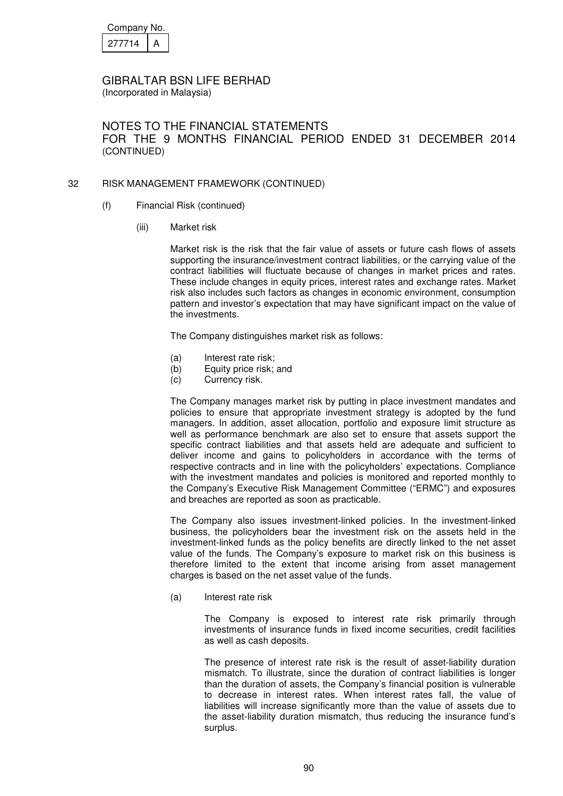| Company No. |  |  |
|-------------|--|--|
| 277714      |  |  |

NOTES TO THE FINANCIAL STATEMENTS FOR THE 9 MONTHS FINANCIAL PERIOD ENDED 31 DECEMBER 2014 (CONTINUED)

#### 32 RISK MANAGEMENT FRAMEWORK (CONTINUED)

- (f) Financial Risk (continued)
	- (iii) Market risk

Market risk is the risk that the fair value of assets or future cash flows of assets supporting the insurance/investment contract liabilities, or the carrying value of the contract liabilities will fluctuate because of changes in market prices and rates. These include changes in equity prices, interest rates and exchange rates. Market risk also includes such factors as changes in economic environment, consumption pattern and investor's expectation that may have significant impact on the value of the investments.

The Company distinguishes market risk as follows:

- (a) Interest rate risk;
- (b) Equity price risk; and
- (c) Currency risk.

The Company manages market risk by putting in place investment mandates and policies to ensure that appropriate investment strategy is adopted by the fund managers. In addition, asset allocation, portfolio and exposure limit structure as well as performance benchmark are also set to ensure that assets support the specific contract liabilities and that assets held are adequate and sufficient to deliver income and gains to policyholders in accordance with the terms of respective contracts and in line with the policyholders' expectations. Compliance with the investment mandates and policies is monitored and reported monthly to the Company's Executive Risk Management Committee ("ERMC") and exposures and breaches are reported as soon as practicable.

The Company also issues investment-linked policies. In the investment-linked business, the policyholders bear the investment risk on the assets held in the investment-linked funds as the policy benefits are directly linked to the net asset value of the funds. The Company's exposure to market risk on this business is therefore limited to the extent that income arising from asset management charges is based on the net asset value of the funds.

(a) Interest rate risk

The Company is exposed to interest rate risk primarily through investments of insurance funds in fixed income securities, credit facilities as well as cash deposits.

The presence of interest rate risk is the result of asset-liability duration mismatch. To illustrate, since the duration of contract liabilities is longer than the duration of assets, the Company's financial position is vulnerable to decrease in interest rates. When interest rates fall, the value of liabilities will increase significantly more than the value of assets due to the asset-liability duration mismatch, thus reducing the insurance fund's surplus.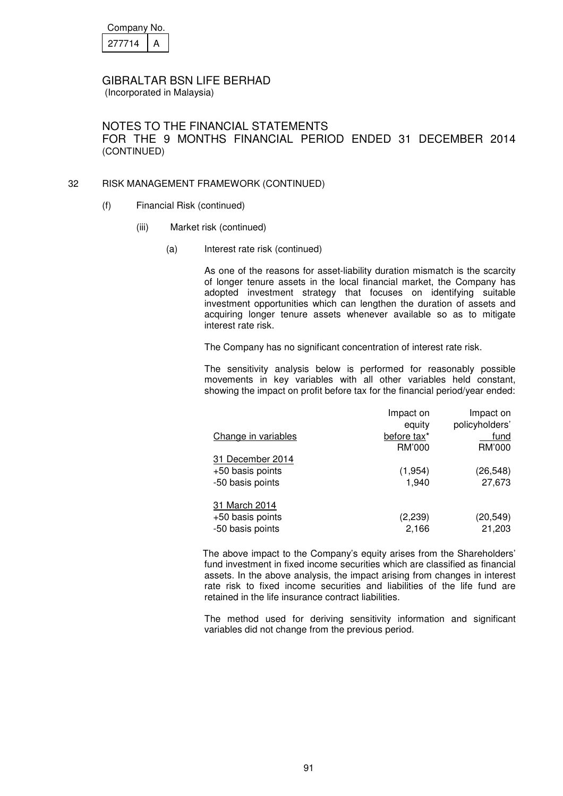| Company No. |  |  |
|-------------|--|--|
| 277714      |  |  |

NOTES TO THE FINANCIAL STATEMENTS FOR THE 9 MONTHS FINANCIAL PERIOD ENDED 31 DECEMBER 2014 (CONTINUED)

#### 32 RISK MANAGEMENT FRAMEWORK (CONTINUED)

- (f) Financial Risk (continued)
	- (iii) Market risk (continued)
		- (a) Interest rate risk (continued)

As one of the reasons for asset-liability duration mismatch is the scarcity of longer tenure assets in the local financial market, the Company has adopted investment strategy that focuses on identifying suitable investment opportunities which can lengthen the duration of assets and acquiring longer tenure assets whenever available so as to mitigate interest rate risk.

The Company has no significant concentration of interest rate risk.

The sensitivity analysis below is performed for reasonably possible movements in key variables with all other variables held constant, showing the impact on profit before tax for the financial period/year ended:

|                     | Impact on   | Impact on      |
|---------------------|-------------|----------------|
|                     | equity      | policyholders' |
| Change in variables | before tax* | fund           |
|                     | RM'000      | RM'000         |
| 31 December 2014    |             |                |
| +50 basis points    | (1, 954)    | (26, 548)      |
| -50 basis points    | 1,940       | 27,673         |
|                     |             |                |
| 31 March 2014       |             |                |
| +50 basis points    | (2, 239)    | (20, 549)      |
| -50 basis points    | 2,166       | 21,203         |

The above impact to the Company's equity arises from the Shareholders' fund investment in fixed income securities which are classified as financial assets. In the above analysis, the impact arising from changes in interest rate risk to fixed income securities and liabilities of the life fund are retained in the life insurance contract liabilities.

 The method used for deriving sensitivity information and significant variables did not change from the previous period.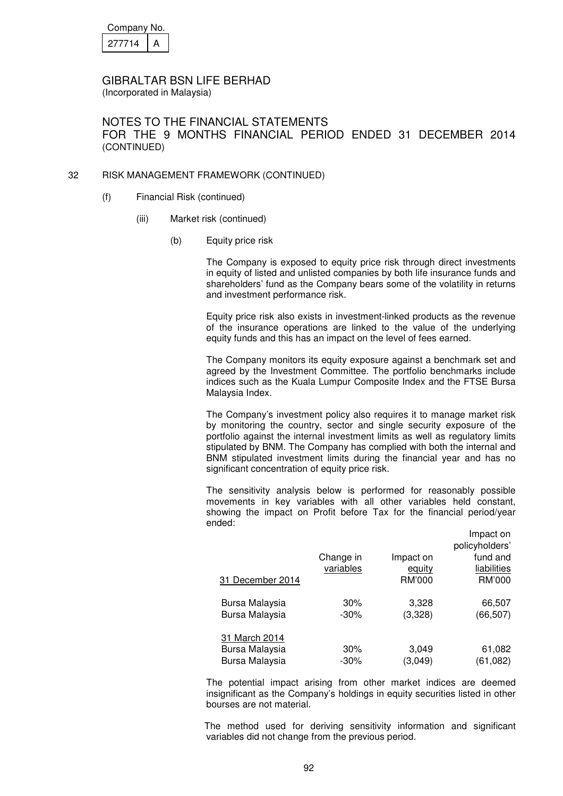| Company No. |  |  |
|-------------|--|--|
| 277714      |  |  |

GIBRALTAR BSN LIFE BERHAD

(Incorporated in Malaysia)

# NOTES TO THE FINANCIAL STATEMENTS FOR THE 9 MONTHS FINANCIAL PERIOD ENDED 31 DECEMBER 2014 (CONTINUED)

### 32 RISK MANAGEMENT FRAMEWORK (CONTINUED)

- (f) Financial Risk (continued)
	- (iii) Market risk (continued)
		- (b) Equity price risk

The Company is exposed to equity price risk through direct investments in equity of listed and unlisted companies by both life insurance funds and shareholders' fund as the Company bears some of the volatility in returns and investment performance risk.

Equity price risk also exists in investment-linked products as the revenue of the insurance operations are linked to the value of the underlying equity funds and this has an impact on the level of fees earned.

The Company monitors its equity exposure against a benchmark set and agreed by the Investment Committee. The portfolio benchmarks include indices such as the Kuala Lumpur Composite Index and the FTSE Bursa Malaysia Index.

The Company's investment policy also requires it to manage market risk by monitoring the country, sector and single security exposure of the portfolio against the internal investment limits as well as regulatory limits stipulated by BNM. The Company has complied with both the internal and BNM stipulated investment limits during the financial year and has no significant concentration of equity price risk.

The sensitivity analysis below is performed for reasonably possible movements in key variables with all other variables held constant, showing the impact on Profit before Tax for the financial period/year ended:

|                  |           |               | Impact on          |
|------------------|-----------|---------------|--------------------|
|                  |           |               | policyholders'     |
|                  | Change in | Impact on     | fund and           |
|                  | variables | equity        | <b>liabilities</b> |
| 31 December 2014 |           | <b>RM'000</b> | RM'000             |
| Bursa Malaysia   | $30\%$    | 3,328         | 66,507             |
| Bursa Malaysia   | $-30\%$   | (3,328)       | (66, 507)          |
| 31 March 2014    |           |               |                    |
| Bursa Malaysia   | $30\%$    | 3,049         | 61,082             |
| Bursa Malaysia   | $-30%$    | (3,049)       | (61,082)           |

The potential impact arising from other market indices are deemed insignificant as the Company's holdings in equity securities listed in other bourses are not material.

The method used for deriving sensitivity information and significant variables did not change from the previous period.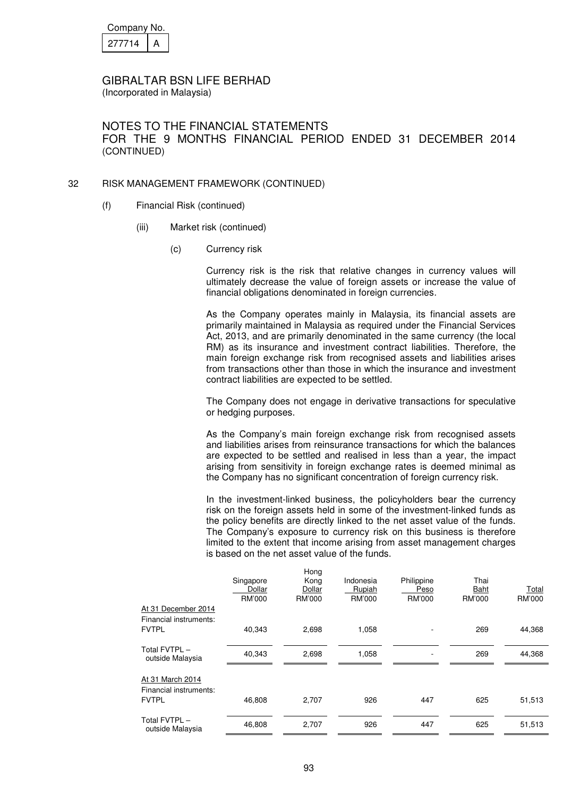| Company No. |  |
|-------------|--|
| 277714      |  |

NOTES TO THE FINANCIAL STATEMENTS FOR THE 9 MONTHS FINANCIAL PERIOD ENDED 31 DECEMBER 2014 (CONTINUED)

#### 32 RISK MANAGEMENT FRAMEWORK (CONTINUED)

- (f) Financial Risk (continued)
	- (iii) Market risk (continued)
		- (c) Currency risk

Currency risk is the risk that relative changes in currency values will ultimately decrease the value of foreign assets or increase the value of financial obligations denominated in foreign currencies.

As the Company operates mainly in Malaysia, its financial assets are primarily maintained in Malaysia as required under the Financial Services Act, 2013, and are primarily denominated in the same currency (the local RM) as its insurance and investment contract liabilities. Therefore, the main foreign exchange risk from recognised assets and liabilities arises from transactions other than those in which the insurance and investment contract liabilities are expected to be settled.

The Company does not engage in derivative transactions for speculative or hedging purposes.

As the Company's main foreign exchange risk from recognised assets and liabilities arises from reinsurance transactions for which the balances are expected to be settled and realised in less than a year, the impact arising from sensitivity in foreign exchange rates is deemed minimal as the Company has no significant concentration of foreign currency risk.

In the investment-linked business, the policyholders bear the currency risk on the foreign assets held in some of the investment-linked funds as the policy benefits are directly linked to the net asset value of the funds. The Company's exposure to currency risk on this business is therefore limited to the extent that income arising from asset management charges is based on the net asset value of the funds.

|                                                               | Singapore<br>Dollar<br>RM'000 | Hong<br>Kong<br>Dollar<br><b>RM'000</b> | Indonesia<br>Rupiah<br><b>RM'000</b> | Philippine<br>Peso<br>RM'000 | Thai<br><b>Baht</b><br>RM'000 | Total<br>RM'000 |
|---------------------------------------------------------------|-------------------------------|-----------------------------------------|--------------------------------------|------------------------------|-------------------------------|-----------------|
| At 31 December 2014<br>Financial instruments:<br><b>FVTPL</b> | 40,343                        | 2,698                                   | 1,058                                |                              | 269                           | 44,368          |
| Total FVTPL-<br>outside Malaysia                              | 40,343                        | 2,698                                   | 1,058                                |                              | 269                           | 44,368          |
| At 31 March 2014<br>Financial instruments:<br><b>FVTPL</b>    | 46,808                        | 2,707                                   | 926                                  | 447                          | 625                           | 51,513          |
| Total FVTPL -<br>outside Malaysia                             | 46,808                        | 2,707                                   | 926                                  | 447                          | 625                           | 51,513          |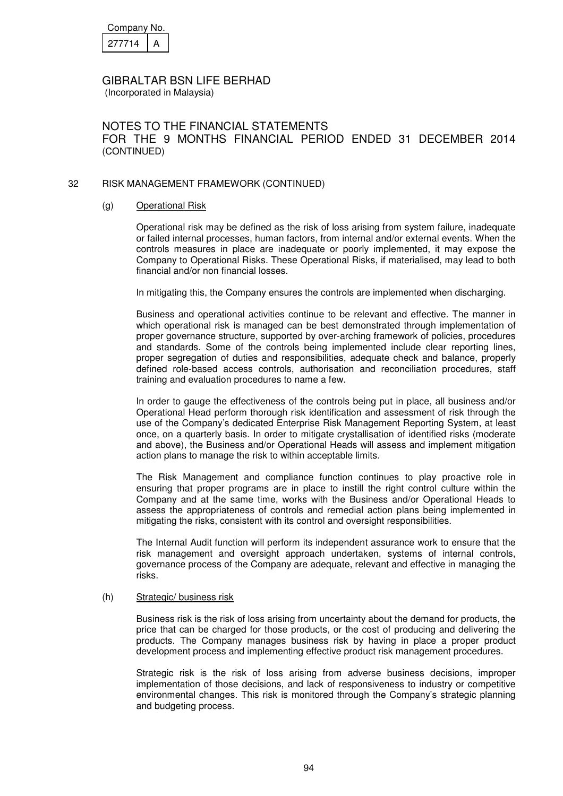| Company No. |  |
|-------------|--|
| 277714      |  |

## NOTES TO THE FINANCIAL STATEMENTS FOR THE 9 MONTHS FINANCIAL PERIOD ENDED 31 DECEMBER 2014 (CONTINUED)

#### 32 RISK MANAGEMENT FRAMEWORK (CONTINUED)

#### (g) Operational Risk

Operational risk may be defined as the risk of loss arising from system failure, inadequate or failed internal processes, human factors, from internal and/or external events. When the controls measures in place are inadequate or poorly implemented, it may expose the Company to Operational Risks. These Operational Risks, if materialised, may lead to both financial and/or non financial losses.

In mitigating this, the Company ensures the controls are implemented when discharging.

Business and operational activities continue to be relevant and effective. The manner in which operational risk is managed can be best demonstrated through implementation of proper governance structure, supported by over-arching framework of policies, procedures and standards. Some of the controls being implemented include clear reporting lines, proper segregation of duties and responsibilities, adequate check and balance, properly defined role-based access controls, authorisation and reconciliation procedures, staff training and evaluation procedures to name a few.

In order to gauge the effectiveness of the controls being put in place, all business and/or Operational Head perform thorough risk identification and assessment of risk through the use of the Company's dedicated Enterprise Risk Management Reporting System, at least once, on a quarterly basis. In order to mitigate crystallisation of identified risks (moderate and above), the Business and/or Operational Heads will assess and implement mitigation action plans to manage the risk to within acceptable limits.

The Risk Management and compliance function continues to play proactive role in ensuring that proper programs are in place to instill the right control culture within the Company and at the same time, works with the Business and/or Operational Heads to assess the appropriateness of controls and remedial action plans being implemented in mitigating the risks, consistent with its control and oversight responsibilities.

The Internal Audit function will perform its independent assurance work to ensure that the risk management and oversight approach undertaken, systems of internal controls, governance process of the Company are adequate, relevant and effective in managing the risks.

#### (h) Strategic/ business risk

Business risk is the risk of loss arising from uncertainty about the demand for products, the price that can be charged for those products, or the cost of producing and delivering the products. The Company manages business risk by having in place a proper product development process and implementing effective product risk management procedures.

Strategic risk is the risk of loss arising from adverse business decisions, improper implementation of those decisions, and lack of responsiveness to industry or competitive environmental changes. This risk is monitored through the Company's strategic planning and budgeting process.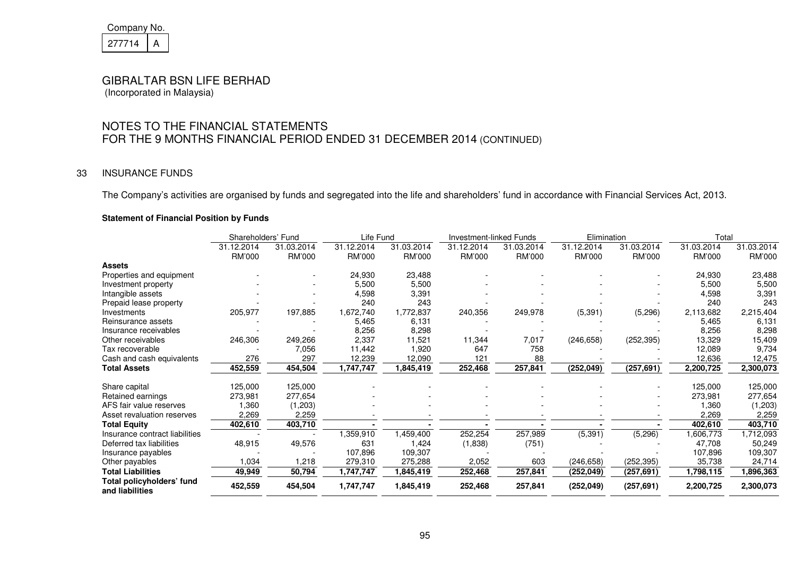| Company No. |  |  |  |  |  |  |
|-------------|--|--|--|--|--|--|
| 277714      |  |  |  |  |  |  |

# NOTES TO THE FINANCIAL STATEMENTS FOR THE 9 MONTHS FINANCIAL PERIOD ENDED 31 DECEMBER 2014 (CONTINUED)

### 33 INSURANCE FUNDS

The Company's activities are organised by funds and segregated into the life and shareholders' fund in accordance with Financial Services Act, 2013.

# **Statement of Financial Position by Funds**

|                                              | Shareholders' Fund |            | Life Fund  |            | <b>Investment-linked Funds</b> |            | Elimination |            | Total      |            |
|----------------------------------------------|--------------------|------------|------------|------------|--------------------------------|------------|-------------|------------|------------|------------|
|                                              | 31.12.2014         | 31.03.2014 | 31.12.2014 | 31.03.2014 | 31.12.2014                     | 31.03.2014 | 31.12.2014  | 31.03.2014 | 31.03.2014 | 31.03.2014 |
|                                              | RM'000             | RM'000     | RM'000     | RM'000     | RM'000                         | RM'000     | RM'000      | RM'000     | RM'000     | RM'000     |
| <b>Assets</b>                                |                    |            |            |            |                                |            |             |            |            |            |
| Properties and equipment                     |                    |            | 24,930     | 23,488     |                                |            |             |            | 24,930     | 23,488     |
| Investment property                          |                    |            | 5,500      | 5,500      |                                |            |             |            | 5,500      | 5,500      |
| Intangible assets                            |                    |            | 4,598      | 3,391      |                                |            |             |            | 4,598      | 3,391      |
| Prepaid lease property                       |                    |            | 240        | 243        |                                |            |             |            | 240        | 243        |
| Investments                                  | 205,977            | 197,885    | 1,672,740  | 1,772,837  | 240,356                        | 249,978    | (5, 391)    | (5,296)    | 2,113,682  | 2,215,404  |
| Reinsurance assets                           |                    |            | 5,465      | 6,131      |                                |            |             |            | 5,465      | 6,131      |
| Insurance receivables                        |                    |            | 8,256      | 8,298      |                                |            |             |            | 8,256      | 8,298      |
| Other receivables                            | 246,306            | 249,266    | 2,337      | 11,521     | 11,344                         | 7,017      | (246, 658)  | (252, 395) | 13,329     | 15,409     |
| Tax recoverable                              |                    | 7,056      | 11,442     | 1,920      | 647                            | 758        |             |            | 12,089     | 9,734      |
| Cash and cash equivalents                    | 276                | 297        | 12,239     | 12,090     | 121                            | 88         |             |            | 12,636     | 12,475     |
| <b>Total Assets</b>                          | 452,559            | 454,504    | 1,747,747  | 1,845,419  | 252,468                        | 257,841    | (252, 049)  | (257, 691) | 2,200,725  | 2,300,073  |
|                                              |                    |            |            |            |                                |            |             |            |            |            |
| Share capital                                | 125,000            | 125,000    |            |            |                                |            |             |            | 125,000    | 125,000    |
| Retained earnings                            | 273,981            | 277,654    |            |            |                                |            |             |            | 273,981    | 277,654    |
| AFS fair value reserves                      | 1,360              | (1,203)    |            |            |                                |            |             |            | 1,360      | (1,203)    |
| Asset revaluation reserves                   | 2,269              | 2,259      |            |            |                                |            |             |            | 2,269      | 2,259      |
| <b>Total Equity</b>                          | 402,610            | 403,710    |            |            |                                |            |             |            | 402,610    | 403,710    |
| Insurance contract liabilities               |                    |            | ,359,910   | 1,459,400  | 252,254                        | 257,989    | (5, 391)    | (5, 296)   | 1,606,773  | 1,712,093  |
| Deferred tax liabilities                     | 48,915             | 49,576     | 631        | 1,424      | (1,838)                        | (751)      |             |            | 47,708     | 50,249     |
| Insurance payables                           |                    |            | 107,896    | 109,307    |                                |            |             |            | 107,896    | 109,307    |
| Other payables                               | 1,034              | 1,218      | 279,310    | 275,288    | 2,052                          | 603        | (246, 658)  | (252, 395) | 35,738     | 24,714     |
| <b>Total Liabilities</b>                     | 49,949             | 50,794     | 1,747,747  | 1,845,419  | 252,468                        | 257,841    | (252, 049)  | (257, 691) | 1,798,115  | 1,896,363  |
| Total policyholders' fund<br>and liabilities | 452,559            | 454,504    | 1,747,747  | 1,845,419  | 252,468                        | 257,841    | (252, 049)  | (257, 691) | 2,200,725  | 2,300,073  |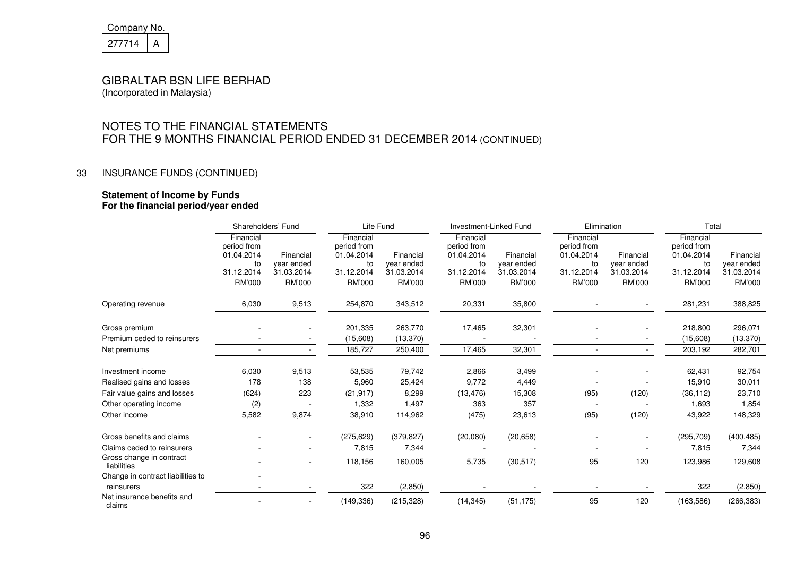| Company No. |  |  |  |  |  |  |
|-------------|--|--|--|--|--|--|
| 277714      |  |  |  |  |  |  |

# NOTES TO THE FINANCIAL STATEMENTS FOR THE 9 MONTHS FINANCIAL PERIOD ENDED 31 DECEMBER 2014 (CONTINUED)

### 33 INSURANCE FUNDS (CONTINUED)

### **Statement of Income by Funds For the financial period/year ended**

|                                      | Shareholders' Fund       |                          | Life Fund                |            |                          | Investment-Linked Fund |                          | Elimination |                          | Total      |  |
|--------------------------------------|--------------------------|--------------------------|--------------------------|------------|--------------------------|------------------------|--------------------------|-------------|--------------------------|------------|--|
|                                      | Financial<br>period from |                          | Financial<br>period from |            | Financial<br>period from |                        | Financial<br>period from |             | Financial<br>period from |            |  |
|                                      | 01.04.2014               | Financial                | 01.04.2014               | Financial  | 01.04.2014               | Financial              | 01.04.2014               | Financial   | 01.04.2014               | Financial  |  |
|                                      | to                       | year ended               | to                       | year ended | to                       | year ended             | to                       | year ended  | to                       | year ended |  |
|                                      | 31.12.2014               | 31.03.2014               | 31.12.2014               | 31.03.2014 | 31.12.2014               | 31.03.2014             | 31.12.2014               | 31.03.2014  | 31.12.2014               | 31.03.2014 |  |
|                                      | RM'000                   | RM'000                   | RM'000                   | RM'000     | RM'000                   | RM'000                 | RM'000                   | RM'000      | RM'000                   | RM'000     |  |
| Operating revenue                    | 6,030                    | 9,513                    | 254,870                  | 343,512    | 20,331                   | 35,800                 |                          |             | 281,231                  | 388,825    |  |
| Gross premium                        |                          |                          | 201,335                  | 263,770    | 17,465                   | 32,301                 |                          |             | 218,800                  | 296,071    |  |
| Premium ceded to reinsurers          |                          |                          | (15,608)                 | (13, 370)  |                          |                        |                          |             | (15,608)                 | (13, 370)  |  |
| Net premiums                         |                          |                          | 185,727                  | 250,400    | 17,465                   | 32,301                 |                          |             | 203,192                  | 282,701    |  |
|                                      |                          |                          |                          |            |                          |                        |                          |             |                          |            |  |
| Investment income                    | 6,030                    | 9,513                    | 53,535                   | 79,742     | 2,866                    | 3,499                  |                          |             | 62,431                   | 92,754     |  |
| Realised gains and losses            | 178                      | 138                      | 5,960                    | 25,424     | 9,772                    | 4,449                  |                          |             | 15,910                   | 30,011     |  |
| Fair value gains and losses          | (624)                    | 223                      | (21, 917)                | 8,299      | (13, 476)                | 15,308                 | (95)                     | (120)       | (36, 112)                | 23,710     |  |
| Other operating income               | (2)                      |                          | 1,332                    | 1,497      | 363                      | 357                    |                          |             | 1,693                    | 1,854      |  |
| Other income                         | 5,582                    | 9,874                    | 38,910                   | 114,962    | (475)                    | 23,613                 | (95)                     | (120)       | 43,922                   | 148,329    |  |
| Gross benefits and claims            |                          |                          | (275, 629)               | (379, 827) | (20,080)                 | (20, 658)              |                          |             | (295, 709)               | (400, 485) |  |
| Claims ceded to reinsurers           |                          |                          | 7,815                    | 7,344      |                          |                        |                          |             | 7,815                    | 7,344      |  |
| Gross change in contract             |                          |                          |                          |            |                          |                        |                          |             |                          |            |  |
| liabilities                          |                          | $\overline{\phantom{a}}$ | 118,156                  | 160,005    | 5,735                    | (30, 517)              | 95                       | 120         | 123,986                  | 129,608    |  |
| Change in contract liabilities to    |                          |                          |                          |            |                          |                        |                          |             |                          |            |  |
| reinsurers                           |                          |                          | 322                      | (2,850)    |                          |                        |                          |             | 322                      | (2,850)    |  |
| Net insurance benefits and<br>claims |                          |                          | (149, 336)               | (215, 328) | (14, 345)                | (51, 175)              | 95                       | 120         | (163, 586)               | (266, 383) |  |
|                                      |                          |                          |                          |            |                          |                        |                          |             |                          |            |  |